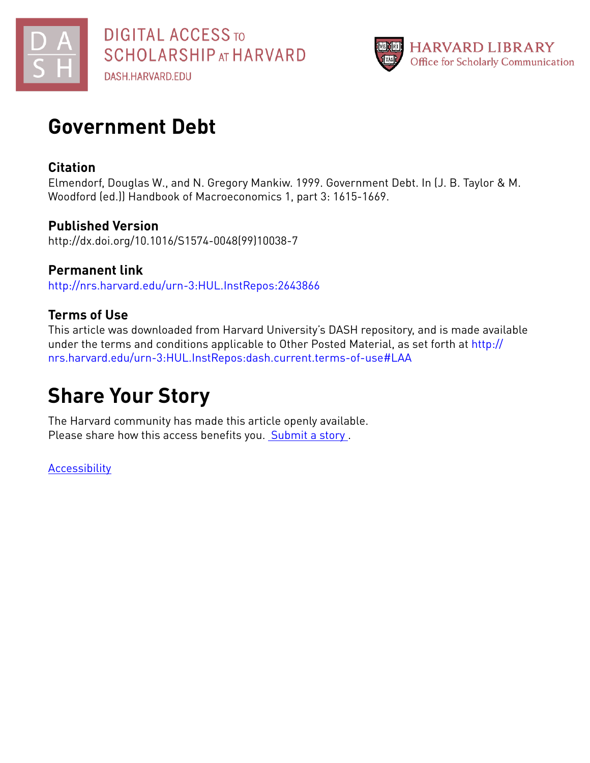

# **Government Debt**

# **Citation**

Elmendorf, Douglas W., and N. Gregory Mankiw. 1999. Government Debt. In (J. B. Taylor & M. Woodford (ed.)) Handbook of Macroeconomics 1, part 3: 1615-1669.

# **Published Version**

http://dx.doi.org/10.1016/S1574-0048(99)10038-7

**Permanent link** <http://nrs.harvard.edu/urn-3:HUL.InstRepos:2643866>

# **Terms of Use**

This article was downloaded from Harvard University's DASH repository, and is made available under the terms and conditions applicable to Other Posted Material, as set forth at [http://](http://nrs.harvard.edu/urn-3:HUL.InstRepos:dash.current.terms-of-use#LAA) [nrs.harvard.edu/urn-3:HUL.InstRepos:dash.current.terms-of-use#LAA](http://nrs.harvard.edu/urn-3:HUL.InstRepos:dash.current.terms-of-use#LAA)

# **Share Your Story**

The Harvard community has made this article openly available. Please share how this access benefits you. **[Submit](http://osc.hul.harvard.edu/dash/open-access-feedback?handle=&title=Government%20Debt&community=1/1&collection=1/2&owningCollection1/2&harvardAuthors=c2e25c6c0fcaefebdd1ae518870dc57a&departmentEconomics) a story**.

**[Accessibility](https://dash.harvard.edu/pages/accessibility)**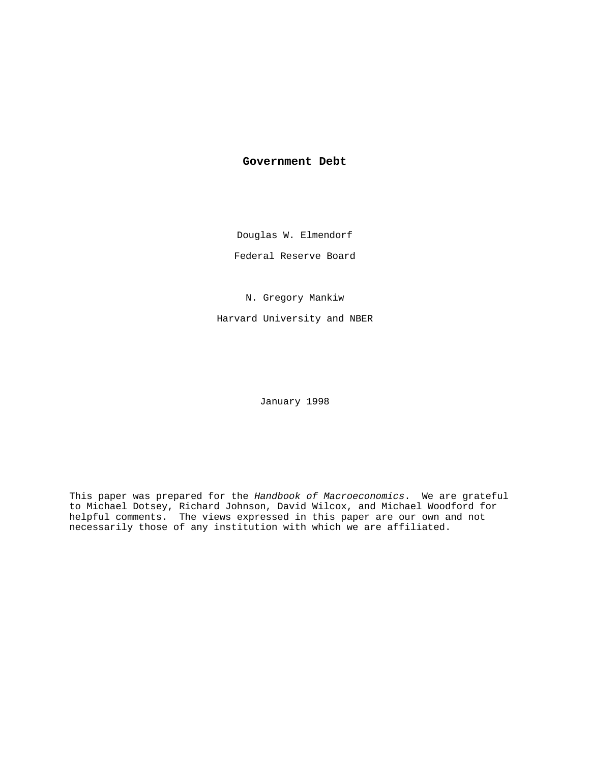# **Government Debt**

Douglas W. Elmendorf

Federal Reserve Board

N. Gregory Mankiw

Harvard University and NBER

January 1998

This paper was prepared for the *Handbook of Macroeconomics*. We are grateful to Michael Dotsey, Richard Johnson, David Wilcox, and Michael Woodford for helpful comments. The views expressed in this paper are our own and not necessarily those of any institution with which we are affiliated.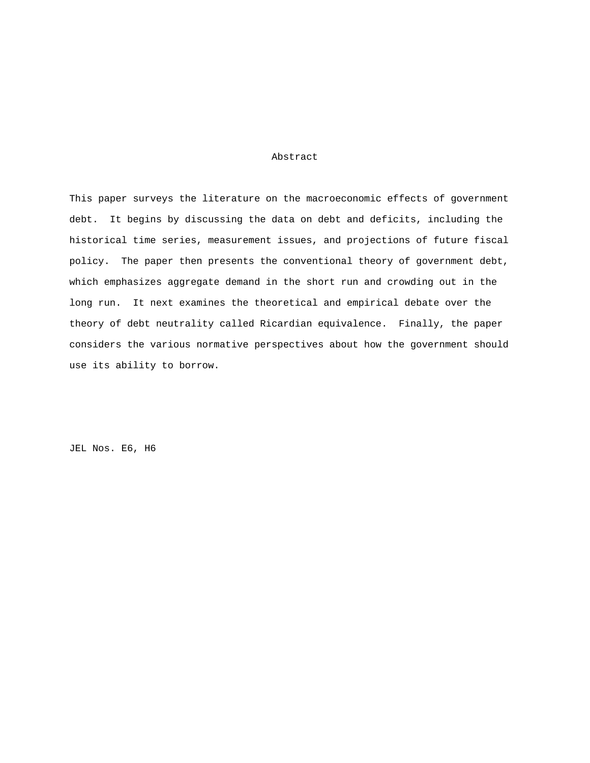#### Abstract

This paper surveys the literature on the macroeconomic effects of government debt. It begins by discussing the data on debt and deficits, including the historical time series, measurement issues, and projections of future fiscal policy. The paper then presents the conventional theory of government debt, which emphasizes aggregate demand in the short run and crowding out in the long run. It next examines the theoretical and empirical debate over the theory of debt neutrality called Ricardian equivalence. Finally, the paper considers the various normative perspectives about how the government should use its ability to borrow.

JEL Nos. E6, H6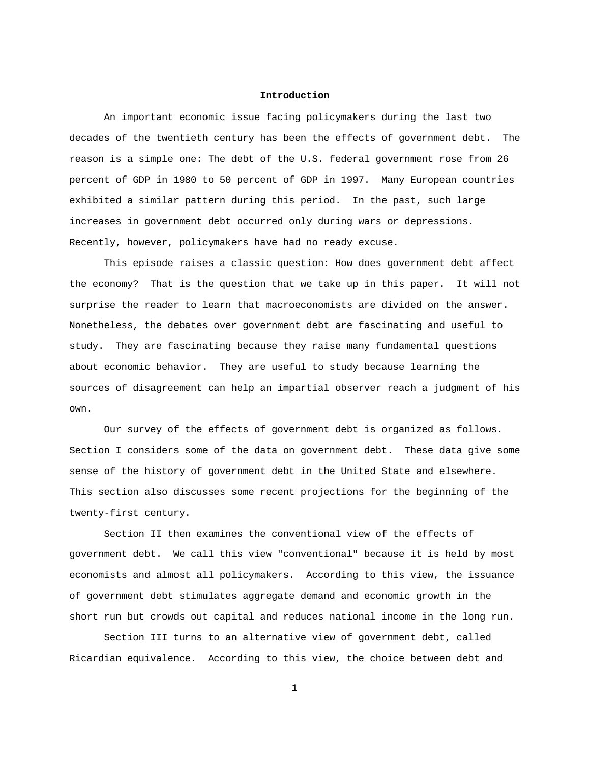#### **Introduction**

An important economic issue facing policymakers during the last two decades of the twentieth century has been the effects of government debt. The reason is a simple one: The debt of the U.S. federal government rose from 26 percent of GDP in 1980 to 50 percent of GDP in 1997. Many European countries exhibited a similar pattern during this period. In the past, such large increases in government debt occurred only during wars or depressions. Recently, however, policymakers have had no ready excuse.

This episode raises a classic question: How does government debt affect the economy? That is the question that we take up in this paper. It will not surprise the reader to learn that macroeconomists are divided on the answer. Nonetheless, the debates over government debt are fascinating and useful to study. They are fascinating because they raise many fundamental questions about economic behavior. They are useful to study because learning the sources of disagreement can help an impartial observer reach a judgment of his own.

Our survey of the effects of government debt is organized as follows. Section I considers some of the data on government debt. These data give some sense of the history of government debt in the United State and elsewhere. This section also discusses some recent projections for the beginning of the twenty-first century.

Section II then examines the conventional view of the effects of government debt. We call this view "conventional" because it is held by most economists and almost all policymakers. According to this view, the issuance of government debt stimulates aggregate demand and economic growth in the short run but crowds out capital and reduces national income in the long run.

Section III turns to an alternative view of government debt, called Ricardian equivalence. According to this view, the choice between debt and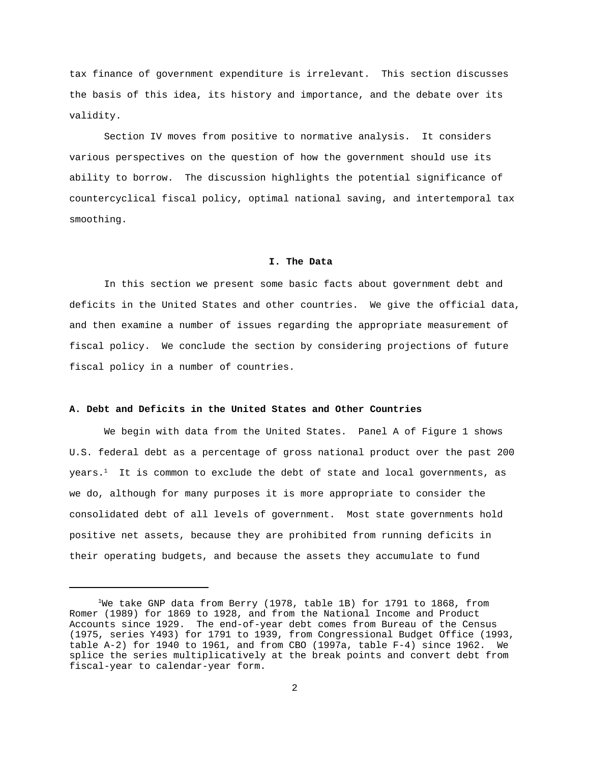tax finance of government expenditure is irrelevant. This section discusses the basis of this idea, its history and importance, and the debate over its validity.

Section IV moves from positive to normative analysis. It considers various perspectives on the question of how the government should use its ability to borrow. The discussion highlights the potential significance of countercyclical fiscal policy, optimal national saving, and intertemporal tax smoothing.

#### **I. The Data**

In this section we present some basic facts about government debt and deficits in the United States and other countries. We give the official data, and then examine a number of issues regarding the appropriate measurement of fiscal policy. We conclude the section by considering projections of future fiscal policy in a number of countries.

#### **A. Debt and Deficits in the United States and Other Countries**

We begin with data from the United States. Panel A of Figure 1 shows U.S. federal debt as a percentage of gross national product over the past 200  $years.<sup>1</sup>$  It is common to exclude the debt of state and local governments, as we do, although for many purposes it is more appropriate to consider the consolidated debt of all levels of government. Most state governments hold positive net assets, because they are prohibited from running deficits in their operating budgets, and because the assets they accumulate to fund

<sup>&</sup>lt;sup>1</sup>We take GNP data from Berry (1978, table 1B) for 1791 to 1868, from Romer (1989) for 1869 to 1928, and from the National Income and Product Accounts since 1929. The end-of-year debt comes from Bureau of the Census (1975, series Y493) for 1791 to 1939, from Congressional Budget Office (1993, table A-2) for 1940 to 1961, and from CBO (1997a, table F-4) since 1962. We splice the series multiplicatively at the break points and convert debt from fiscal-year to calendar-year form.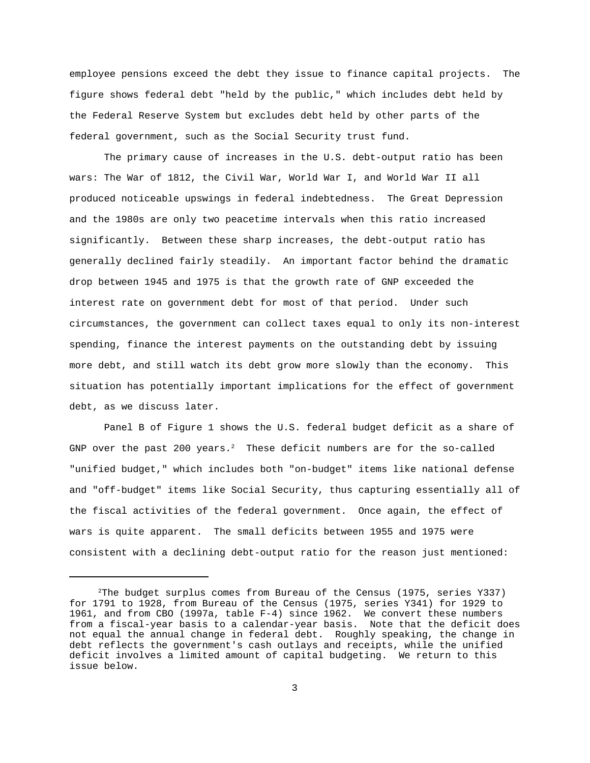employee pensions exceed the debt they issue to finance capital projects. The figure shows federal debt "held by the public," which includes debt held by the Federal Reserve System but excludes debt held by other parts of the federal government, such as the Social Security trust fund.

The primary cause of increases in the U.S. debt-output ratio has been wars: The War of 1812, the Civil War, World War I, and World War II all produced noticeable upswings in federal indebtedness. The Great Depression and the 1980s are only two peacetime intervals when this ratio increased significantly. Between these sharp increases, the debt-output ratio has generally declined fairly steadily. An important factor behind the dramatic drop between 1945 and 1975 is that the growth rate of GNP exceeded the interest rate on government debt for most of that period. Under such circumstances, the government can collect taxes equal to only its non-interest spending, finance the interest payments on the outstanding debt by issuing more debt, and still watch its debt grow more slowly than the economy. This situation has potentially important implications for the effect of government debt, as we discuss later.

Panel B of Figure 1 shows the U.S. federal budget deficit as a share of GNP over the past 200 years.<sup>2</sup> These deficit numbers are for the so-called "unified budget," which includes both "on-budget" items like national defense and "off-budget" items like Social Security, thus capturing essentially all of the fiscal activities of the federal government. Once again, the effect of wars is quite apparent. The small deficits between 1955 and 1975 were consistent with a declining debt-output ratio for the reason just mentioned:

<sup>2</sup>The budget surplus comes from Bureau of the Census (1975, series Y337) for 1791 to 1928, from Bureau of the Census (1975, series Y341) for 1929 to 1961, and from CBO (1997a, table F-4) since 1962. We convert these numbers from a fiscal-year basis to a calendar-year basis. Note that the deficit does not equal the annual change in federal debt. Roughly speaking, the change in debt reflects the government's cash outlays and receipts, while the unified deficit involves a limited amount of capital budgeting. We return to this issue below.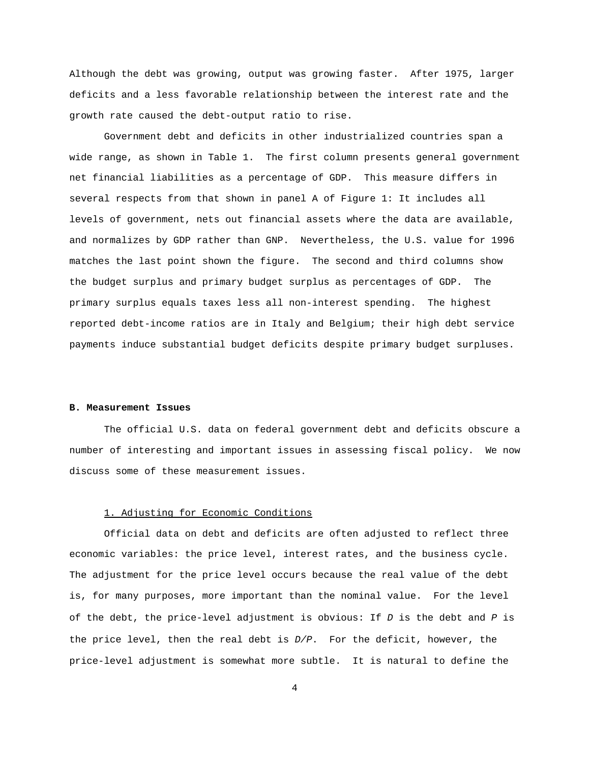Although the debt was growing, output was growing faster. After 1975, larger deficits and a less favorable relationship between the interest rate and the growth rate caused the debt-output ratio to rise.

Government debt and deficits in other industrialized countries span a wide range, as shown in Table 1. The first column presents general government net financial liabilities as a percentage of GDP. This measure differs in several respects from that shown in panel A of Figure 1: It includes all levels of government, nets out financial assets where the data are available, and normalizes by GDP rather than GNP. Nevertheless, the U.S. value for 1996 matches the last point shown the figure. The second and third columns show the budget surplus and primary budget surplus as percentages of GDP. The primary surplus equals taxes less all non-interest spending. The highest reported debt-income ratios are in Italy and Belgium; their high debt service payments induce substantial budget deficits despite primary budget surpluses.

#### **B. Measurement Issues**

The official U.S. data on federal government debt and deficits obscure a number of interesting and important issues in assessing fiscal policy. We now discuss some of these measurement issues.

#### 1. Adjusting for Economic Conditions

Official data on debt and deficits are often adjusted to reflect three economic variables: the price level, interest rates, and the business cycle. The adjustment for the price level occurs because the real value of the debt is, for many purposes, more important than the nominal value. For the level of the debt, the price-level adjustment is obvious: If *D* is the debt and *P* is the price level, then the real debt is *D/P*. For the deficit, however, the price-level adjustment is somewhat more subtle. It is natural to define the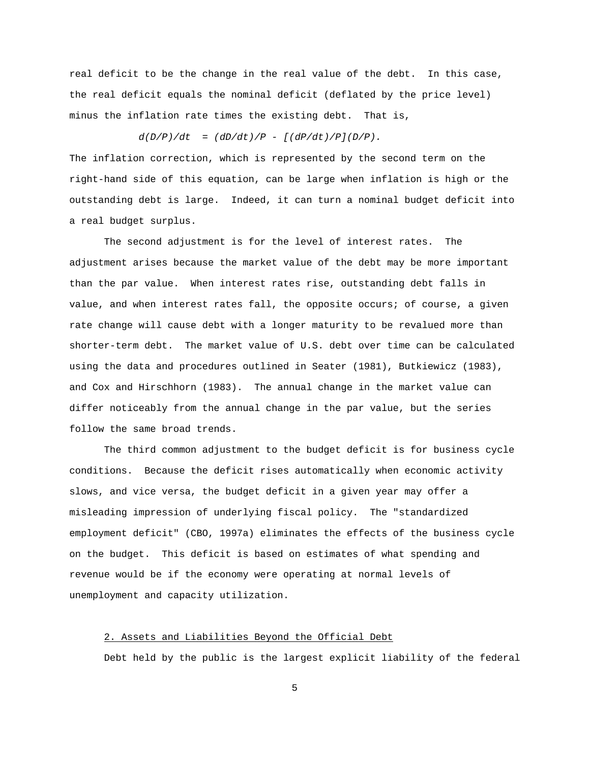real deficit to be the change in the real value of the debt. In this case, the real deficit equals the nominal deficit (deflated by the price level) minus the inflation rate times the existing debt. That is,

 $d(D/P)/dt = (dD/dt)/P - [(dP/dt)/P](D/P)$ .

The inflation correction, which is represented by the second term on the right-hand side of this equation, can be large when inflation is high or the outstanding debt is large. Indeed, it can turn a nominal budget deficit into a real budget surplus.

The second adjustment is for the level of interest rates. The adjustment arises because the market value of the debt may be more important than the par value. When interest rates rise, outstanding debt falls in value, and when interest rates fall, the opposite occurs; of course, a given rate change will cause debt with a longer maturity to be revalued more than shorter-term debt. The market value of U.S. debt over time can be calculated using the data and procedures outlined in Seater (1981), Butkiewicz (1983), and Cox and Hirschhorn (1983). The annual change in the market value can differ noticeably from the annual change in the par value, but the series follow the same broad trends.

The third common adjustment to the budget deficit is for business cycle conditions. Because the deficit rises automatically when economic activity slows, and vice versa, the budget deficit in a given year may offer a misleading impression of underlying fiscal policy. The "standardized employment deficit" (CBO, 1997a) eliminates the effects of the business cycle on the budget. This deficit is based on estimates of what spending and revenue would be if the economy were operating at normal levels of unemployment and capacity utilization.

### 2. Assets and Liabilities Beyond the Official Debt

Debt held by the public is the largest explicit liability of the federal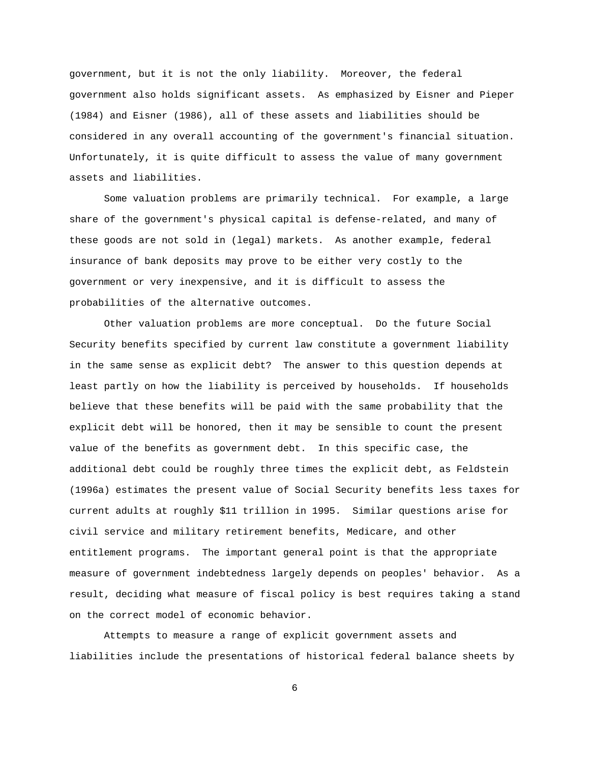government, but it is not the only liability. Moreover, the federal government also holds significant assets. As emphasized by Eisner and Pieper (1984) and Eisner (1986), all of these assets and liabilities should be considered in any overall accounting of the government's financial situation. Unfortunately, it is quite difficult to assess the value of many government assets and liabilities.

Some valuation problems are primarily technical. For example, a large share of the government's physical capital is defense-related, and many of these goods are not sold in (legal) markets. As another example, federal insurance of bank deposits may prove to be either very costly to the government or very inexpensive, and it is difficult to assess the probabilities of the alternative outcomes.

Other valuation problems are more conceptual. Do the future Social Security benefits specified by current law constitute a government liability in the same sense as explicit debt? The answer to this question depends at least partly on how the liability is perceived by households. If households believe that these benefits will be paid with the same probability that the explicit debt will be honored, then it may be sensible to count the present value of the benefits as government debt. In this specific case, the additional debt could be roughly three times the explicit debt, as Feldstein (1996a) estimates the present value of Social Security benefits less taxes for current adults at roughly \$11 trillion in 1995. Similar questions arise for civil service and military retirement benefits, Medicare, and other entitlement programs. The important general point is that the appropriate measure of government indebtedness largely depends on peoples' behavior. As a result, deciding what measure of fiscal policy is best requires taking a stand on the correct model of economic behavior.

Attempts to measure a range of explicit government assets and liabilities include the presentations of historical federal balance sheets by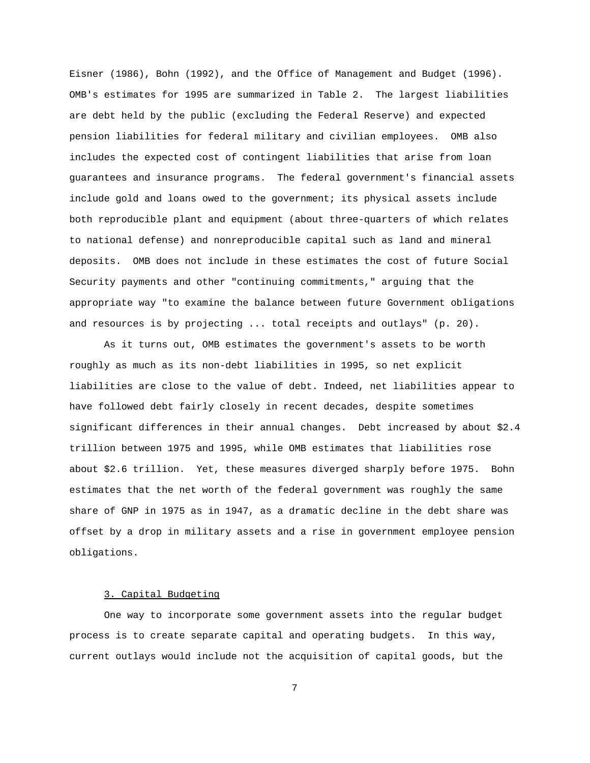Eisner (1986), Bohn (1992), and the Office of Management and Budget (1996). OMB's estimates for 1995 are summarized in Table 2. The largest liabilities are debt held by the public (excluding the Federal Reserve) and expected pension liabilities for federal military and civilian employees. OMB also includes the expected cost of contingent liabilities that arise from loan guarantees and insurance programs. The federal government's financial assets include gold and loans owed to the government; its physical assets include both reproducible plant and equipment (about three-quarters of which relates to national defense) and nonreproducible capital such as land and mineral deposits. OMB does not include in these estimates the cost of future Social Security payments and other "continuing commitments," arguing that the appropriate way "to examine the balance between future Government obligations and resources is by projecting ... total receipts and outlays" (p. 20).

As it turns out, OMB estimates the government's assets to be worth roughly as much as its non-debt liabilities in 1995, so net explicit liabilities are close to the value of debt. Indeed, net liabilities appear to have followed debt fairly closely in recent decades, despite sometimes significant differences in their annual changes. Debt increased by about \$2.4 trillion between 1975 and 1995, while OMB estimates that liabilities rose about \$2.6 trillion. Yet, these measures diverged sharply before 1975. Bohn estimates that the net worth of the federal government was roughly the same share of GNP in 1975 as in 1947, as a dramatic decline in the debt share was offset by a drop in military assets and a rise in government employee pension obligations.

#### 3. Capital Budgeting

One way to incorporate some government assets into the regular budget process is to create separate capital and operating budgets. In this way, current outlays would include not the acquisition of capital goods, but the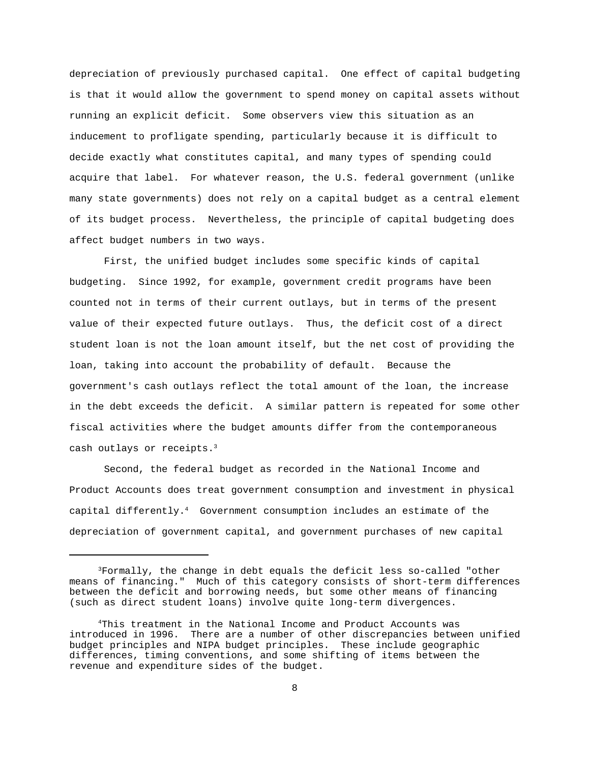depreciation of previously purchased capital. One effect of capital budgeting is that it would allow the government to spend money on capital assets without running an explicit deficit. Some observers view this situation as an inducement to profligate spending, particularly because it is difficult to decide exactly what constitutes capital, and many types of spending could acquire that label. For whatever reason, the U.S. federal government (unlike many state governments) does not rely on a capital budget as a central element of its budget process. Nevertheless, the principle of capital budgeting does affect budget numbers in two ways.

First, the unified budget includes some specific kinds of capital budgeting. Since 1992, for example, government credit programs have been counted not in terms of their current outlays, but in terms of the present value of their expected future outlays. Thus, the deficit cost of a direct student loan is not the loan amount itself, but the net cost of providing the loan, taking into account the probability of default. Because the government's cash outlays reflect the total amount of the loan, the increase in the debt exceeds the deficit. A similar pattern is repeated for some other fiscal activities where the budget amounts differ from the contemporaneous cash outlays or receipts.<sup>3</sup>

Second, the federal budget as recorded in the National Income and Product Accounts does treat government consumption and investment in physical capital differently.<sup>4</sup> Government consumption includes an estimate of the depreciation of government capital, and government purchases of new capital

<sup>3</sup>Formally, the change in debt equals the deficit less so-called "other means of financing." Much of this category consists of short-term differences between the deficit and borrowing needs, but some other means of financing (such as direct student loans) involve quite long-term divergences.

<sup>4</sup>This treatment in the National Income and Product Accounts was introduced in 1996. There are a number of other discrepancies between unified budget principles and NIPA budget principles. These include geographic differences, timing conventions, and some shifting of items between the revenue and expenditure sides of the budget.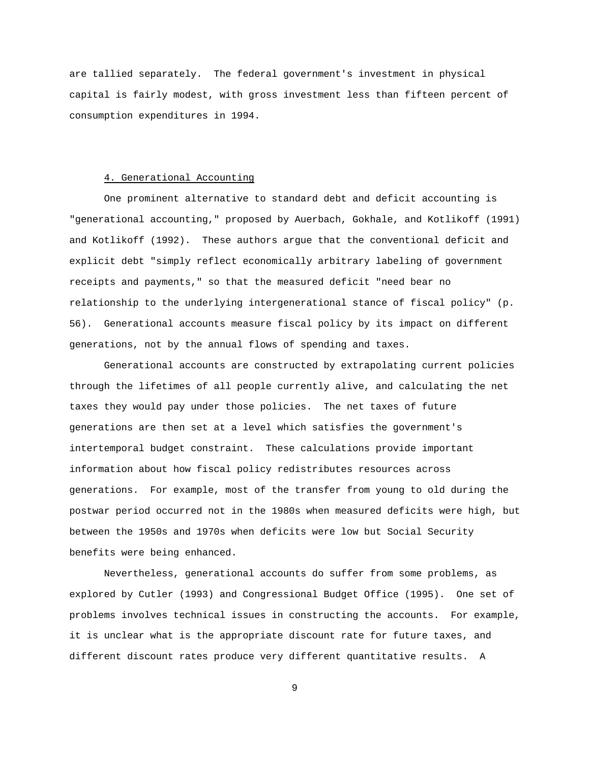are tallied separately. The federal government's investment in physical capital is fairly modest, with gross investment less than fifteen percent of consumption expenditures in 1994.

#### 4. Generational Accounting

One prominent alternative to standard debt and deficit accounting is "generational accounting," proposed by Auerbach, Gokhale, and Kotlikoff (1991) and Kotlikoff (1992). These authors argue that the conventional deficit and explicit debt "simply reflect economically arbitrary labeling of government receipts and payments," so that the measured deficit "need bear no relationship to the underlying intergenerational stance of fiscal policy" (p. 56). Generational accounts measure fiscal policy by its impact on different generations, not by the annual flows of spending and taxes.

Generational accounts are constructed by extrapolating current policies through the lifetimes of all people currently alive, and calculating the net taxes they would pay under those policies. The net taxes of future generations are then set at a level which satisfies the government's intertemporal budget constraint. These calculations provide important information about how fiscal policy redistributes resources across generations. For example, most of the transfer from young to old during the postwar period occurred not in the 1980s when measured deficits were high, but between the 1950s and 1970s when deficits were low but Social Security benefits were being enhanced.

Nevertheless, generational accounts do suffer from some problems, as explored by Cutler (1993) and Congressional Budget Office (1995). One set of problems involves technical issues in constructing the accounts. For example, it is unclear what is the appropriate discount rate for future taxes, and different discount rates produce very different quantitative results. A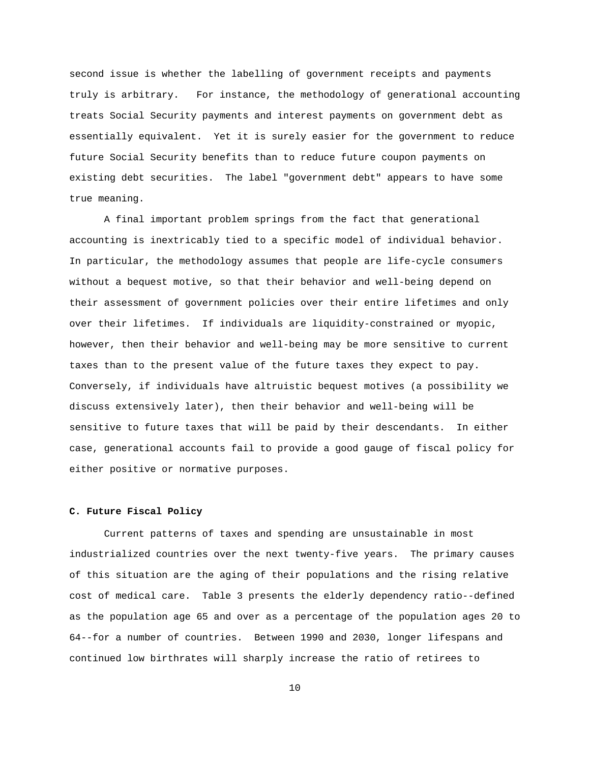second issue is whether the labelling of government receipts and payments truly is arbitrary. For instance, the methodology of generational accounting treats Social Security payments and interest payments on government debt as essentially equivalent. Yet it is surely easier for the government to reduce future Social Security benefits than to reduce future coupon payments on existing debt securities. The label "government debt" appears to have some true meaning.

A final important problem springs from the fact that generational accounting is inextricably tied to a specific model of individual behavior. In particular, the methodology assumes that people are life-cycle consumers without a bequest motive, so that their behavior and well-being depend on their assessment of government policies over their entire lifetimes and only over their lifetimes. If individuals are liquidity-constrained or myopic, however, then their behavior and well-being may be more sensitive to current taxes than to the present value of the future taxes they expect to pay. Conversely, if individuals have altruistic bequest motives (a possibility we discuss extensively later), then their behavior and well-being will be sensitive to future taxes that will be paid by their descendants. In either case, generational accounts fail to provide a good gauge of fiscal policy for either positive or normative purposes.

## **C. Future Fiscal Policy**

Current patterns of taxes and spending are unsustainable in most industrialized countries over the next twenty-five years. The primary causes of this situation are the aging of their populations and the rising relative cost of medical care. Table 3 presents the elderly dependency ratio--defined as the population age 65 and over as a percentage of the population ages 20 to 64--for a number of countries. Between 1990 and 2030, longer lifespans and continued low birthrates will sharply increase the ratio of retirees to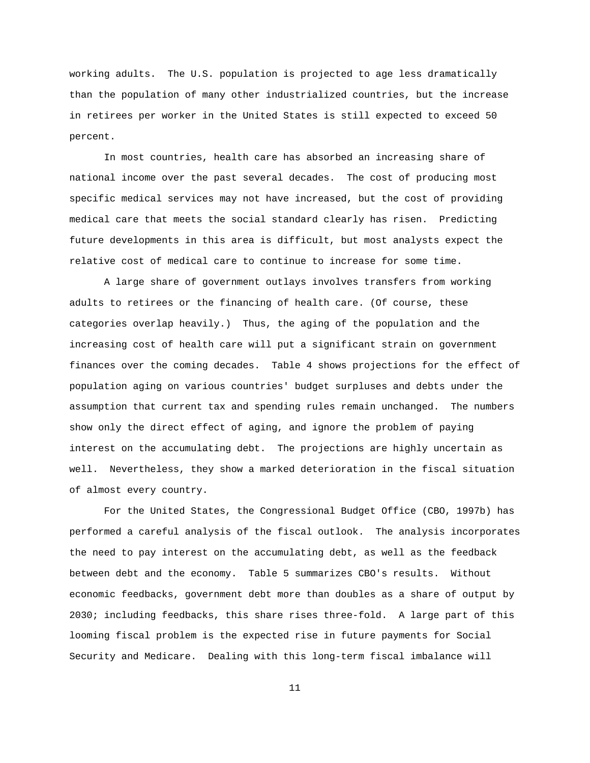working adults. The U.S. population is projected to age less dramatically than the population of many other industrialized countries, but the increase in retirees per worker in the United States is still expected to exceed 50 percent.

In most countries, health care has absorbed an increasing share of national income over the past several decades. The cost of producing most specific medical services may not have increased, but the cost of providing medical care that meets the social standard clearly has risen. Predicting future developments in this area is difficult, but most analysts expect the relative cost of medical care to continue to increase for some time.

A large share of government outlays involves transfers from working adults to retirees or the financing of health care. (Of course, these categories overlap heavily.) Thus, the aging of the population and the increasing cost of health care will put a significant strain on government finances over the coming decades. Table 4 shows projections for the effect of population aging on various countries' budget surpluses and debts under the assumption that current tax and spending rules remain unchanged. The numbers show only the direct effect of aging, and ignore the problem of paying interest on the accumulating debt. The projections are highly uncertain as well. Nevertheless, they show a marked deterioration in the fiscal situation of almost every country.

For the United States, the Congressional Budget Office (CBO, 1997b) has performed a careful analysis of the fiscal outlook. The analysis incorporates the need to pay interest on the accumulating debt, as well as the feedback between debt and the economy. Table 5 summarizes CBO's results. Without economic feedbacks, government debt more than doubles as a share of output by 2030; including feedbacks, this share rises three-fold. A large part of this looming fiscal problem is the expected rise in future payments for Social Security and Medicare. Dealing with this long-term fiscal imbalance will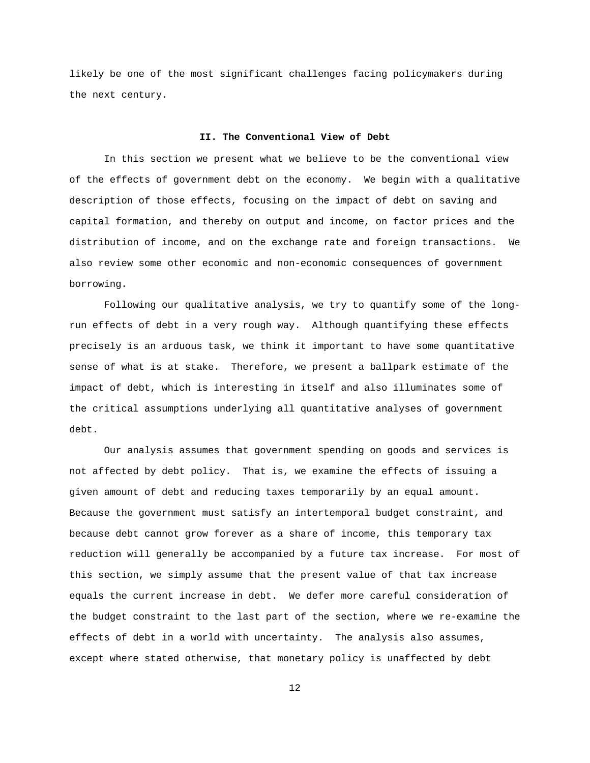likely be one of the most significant challenges facing policymakers during the next century.

#### **II. The Conventional View of Debt**

In this section we present what we believe to be the conventional view of the effects of government debt on the economy. We begin with a qualitative description of those effects, focusing on the impact of debt on saving and capital formation, and thereby on output and income, on factor prices and the distribution of income, and on the exchange rate and foreign transactions. We also review some other economic and non-economic consequences of government borrowing.

Following our qualitative analysis, we try to quantify some of the longrun effects of debt in a very rough way. Although quantifying these effects precisely is an arduous task, we think it important to have some quantitative sense of what is at stake. Therefore, we present a ballpark estimate of the impact of debt, which is interesting in itself and also illuminates some of the critical assumptions underlying all quantitative analyses of government debt.

Our analysis assumes that government spending on goods and services is not affected by debt policy. That is, we examine the effects of issuing a given amount of debt and reducing taxes temporarily by an equal amount. Because the government must satisfy an intertemporal budget constraint, and because debt cannot grow forever as a share of income, this temporary tax reduction will generally be accompanied by a future tax increase. For most of this section, we simply assume that the present value of that tax increase equals the current increase in debt. We defer more careful consideration of the budget constraint to the last part of the section, where we re-examine the effects of debt in a world with uncertainty. The analysis also assumes, except where stated otherwise, that monetary policy is unaffected by debt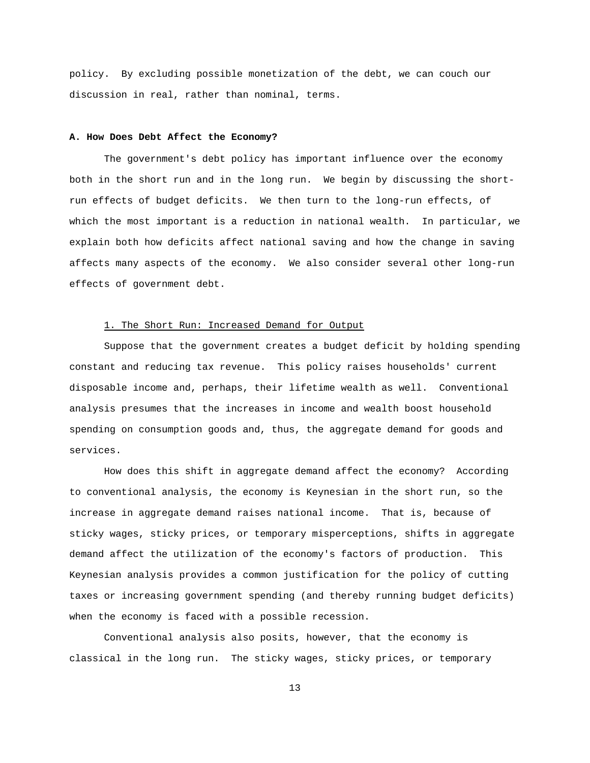policy. By excluding possible monetization of the debt, we can couch our discussion in real, rather than nominal, terms.

#### **A. How Does Debt Affect the Economy?**

The government's debt policy has important influence over the economy both in the short run and in the long run. We begin by discussing the shortrun effects of budget deficits. We then turn to the long-run effects, of which the most important is a reduction in national wealth. In particular, we explain both how deficits affect national saving and how the change in saving affects many aspects of the economy. We also consider several other long-run effects of government debt.

#### 1. The Short Run: Increased Demand for Output

Suppose that the government creates a budget deficit by holding spending constant and reducing tax revenue. This policy raises households' current disposable income and, perhaps, their lifetime wealth as well. Conventional analysis presumes that the increases in income and wealth boost household spending on consumption goods and, thus, the aggregate demand for goods and services.

How does this shift in aggregate demand affect the economy? According to conventional analysis, the economy is Keynesian in the short run, so the increase in aggregate demand raises national income. That is, because of sticky wages, sticky prices, or temporary misperceptions, shifts in aggregate demand affect the utilization of the economy's factors of production. This Keynesian analysis provides a common justification for the policy of cutting taxes or increasing government spending (and thereby running budget deficits) when the economy is faced with a possible recession.

Conventional analysis also posits, however, that the economy is classical in the long run. The sticky wages, sticky prices, or temporary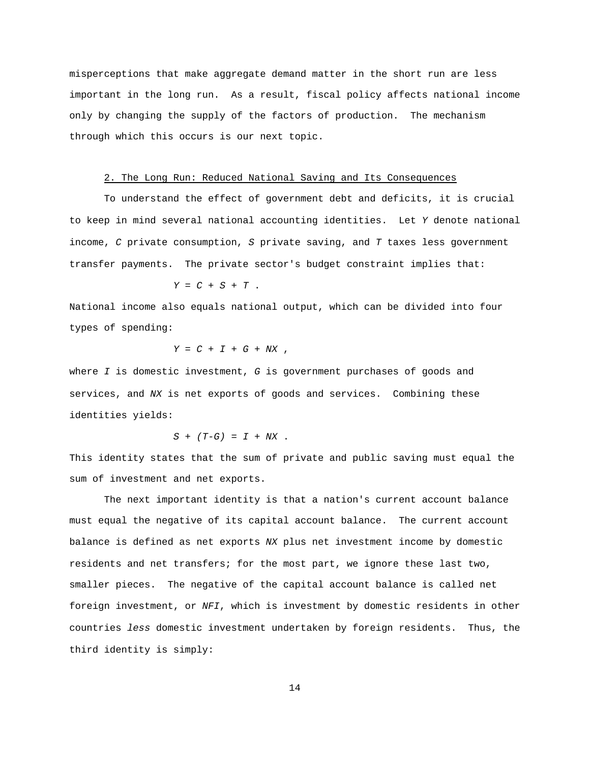misperceptions that make aggregate demand matter in the short run are less important in the long run. As a result, fiscal policy affects national income only by changing the supply of the factors of production. The mechanism through which this occurs is our next topic.

#### 2. The Long Run: Reduced National Saving and Its Consequences

To understand the effect of government debt and deficits, it is crucial to keep in mind several national accounting identities. Let *Y* denote national income, *C* private consumption, *S* private saving, and *T* taxes less government transfer payments. The private sector's budget constraint implies that:

$$
Y = C + S + T .
$$

National income also equals national output, which can be divided into four types of spending:

$$
Y = C + I + G + NX ,
$$

where *I* is domestic investment, *G* is government purchases of goods and services, and *NX* is net exports of goods and services. Combining these identities yields:

$$
S + (T-G) = I + NX .
$$

This identity states that the sum of private and public saving must equal the sum of investment and net exports.

The next important identity is that a nation's current account balance must equal the negative of its capital account balance. The current account balance is defined as net exports *NX* plus net investment income by domestic residents and net transfers; for the most part, we ignore these last two, smaller pieces. The negative of the capital account balance is called net foreign investment, or *NFI*, which is investment by domestic residents in other countries *less* domestic investment undertaken by foreign residents. Thus, the third identity is simply: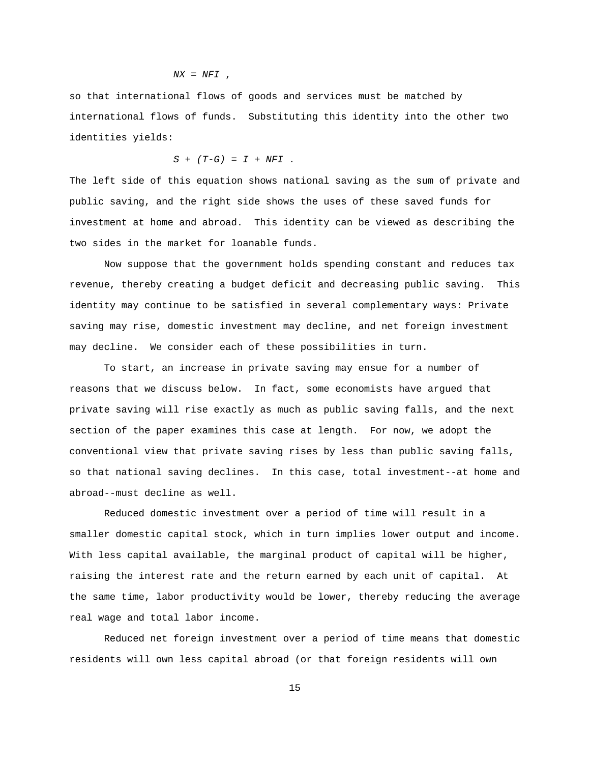#### *NX = NFI* ,

so that international flows of goods and services must be matched by international flows of funds. Substituting this identity into the other two identities yields:

$$
S + (T-G) = I + NFI .
$$

The left side of this equation shows national saving as the sum of private and public saving, and the right side shows the uses of these saved funds for investment at home and abroad. This identity can be viewed as describing the two sides in the market for loanable funds.

Now suppose that the government holds spending constant and reduces tax revenue, thereby creating a budget deficit and decreasing public saving. This identity may continue to be satisfied in several complementary ways: Private saving may rise, domestic investment may decline, and net foreign investment may decline. We consider each of these possibilities in turn.

To start, an increase in private saving may ensue for a number of reasons that we discuss below. In fact, some economists have argued that private saving will rise exactly as much as public saving falls, and the next section of the paper examines this case at length. For now, we adopt the conventional view that private saving rises by less than public saving falls, so that national saving declines. In this case, total investment--at home and abroad--must decline as well.

Reduced domestic investment over a period of time will result in a smaller domestic capital stock, which in turn implies lower output and income. With less capital available, the marginal product of capital will be higher, raising the interest rate and the return earned by each unit of capital. At the same time, labor productivity would be lower, thereby reducing the average real wage and total labor income.

Reduced net foreign investment over a period of time means that domestic residents will own less capital abroad (or that foreign residents will own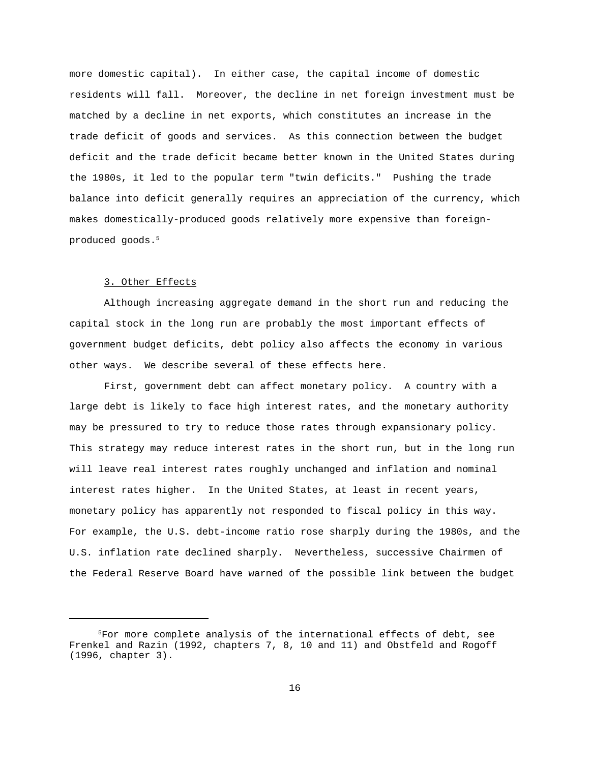more domestic capital). In either case, the capital income of domestic residents will fall. Moreover, the decline in net foreign investment must be matched by a decline in net exports, which constitutes an increase in the trade deficit of goods and services. As this connection between the budget deficit and the trade deficit became better known in the United States during the 1980s, it led to the popular term "twin deficits." Pushing the trade balance into deficit generally requires an appreciation of the currency, which makes domestically-produced goods relatively more expensive than foreignproduced goods.<sup>5</sup>

### 3. Other Effects

Although increasing aggregate demand in the short run and reducing the capital stock in the long run are probably the most important effects of government budget deficits, debt policy also affects the economy in various other ways. We describe several of these effects here.

First, government debt can affect monetary policy. A country with a large debt is likely to face high interest rates, and the monetary authority may be pressured to try to reduce those rates through expansionary policy. This strategy may reduce interest rates in the short run, but in the long run will leave real interest rates roughly unchanged and inflation and nominal interest rates higher. In the United States, at least in recent years, monetary policy has apparently not responded to fiscal policy in this way. For example, the U.S. debt-income ratio rose sharply during the 1980s, and the U.S. inflation rate declined sharply. Nevertheless, successive Chairmen of the Federal Reserve Board have warned of the possible link between the budget

<sup>5</sup>For more complete analysis of the international effects of debt, see Frenkel and Razin (1992, chapters 7, 8, 10 and 11) and Obstfeld and Rogoff (1996, chapter 3).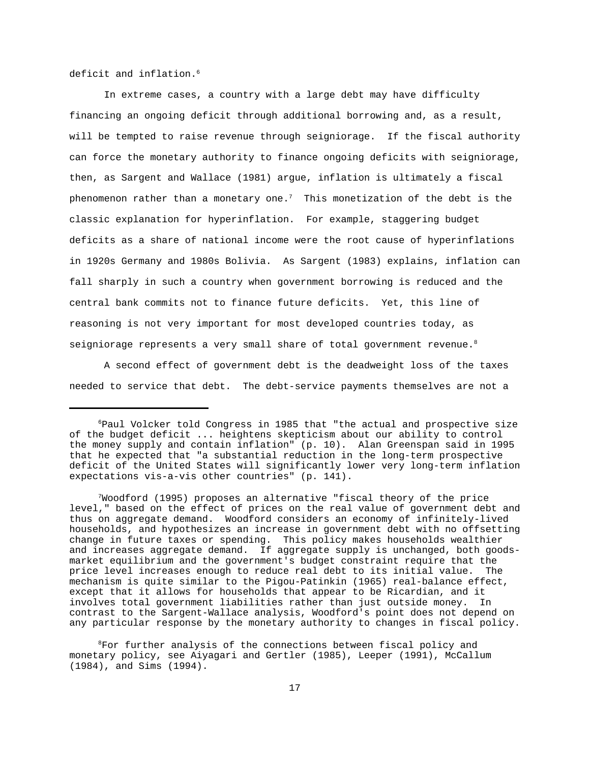deficit and inflation.<sup>6</sup>

In extreme cases, a country with a large debt may have difficulty financing an ongoing deficit through additional borrowing and, as a result, will be tempted to raise revenue through seigniorage. If the fiscal authority can force the monetary authority to finance ongoing deficits with seigniorage, then, as Sargent and Wallace (1981) argue, inflation is ultimately a fiscal phenomenon rather than a monetary one.<sup>7</sup> This monetization of the debt is the classic explanation for hyperinflation. For example, staggering budget deficits as a share of national income were the root cause of hyperinflations in 1920s Germany and 1980s Bolivia. As Sargent (1983) explains, inflation can fall sharply in such a country when government borrowing is reduced and the central bank commits not to finance future deficits. Yet, this line of reasoning is not very important for most developed countries today, as seigniorage represents a very small share of total government revenue.<sup>8</sup>

A second effect of government debt is the deadweight loss of the taxes needed to service that debt. The debt-service payments themselves are not a

<sup>8</sup>For further analysis of the connections between fiscal policy and monetary policy, see Aiyagari and Gertler (1985), Leeper (1991), McCallum (1984), and Sims (1994).

 $6$ Paul Volcker told Congress in 1985 that "the actual and prospective size of the budget deficit ... heightens skepticism about our ability to control the money supply and contain inflation" (p. 10). Alan Greenspan said in 1995 that he expected that "a substantial reduction in the long-term prospective deficit of the United States will significantly lower very long-term inflation expectations vis-a-vis other countries" (p. 141).

<sup>7</sup>Woodford (1995) proposes an alternative "fiscal theory of the price level," based on the effect of prices on the real value of government debt and thus on aggregate demand. Woodford considers an economy of infinitely-lived households, and hypothesizes an increase in government debt with no offsetting change in future taxes or spending. This policy makes households wealthier and increases aggregate demand. If aggregate supply is unchanged, both goodsmarket equilibrium and the government's budget constraint require that the price level increases enough to reduce real debt to its initial value. The mechanism is quite similar to the Pigou-Patinkin (1965) real-balance effect, except that it allows for households that appear to be Ricardian, and it involves total government liabilities rather than just outside money. In contrast to the Sargent-Wallace analysis, Woodford's point does not depend on any particular response by the monetary authority to changes in fiscal policy.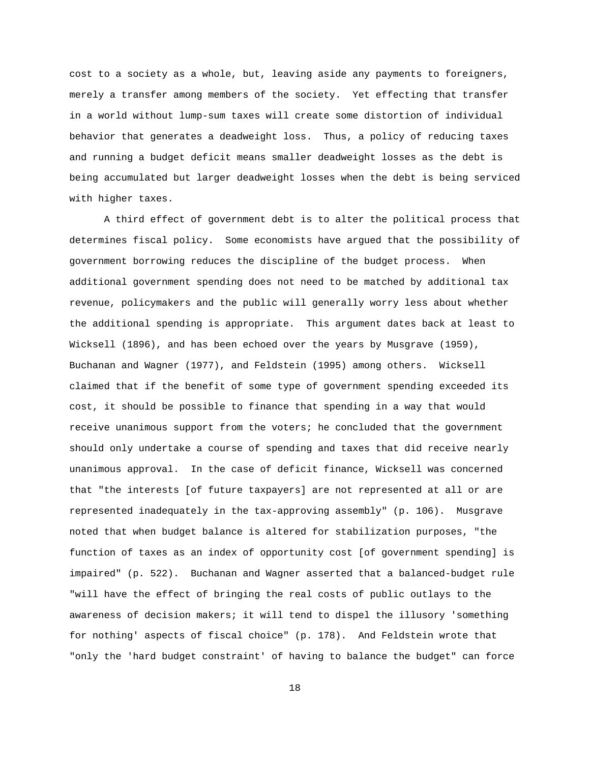cost to a society as a whole, but, leaving aside any payments to foreigners, merely a transfer among members of the society. Yet effecting that transfer in a world without lump-sum taxes will create some distortion of individual behavior that generates a deadweight loss. Thus, a policy of reducing taxes and running a budget deficit means smaller deadweight losses as the debt is being accumulated but larger deadweight losses when the debt is being serviced with higher taxes.

A third effect of government debt is to alter the political process that determines fiscal policy. Some economists have argued that the possibility of government borrowing reduces the discipline of the budget process. When additional government spending does not need to be matched by additional tax revenue, policymakers and the public will generally worry less about whether the additional spending is appropriate. This argument dates back at least to Wicksell (1896), and has been echoed over the years by Musgrave (1959), Buchanan and Wagner (1977), and Feldstein (1995) among others. Wicksell claimed that if the benefit of some type of government spending exceeded its cost, it should be possible to finance that spending in a way that would receive unanimous support from the voters; he concluded that the government should only undertake a course of spending and taxes that did receive nearly unanimous approval. In the case of deficit finance, Wicksell was concerned that "the interests [of future taxpayers] are not represented at all or are represented inadequately in the tax-approving assembly" (p. 106). Musgrave noted that when budget balance is altered for stabilization purposes, "the function of taxes as an index of opportunity cost [of government spending] is impaired" (p. 522). Buchanan and Wagner asserted that a balanced-budget rule "will have the effect of bringing the real costs of public outlays to the awareness of decision makers; it will tend to dispel the illusory 'something for nothing' aspects of fiscal choice" (p. 178). And Feldstein wrote that "only the 'hard budget constraint' of having to balance the budget" can force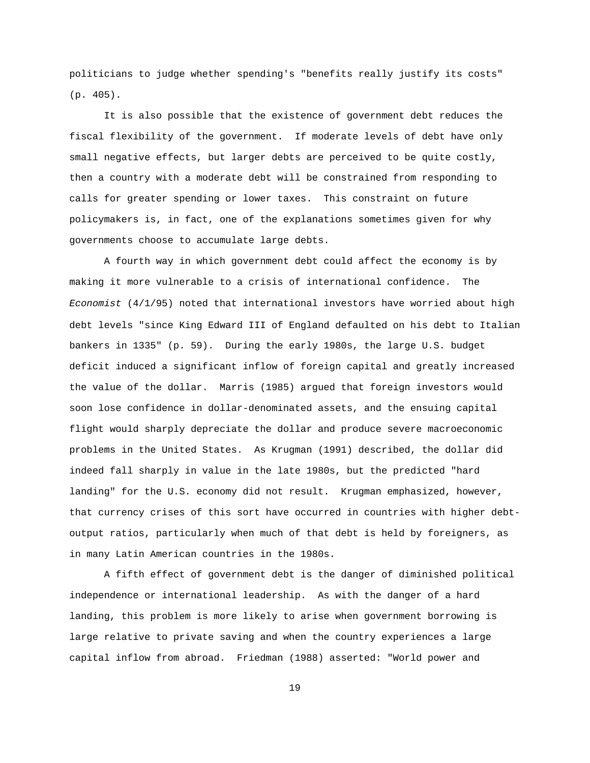politicians to judge whether spending's "benefits really justify its costs" (p. 405).

It is also possible that the existence of government debt reduces the fiscal flexibility of the government. If moderate levels of debt have only small negative effects, but larger debts are perceived to be quite costly, then a country with a moderate debt will be constrained from responding to calls for greater spending or lower taxes. This constraint on future policymakers is, in fact, one of the explanations sometimes given for why governments choose to accumulate large debts.

A fourth way in which government debt could affect the economy is by making it more vulnerable to a crisis of international confidence. The *Economist* (4/1/95) noted that international investors have worried about high debt levels "since King Edward III of England defaulted on his debt to Italian bankers in 1335" (p. 59). During the early 1980s, the large U.S. budget deficit induced a significant inflow of foreign capital and greatly increased the value of the dollar. Marris (1985) argued that foreign investors would soon lose confidence in dollar-denominated assets, and the ensuing capital flight would sharply depreciate the dollar and produce severe macroeconomic problems in the United States. As Krugman (1991) described, the dollar did indeed fall sharply in value in the late 1980s, but the predicted "hard landing" for the U.S. economy did not result. Krugman emphasized, however, that currency crises of this sort have occurred in countries with higher debtoutput ratios, particularly when much of that debt is held by foreigners, as in many Latin American countries in the 1980s.

A fifth effect of government debt is the danger of diminished political independence or international leadership. As with the danger of a hard landing, this problem is more likely to arise when government borrowing is large relative to private saving and when the country experiences a large capital inflow from abroad. Friedman (1988) asserted: "World power and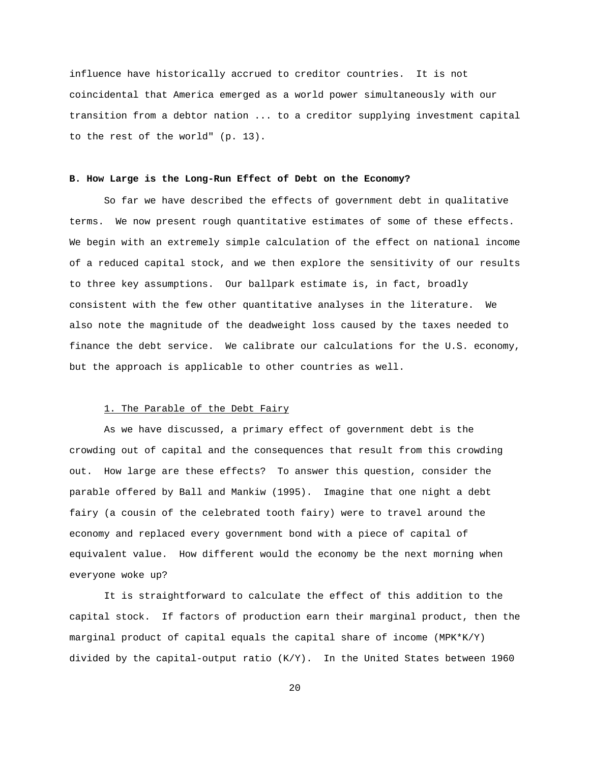influence have historically accrued to creditor countries. It is not coincidental that America emerged as a world power simultaneously with our transition from a debtor nation ... to a creditor supplying investment capital to the rest of the world" (p. 13).

#### **B. How Large is the Long-Run Effect of Debt on the Economy?**

So far we have described the effects of government debt in qualitative terms. We now present rough quantitative estimates of some of these effects. We begin with an extremely simple calculation of the effect on national income of a reduced capital stock, and we then explore the sensitivity of our results to three key assumptions. Our ballpark estimate is, in fact, broadly consistent with the few other quantitative analyses in the literature. We also note the magnitude of the deadweight loss caused by the taxes needed to finance the debt service. We calibrate our calculations for the U.S. economy, but the approach is applicable to other countries as well.

#### 1. The Parable of the Debt Fairy

As we have discussed, a primary effect of government debt is the crowding out of capital and the consequences that result from this crowding out. How large are these effects? To answer this question, consider the parable offered by Ball and Mankiw (1995). Imagine that one night a debt fairy (a cousin of the celebrated tooth fairy) were to travel around the economy and replaced every government bond with a piece of capital of equivalent value. How different would the economy be the next morning when everyone woke up?

It is straightforward to calculate the effect of this addition to the capital stock. If factors of production earn their marginal product, then the marginal product of capital equals the capital share of income (MPK\*K/Y) divided by the capital-output ratio (K/Y). In the United States between 1960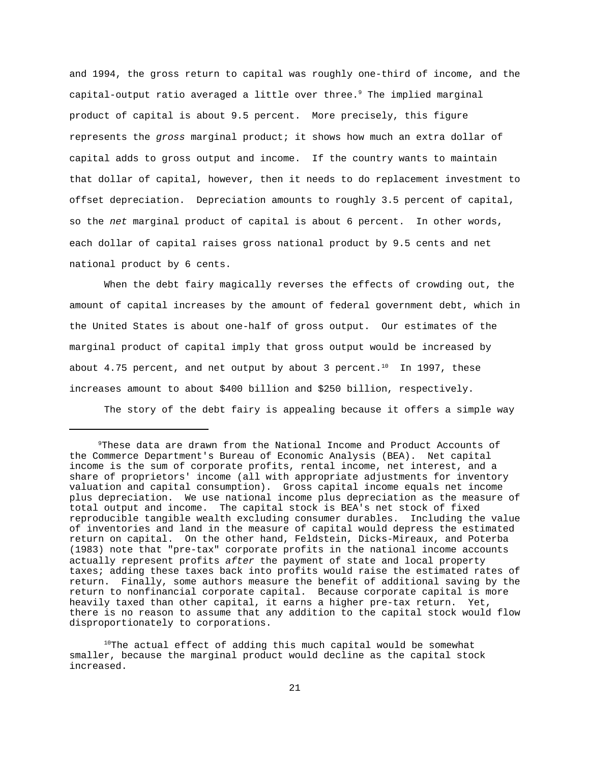and 1994, the gross return to capital was roughly one-third of income, and the capital-output ratio averaged a little over three.<sup>9</sup> The implied marginal product of capital is about 9.5 percent. More precisely, this figure represents the *gross* marginal product; it shows how much an extra dollar of capital adds to gross output and income. If the country wants to maintain that dollar of capital, however, then it needs to do replacement investment to offset depreciation. Depreciation amounts to roughly 3.5 percent of capital, so the *net* marginal product of capital is about 6 percent. In other words, each dollar of capital raises gross national product by 9.5 cents and net national product by 6 cents.

When the debt fairy magically reverses the effects of crowding out, the amount of capital increases by the amount of federal government debt, which in the United States is about one-half of gross output. Our estimates of the marginal product of capital imply that gross output would be increased by about 4.75 percent, and net output by about 3 percent.<sup>10</sup> In 1997, these increases amount to about \$400 billion and \$250 billion, respectively.

The story of the debt fairy is appealing because it offers a simple way

<sup>9</sup>These data are drawn from the National Income and Product Accounts of the Commerce Department's Bureau of Economic Analysis (BEA). Net capital income is the sum of corporate profits, rental income, net interest, and a share of proprietors' income (all with appropriate adjustments for inventory valuation and capital consumption). Gross capital income equals net income plus depreciation. We use national income plus depreciation as the measure of total output and income. The capital stock is BEA's net stock of fixed reproducible tangible wealth excluding consumer durables. Including the value of inventories and land in the measure of capital would depress the estimated return on capital. On the other hand, Feldstein, Dicks-Mireaux, and Poterba (1983) note that "pre-tax" corporate profits in the national income accounts actually represent profits *after* the payment of state and local property taxes; adding these taxes back into profits would raise the estimated rates of return. Finally, some authors measure the benefit of additional saving by the return to nonfinancial corporate capital. Because corporate capital is more heavily taxed than other capital, it earns a higher pre-tax return. Yet, there is no reason to assume that any addition to the capital stock would flow disproportionately to corporations.

 $10$ The actual effect of adding this much capital would be somewhat smaller, because the marginal product would decline as the capital stock increased.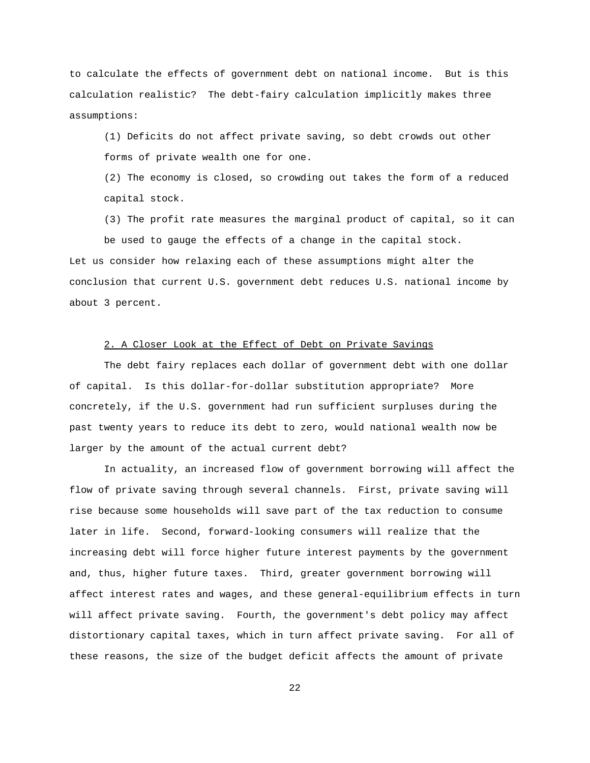to calculate the effects of government debt on national income. But is this calculation realistic? The debt-fairy calculation implicitly makes three assumptions:

(1) Deficits do not affect private saving, so debt crowds out other forms of private wealth one for one.

(2) The economy is closed, so crowding out takes the form of a reduced capital stock.

(3) The profit rate measures the marginal product of capital, so it can be used to gauge the effects of a change in the capital stock. Let us consider how relaxing each of these assumptions might alter the conclusion that current U.S. government debt reduces U.S. national income by about 3 percent.

## 2. A Closer Look at the Effect of Debt on Private Savings

The debt fairy replaces each dollar of government debt with one dollar of capital. Is this dollar-for-dollar substitution appropriate? More concretely, if the U.S. government had run sufficient surpluses during the past twenty years to reduce its debt to zero, would national wealth now be larger by the amount of the actual current debt?

In actuality, an increased flow of government borrowing will affect the flow of private saving through several channels. First, private saving will rise because some households will save part of the tax reduction to consume later in life. Second, forward-looking consumers will realize that the increasing debt will force higher future interest payments by the government and, thus, higher future taxes. Third, greater government borrowing will affect interest rates and wages, and these general-equilibrium effects in turn will affect private saving. Fourth, the government's debt policy may affect distortionary capital taxes, which in turn affect private saving. For all of these reasons, the size of the budget deficit affects the amount of private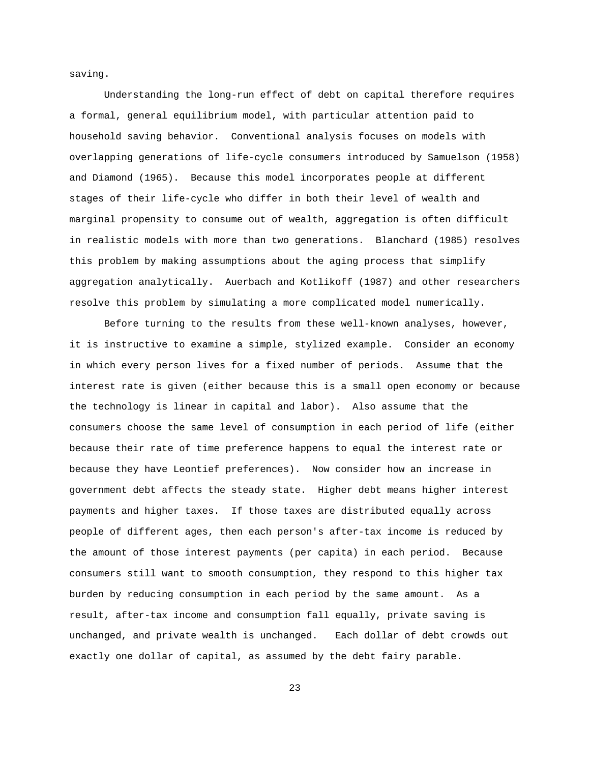saving.

Understanding the long-run effect of debt on capital therefore requires a formal, general equilibrium model, with particular attention paid to household saving behavior. Conventional analysis focuses on models with overlapping generations of life-cycle consumers introduced by Samuelson (1958) and Diamond (1965). Because this model incorporates people at different stages of their life-cycle who differ in both their level of wealth and marginal propensity to consume out of wealth, aggregation is often difficult in realistic models with more than two generations. Blanchard (1985) resolves this problem by making assumptions about the aging process that simplify aggregation analytically. Auerbach and Kotlikoff (1987) and other researchers resolve this problem by simulating a more complicated model numerically.

Before turning to the results from these well-known analyses, however, it is instructive to examine a simple, stylized example. Consider an economy in which every person lives for a fixed number of periods. Assume that the interest rate is given (either because this is a small open economy or because the technology is linear in capital and labor). Also assume that the consumers choose the same level of consumption in each period of life (either because their rate of time preference happens to equal the interest rate or because they have Leontief preferences). Now consider how an increase in government debt affects the steady state. Higher debt means higher interest payments and higher taxes. If those taxes are distributed equally across people of different ages, then each person's after-tax income is reduced by the amount of those interest payments (per capita) in each period. Because consumers still want to smooth consumption, they respond to this higher tax burden by reducing consumption in each period by the same amount. As a result, after-tax income and consumption fall equally, private saving is unchanged, and private wealth is unchanged. Each dollar of debt crowds out exactly one dollar of capital, as assumed by the debt fairy parable.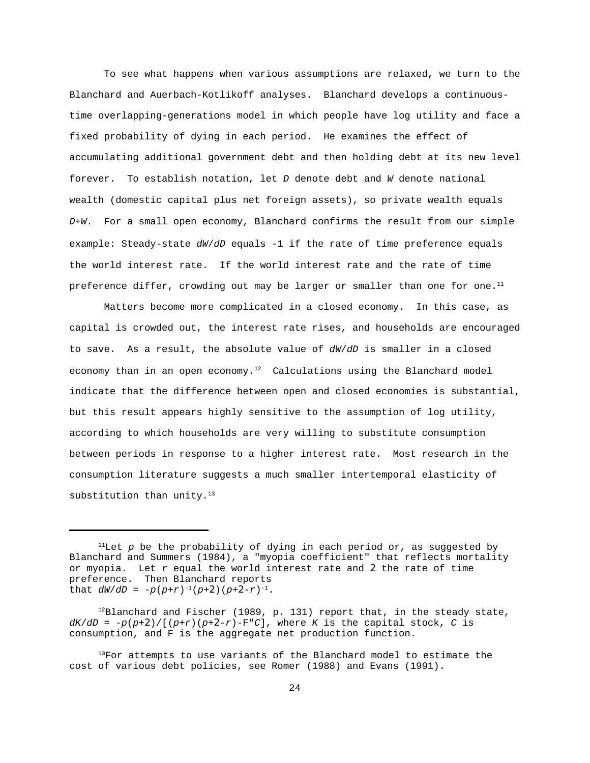To see what happens when various assumptions are relaxed, we turn to the Blanchard and Auerbach-Kotlikoff analyses. Blanchard develops a continuoustime overlapping-generations model in which people have log utility and face a fixed probability of dying in each period. He examines the effect of accumulating additional government debt and then holding debt at its new level forever. To establish notation, let *D* denote debt and *W* denote national wealth (domestic capital plus net foreign assets), so private wealth equals *D*+*W*. For a small open economy, Blanchard confirms the result from our simple example: Steady-state *dW*/*dD* equals -1 if the rate of time preference equals the world interest rate. If the world interest rate and the rate of time preference differ, crowding out may be larger or smaller than one for one. $11$ 

Matters become more complicated in a closed economy. In this case, as capital is crowded out, the interest rate rises, and households are encouraged to save. As a result, the absolute value of *dW*/*dD* is smaller in a closed economy than in an open economy.<sup>12</sup> Calculations using the Blanchard model indicate that the difference between open and closed economies is substantial, but this result appears highly sensitive to the assumption of log utility, according to which households are very willing to substitute consumption between periods in response to a higher interest rate. Most research in the consumption literature suggests a much smaller intertemporal elasticity of substitution than unity.<sup>13</sup>

<sup>11</sup>Let *p* be the probability of dying in each period or, as suggested by Blanchard and Summers (1984), a "myopia coefficient" that reflects mortality or myopia. Let *r* equal the world interest rate and *2* the rate of time preference. Then Blanchard reports that  $dW/dD = -p(p+r)^{-1}(p+2)(p+2-r)^{-1}$ .

 $12B$ lanchard and Fischer (1989, p. 131) report that, in the steady state,  $dK/dD = -p(p+2)/(p+r)(p+2-r) - F''C$ , where *K* is the capital stock, *C* is consumption, and F is the aggregate net production function.

 $13$ For attempts to use variants of the Blanchard model to estimate the cost of various debt policies, see Romer (1988) and Evans (1991).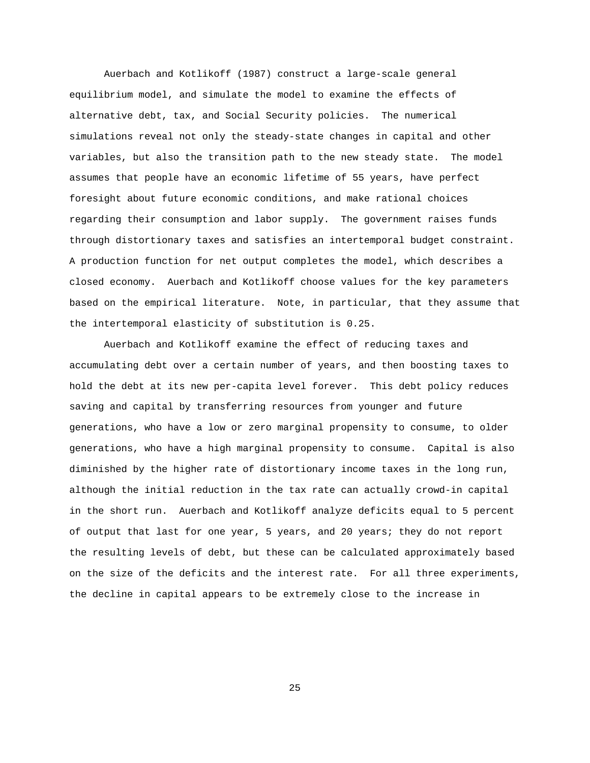Auerbach and Kotlikoff (1987) construct a large-scale general equilibrium model, and simulate the model to examine the effects of alternative debt, tax, and Social Security policies. The numerical simulations reveal not only the steady-state changes in capital and other variables, but also the transition path to the new steady state. The model assumes that people have an economic lifetime of 55 years, have perfect foresight about future economic conditions, and make rational choices regarding their consumption and labor supply. The government raises funds through distortionary taxes and satisfies an intertemporal budget constraint. A production function for net output completes the model, which describes a closed economy. Auerbach and Kotlikoff choose values for the key parameters based on the empirical literature. Note, in particular, that they assume that the intertemporal elasticity of substitution is 0.25.

Auerbach and Kotlikoff examine the effect of reducing taxes and accumulating debt over a certain number of years, and then boosting taxes to hold the debt at its new per-capita level forever. This debt policy reduces saving and capital by transferring resources from younger and future generations, who have a low or zero marginal propensity to consume, to older generations, who have a high marginal propensity to consume. Capital is also diminished by the higher rate of distortionary income taxes in the long run, although the initial reduction in the tax rate can actually crowd-in capital in the short run. Auerbach and Kotlikoff analyze deficits equal to 5 percent of output that last for one year, 5 years, and 20 years; they do not report the resulting levels of debt, but these can be calculated approximately based on the size of the deficits and the interest rate. For all three experiments, the decline in capital appears to be extremely close to the increase in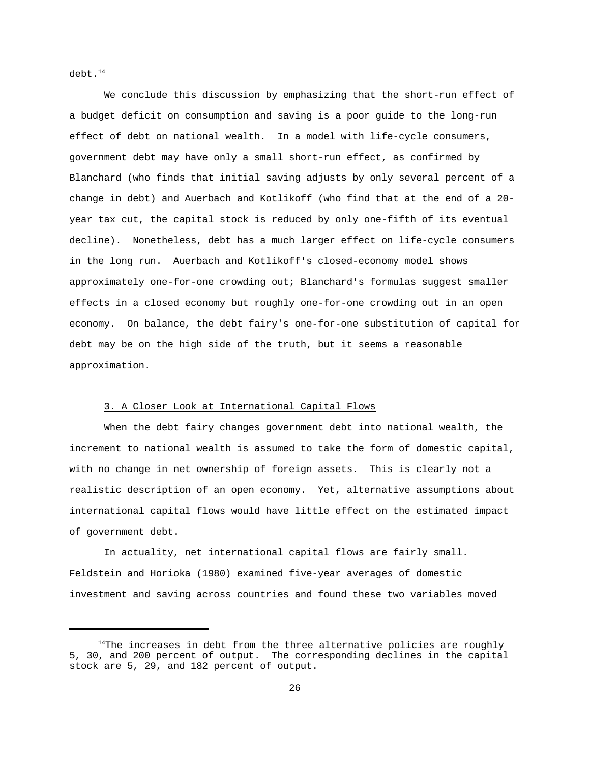$debt.^{14}$ 

We conclude this discussion by emphasizing that the short-run effect of a budget deficit on consumption and saving is a poor guide to the long-run effect of debt on national wealth. In a model with life-cycle consumers, government debt may have only a small short-run effect, as confirmed by Blanchard (who finds that initial saving adjusts by only several percent of a change in debt) and Auerbach and Kotlikoff (who find that at the end of a 20 year tax cut, the capital stock is reduced by only one-fifth of its eventual decline). Nonetheless, debt has a much larger effect on life-cycle consumers in the long run. Auerbach and Kotlikoff's closed-economy model shows approximately one-for-one crowding out; Blanchard's formulas suggest smaller effects in a closed economy but roughly one-for-one crowding out in an open economy. On balance, the debt fairy's one-for-one substitution of capital for debt may be on the high side of the truth, but it seems a reasonable approximation.

## 3. A Closer Look at International Capital Flows

When the debt fairy changes government debt into national wealth, the increment to national wealth is assumed to take the form of domestic capital, with no change in net ownership of foreign assets. This is clearly not a realistic description of an open economy. Yet, alternative assumptions about international capital flows would have little effect on the estimated impact of government debt.

In actuality, net international capital flows are fairly small. Feldstein and Horioka (1980) examined five-year averages of domestic investment and saving across countries and found these two variables moved

 $14$ The increases in debt from the three alternative policies are roughly 5, 30, and 200 percent of output. The corresponding declines in the capital stock are 5, 29, and 182 percent of output.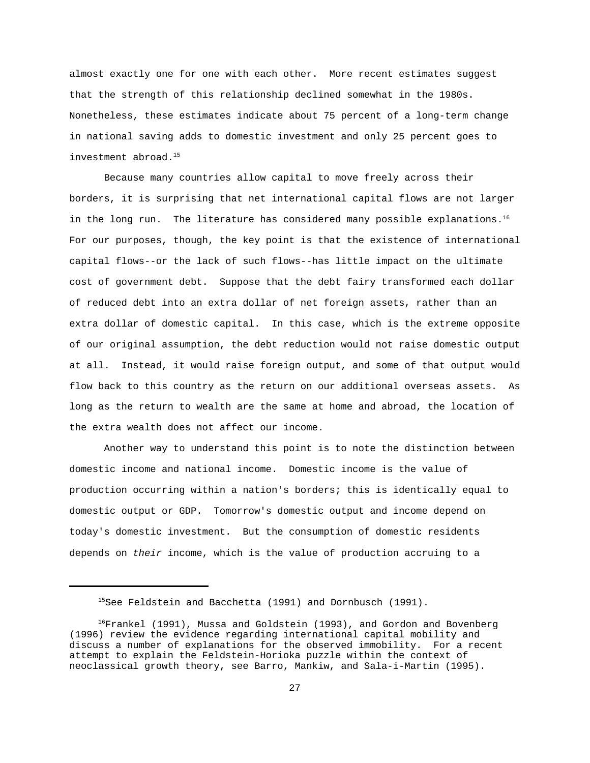almost exactly one for one with each other. More recent estimates suggest that the strength of this relationship declined somewhat in the 1980s. Nonetheless, these estimates indicate about 75 percent of a long-term change in national saving adds to domestic investment and only 25 percent goes to investment abroad.<sup>15</sup>

Because many countries allow capital to move freely across their borders, it is surprising that net international capital flows are not larger in the long run. The literature has considered many possible explanations.<sup>16</sup> For our purposes, though, the key point is that the existence of international capital flows--or the lack of such flows--has little impact on the ultimate cost of government debt. Suppose that the debt fairy transformed each dollar of reduced debt into an extra dollar of net foreign assets, rather than an extra dollar of domestic capital. In this case, which is the extreme opposite of our original assumption, the debt reduction would not raise domestic output at all. Instead, it would raise foreign output, and some of that output would flow back to this country as the return on our additional overseas assets. As long as the return to wealth are the same at home and abroad, the location of the extra wealth does not affect our income.

Another way to understand this point is to note the distinction between domestic income and national income. Domestic income is the value of production occurring within a nation's borders; this is identically equal to domestic output or GDP. Tomorrow's domestic output and income depend on today's domestic investment. But the consumption of domestic residents depends on *their* income, which is the value of production accruing to a

<sup>&</sup>lt;sup>15</sup>See Feldstein and Bacchetta (1991) and Dornbusch (1991).

<sup>&</sup>lt;sup>16</sup>Frankel (1991), Mussa and Goldstein (1993), and Gordon and Bovenberg (1996) review the evidence regarding international capital mobility and discuss a number of explanations for the observed immobility. For a recent attempt to explain the Feldstein-Horioka puzzle within the context of neoclassical growth theory, see Barro, Mankiw, and Sala-i-Martin (1995).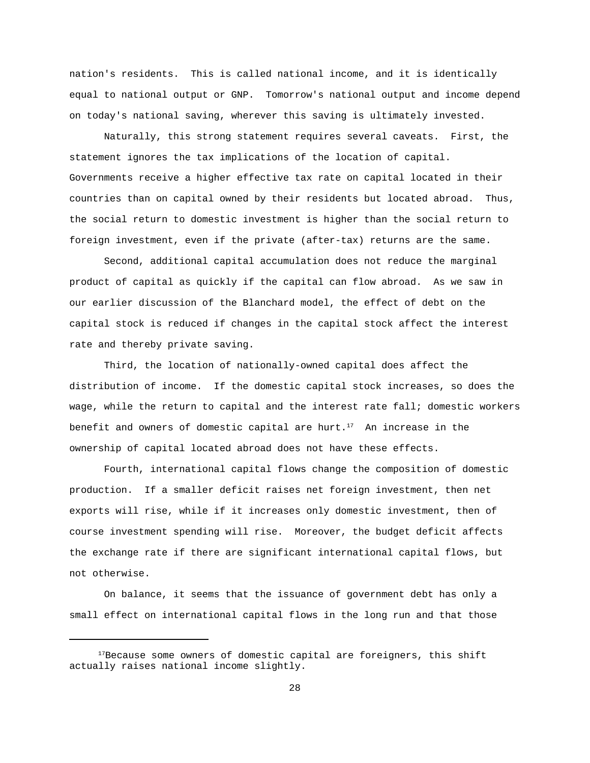nation's residents. This is called national income, and it is identically equal to national output or GNP. Tomorrow's national output and income depend on today's national saving, wherever this saving is ultimately invested.

Naturally, this strong statement requires several caveats. First, the statement ignores the tax implications of the location of capital. Governments receive a higher effective tax rate on capital located in their countries than on capital owned by their residents but located abroad. Thus, the social return to domestic investment is higher than the social return to foreign investment, even if the private (after-tax) returns are the same.

Second, additional capital accumulation does not reduce the marginal product of capital as quickly if the capital can flow abroad. As we saw in our earlier discussion of the Blanchard model, the effect of debt on the capital stock is reduced if changes in the capital stock affect the interest rate and thereby private saving.

Third, the location of nationally-owned capital does affect the distribution of income. If the domestic capital stock increases, so does the wage, while the return to capital and the interest rate fall; domestic workers benefit and owners of domestic capital are hurt.<sup>17</sup> An increase in the ownership of capital located abroad does not have these effects.

Fourth, international capital flows change the composition of domestic production. If a smaller deficit raises net foreign investment, then net exports will rise, while if it increases only domestic investment, then of course investment spending will rise. Moreover, the budget deficit affects the exchange rate if there are significant international capital flows, but not otherwise.

On balance, it seems that the issuance of government debt has only a small effect on international capital flows in the long run and that those

 $17$ Because some owners of domestic capital are foreigners, this shift actually raises national income slightly.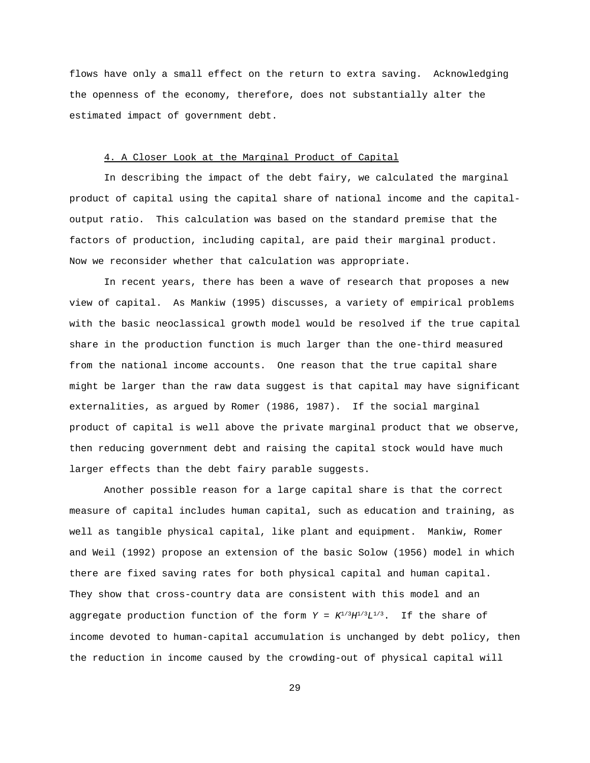flows have only a small effect on the return to extra saving. Acknowledging the openness of the economy, therefore, does not substantially alter the estimated impact of government debt.

#### 4. A Closer Look at the Marginal Product of Capital

In describing the impact of the debt fairy, we calculated the marginal product of capital using the capital share of national income and the capitaloutput ratio. This calculation was based on the standard premise that the factors of production, including capital, are paid their marginal product. Now we reconsider whether that calculation was appropriate.

In recent years, there has been a wave of research that proposes a new view of capital. As Mankiw (1995) discusses, a variety of empirical problems with the basic neoclassical growth model would be resolved if the true capital share in the production function is much larger than the one-third measured from the national income accounts. One reason that the true capital share might be larger than the raw data suggest is that capital may have significant externalities, as argued by Romer (1986, 1987). If the social marginal product of capital is well above the private marginal product that we observe, then reducing government debt and raising the capital stock would have much larger effects than the debt fairy parable suggests.

Another possible reason for a large capital share is that the correct measure of capital includes human capital, such as education and training, as well as tangible physical capital, like plant and equipment. Mankiw, Romer and Weil (1992) propose an extension of the basic Solow (1956) model in which there are fixed saving rates for both physical capital and human capital. They show that cross-country data are consistent with this model and an aggregate production function of the form  $Y = K^{1/3}H^{1/3}L^{1/3}$ . If the share of income devoted to human-capital accumulation is unchanged by debt policy, then the reduction in income caused by the crowding-out of physical capital will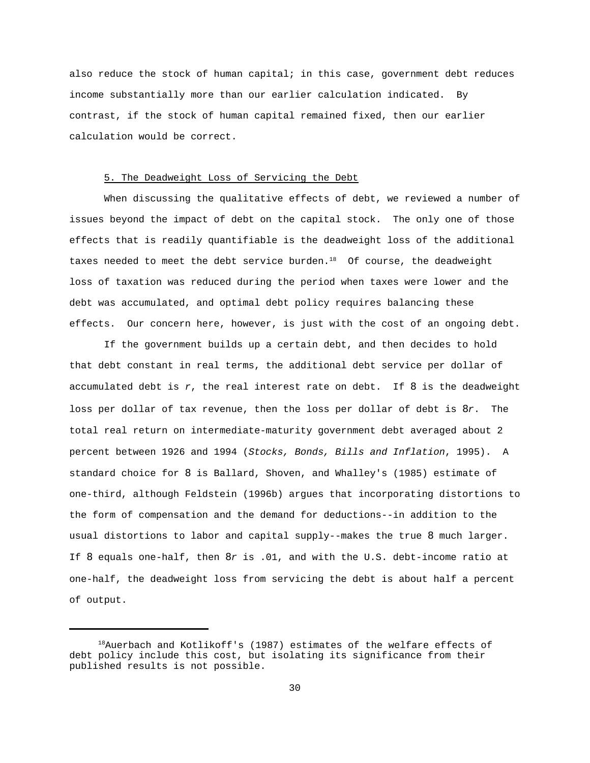also reduce the stock of human capital; in this case, government debt reduces income substantially more than our earlier calculation indicated. By contrast, if the stock of human capital remained fixed, then our earlier calculation would be correct.

#### 5. The Deadweight Loss of Servicing the Debt

When discussing the qualitative effects of debt, we reviewed a number of issues beyond the impact of debt on the capital stock. The only one of those effects that is readily quantifiable is the deadweight loss of the additional taxes needed to meet the debt service burden.<sup>18</sup> Of course, the deadweight loss of taxation was reduced during the period when taxes were lower and the debt was accumulated, and optimal debt policy requires balancing these effects. Our concern here, however, is just with the cost of an ongoing debt.

If the government builds up a certain debt, and then decides to hold that debt constant in real terms, the additional debt service per dollar of accumulated debt is *r*, the real interest rate on debt. If 8 is the deadweight loss per dollar of tax revenue, then the loss per dollar of debt is 8*r*. The total real return on intermediate-maturity government debt averaged about 2 percent between 1926 and 1994 (*Stocks, Bonds, Bills and Inflation*, 1995). A standard choice for  $8$  is Ballard, Shoven, and Whalley's (1985) estimate of one-third, although Feldstein (1996b) argues that incorporating distortions to the form of compensation and the demand for deductions--in addition to the usual distortions to labor and capital supply--makes the true  $8$  much larger. If 8 equals one-half, then 8*r* is .01, and with the U.S. debt-income ratio at one-half, the deadweight loss from servicing the debt is about half a percent of output.

<sup>18</sup>Auerbach and Kotlikoff's (1987) estimates of the welfare effects of debt policy include this cost, but isolating its significance from their published results is not possible.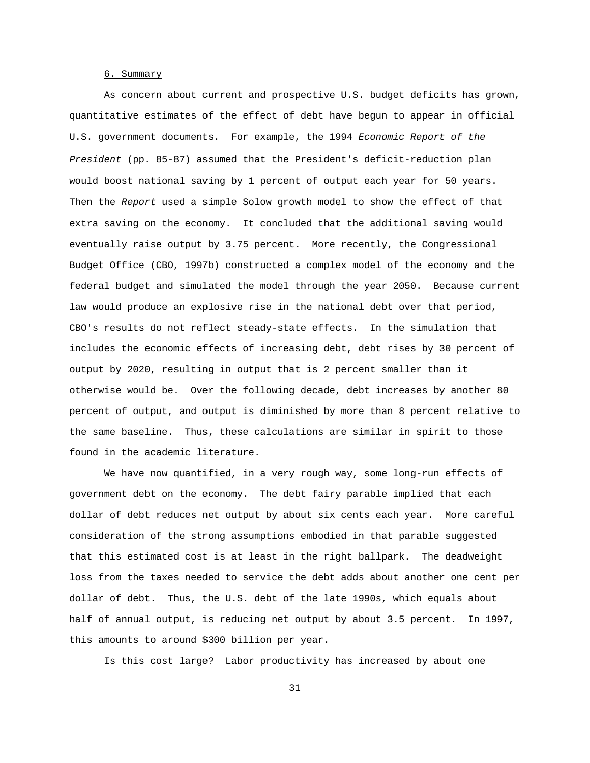### 6. Summary

As concern about current and prospective U.S. budget deficits has grown, quantitative estimates of the effect of debt have begun to appear in official U.S. government documents. For example, the 1994 *Economic Report of the President* (pp. 85-87) assumed that the President's deficit-reduction plan would boost national saving by 1 percent of output each year for 50 years. Then the *Report* used a simple Solow growth model to show the effect of that extra saving on the economy. It concluded that the additional saving would eventually raise output by 3.75 percent. More recently, the Congressional Budget Office (CBO, 1997b) constructed a complex model of the economy and the federal budget and simulated the model through the year 2050. Because current law would produce an explosive rise in the national debt over that period, CBO's results do not reflect steady-state effects. In the simulation that includes the economic effects of increasing debt, debt rises by 30 percent of output by 2020, resulting in output that is 2 percent smaller than it otherwise would be. Over the following decade, debt increases by another 80 percent of output, and output is diminished by more than 8 percent relative to the same baseline. Thus, these calculations are similar in spirit to those found in the academic literature.

We have now quantified, in a very rough way, some long-run effects of government debt on the economy. The debt fairy parable implied that each dollar of debt reduces net output by about six cents each year. More careful consideration of the strong assumptions embodied in that parable suggested that this estimated cost is at least in the right ballpark. The deadweight loss from the taxes needed to service the debt adds about another one cent per dollar of debt. Thus, the U.S. debt of the late 1990s, which equals about half of annual output, is reducing net output by about 3.5 percent. In 1997, this amounts to around \$300 billion per year.

Is this cost large? Labor productivity has increased by about one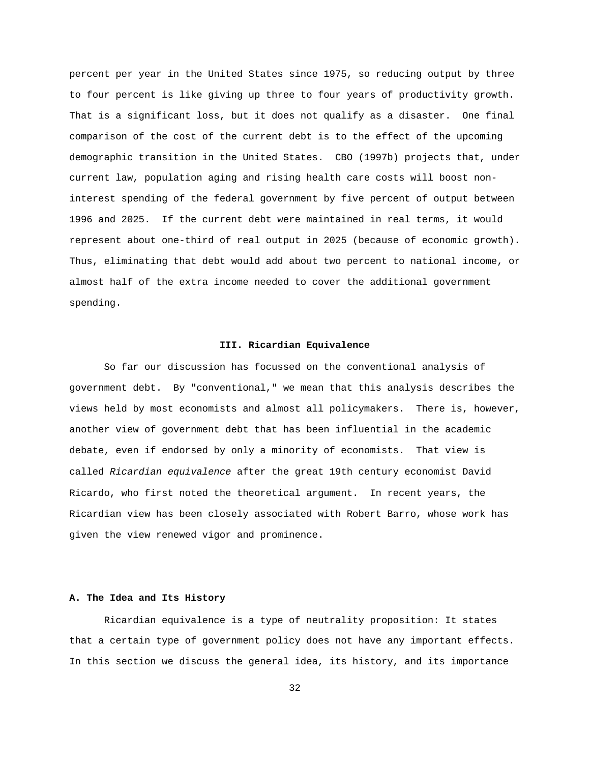percent per year in the United States since 1975, so reducing output by three to four percent is like giving up three to four years of productivity growth. That is a significant loss, but it does not qualify as a disaster. One final comparison of the cost of the current debt is to the effect of the upcoming demographic transition in the United States. CBO (1997b) projects that, under current law, population aging and rising health care costs will boost noninterest spending of the federal government by five percent of output between 1996 and 2025. If the current debt were maintained in real terms, it would represent about one-third of real output in 2025 (because of economic growth). Thus, eliminating that debt would add about two percent to national income, or almost half of the extra income needed to cover the additional government spending.

#### **III. Ricardian Equivalence**

So far our discussion has focussed on the conventional analysis of government debt. By "conventional," we mean that this analysis describes the views held by most economists and almost all policymakers. There is, however, another view of government debt that has been influential in the academic debate, even if endorsed by only a minority of economists. That view is called *Ricardian equivalence* after the great 19th century economist David Ricardo, who first noted the theoretical argument. In recent years, the Ricardian view has been closely associated with Robert Barro, whose work has given the view renewed vigor and prominence.

#### **A. The Idea and Its History**

Ricardian equivalence is a type of neutrality proposition: It states that a certain type of government policy does not have any important effects. In this section we discuss the general idea, its history, and its importance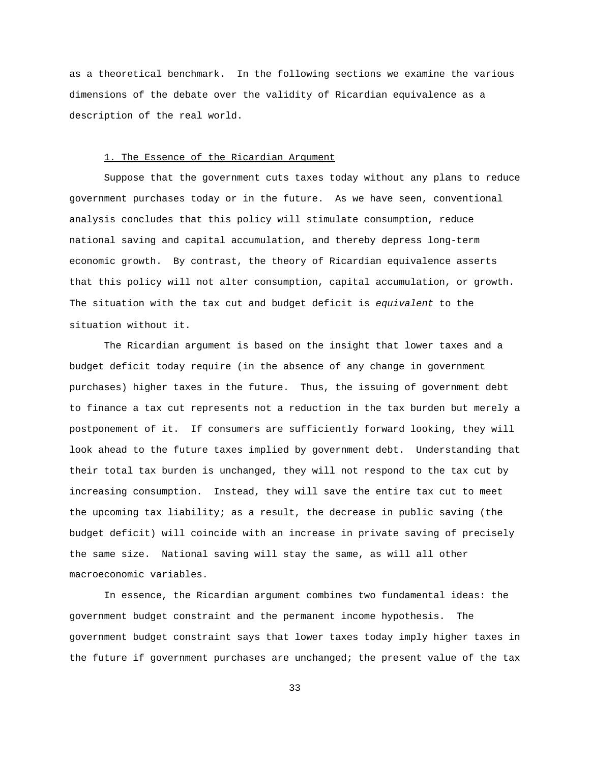as a theoretical benchmark. In the following sections we examine the various dimensions of the debate over the validity of Ricardian equivalence as a description of the real world.

#### 1. The Essence of the Ricardian Argument

Suppose that the government cuts taxes today without any plans to reduce government purchases today or in the future. As we have seen, conventional analysis concludes that this policy will stimulate consumption, reduce national saving and capital accumulation, and thereby depress long-term economic growth. By contrast, the theory of Ricardian equivalence asserts that this policy will not alter consumption, capital accumulation, or growth. The situation with the tax cut and budget deficit is *equivalent* to the situation without it.

The Ricardian argument is based on the insight that lower taxes and a budget deficit today require (in the absence of any change in government purchases) higher taxes in the future. Thus, the issuing of government debt to finance a tax cut represents not a reduction in the tax burden but merely a postponement of it. If consumers are sufficiently forward looking, they will look ahead to the future taxes implied by government debt. Understanding that their total tax burden is unchanged, they will not respond to the tax cut by increasing consumption. Instead, they will save the entire tax cut to meet the upcoming tax liability; as a result, the decrease in public saving (the budget deficit) will coincide with an increase in private saving of precisely the same size. National saving will stay the same, as will all other macroeconomic variables.

In essence, the Ricardian argument combines two fundamental ideas: the government budget constraint and the permanent income hypothesis. The government budget constraint says that lower taxes today imply higher taxes in the future if government purchases are unchanged; the present value of the tax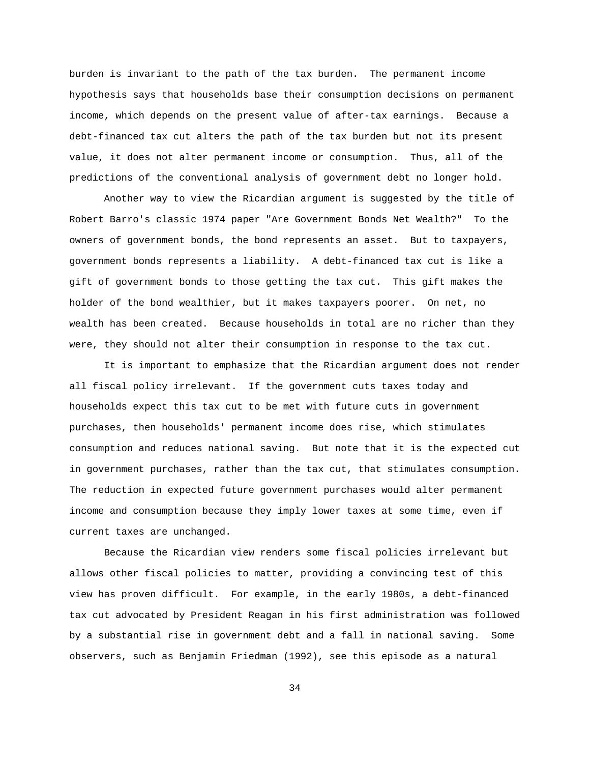burden is invariant to the path of the tax burden. The permanent income hypothesis says that households base their consumption decisions on permanent income, which depends on the present value of after-tax earnings. Because a debt-financed tax cut alters the path of the tax burden but not its present value, it does not alter permanent income or consumption. Thus, all of the predictions of the conventional analysis of government debt no longer hold.

Another way to view the Ricardian argument is suggested by the title of Robert Barro's classic 1974 paper "Are Government Bonds Net Wealth?" To the owners of government bonds, the bond represents an asset. But to taxpayers, government bonds represents a liability. A debt-financed tax cut is like a gift of government bonds to those getting the tax cut. This gift makes the holder of the bond wealthier, but it makes taxpayers poorer. On net, no wealth has been created. Because households in total are no richer than they were, they should not alter their consumption in response to the tax cut.

It is important to emphasize that the Ricardian argument does not render all fiscal policy irrelevant. If the government cuts taxes today and households expect this tax cut to be met with future cuts in government purchases, then households' permanent income does rise, which stimulates consumption and reduces national saving. But note that it is the expected cut in government purchases, rather than the tax cut, that stimulates consumption. The reduction in expected future government purchases would alter permanent income and consumption because they imply lower taxes at some time, even if current taxes are unchanged.

Because the Ricardian view renders some fiscal policies irrelevant but allows other fiscal policies to matter, providing a convincing test of this view has proven difficult. For example, in the early 1980s, a debt-financed tax cut advocated by President Reagan in his first administration was followed by a substantial rise in government debt and a fall in national saving. Some observers, such as Benjamin Friedman (1992), see this episode as a natural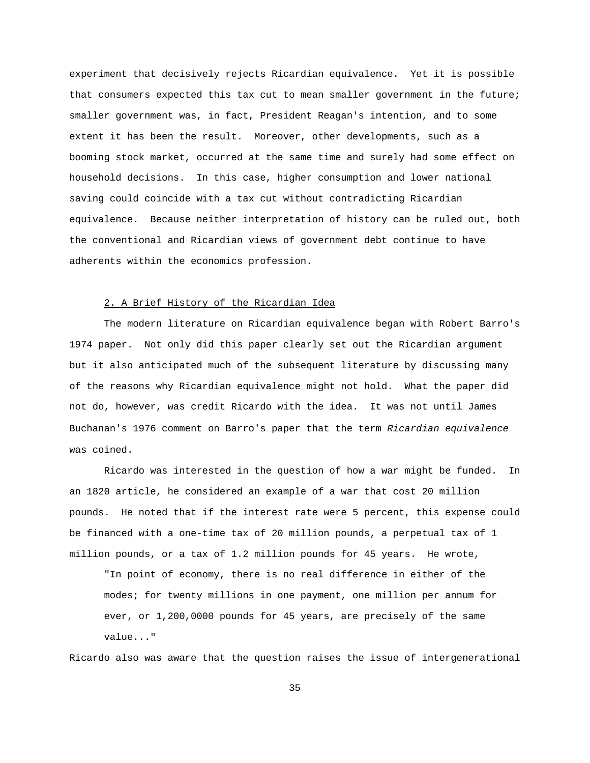experiment that decisively rejects Ricardian equivalence. Yet it is possible that consumers expected this tax cut to mean smaller government in the future; smaller government was, in fact, President Reagan's intention, and to some extent it has been the result. Moreover, other developments, such as a booming stock market, occurred at the same time and surely had some effect on household decisions. In this case, higher consumption and lower national saving could coincide with a tax cut without contradicting Ricardian equivalence. Because neither interpretation of history can be ruled out, both the conventional and Ricardian views of government debt continue to have adherents within the economics profession.

## 2. A Brief History of the Ricardian Idea

The modern literature on Ricardian equivalence began with Robert Barro's 1974 paper. Not only did this paper clearly set out the Ricardian argument but it also anticipated much of the subsequent literature by discussing many of the reasons why Ricardian equivalence might not hold. What the paper did not do, however, was credit Ricardo with the idea. It was not until James Buchanan's 1976 comment on Barro's paper that the term *Ricardian equivalence* was coined.

Ricardo was interested in the question of how a war might be funded. In an 1820 article, he considered an example of a war that cost 20 million pounds. He noted that if the interest rate were 5 percent, this expense could be financed with a one-time tax of 20 million pounds, a perpetual tax of 1 million pounds, or a tax of 1.2 million pounds for 45 years. He wrote,

"In point of economy, there is no real difference in either of the modes; for twenty millions in one payment, one million per annum for ever, or 1,200,0000 pounds for 45 years, are precisely of the same value..."

Ricardo also was aware that the question raises the issue of intergenerational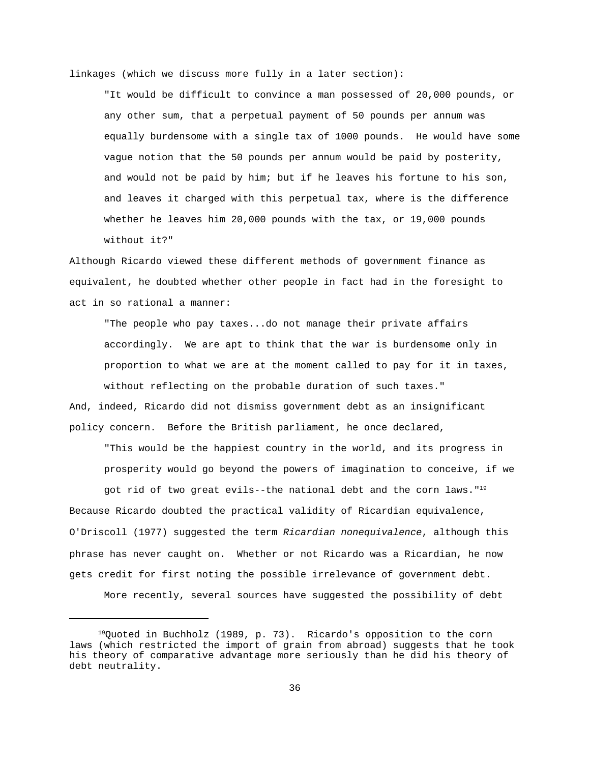linkages (which we discuss more fully in a later section):

"It would be difficult to convince a man possessed of 20,000 pounds, or any other sum, that a perpetual payment of 50 pounds per annum was equally burdensome with a single tax of 1000 pounds. He would have some vague notion that the 50 pounds per annum would be paid by posterity, and would not be paid by him; but if he leaves his fortune to his son, and leaves it charged with this perpetual tax, where is the difference whether he leaves him 20,000 pounds with the tax, or 19,000 pounds without it?"

Although Ricardo viewed these different methods of government finance as equivalent, he doubted whether other people in fact had in the foresight to act in so rational a manner:

"The people who pay taxes...do not manage their private affairs accordingly. We are apt to think that the war is burdensome only in proportion to what we are at the moment called to pay for it in taxes, without reflecting on the probable duration of such taxes."

And, indeed, Ricardo did not dismiss government debt as an insignificant policy concern. Before the British parliament, he once declared,

"This would be the happiest country in the world, and its progress in prosperity would go beyond the powers of imagination to conceive, if we got rid of two great evils--the national debt and the corn laws."<sup>19</sup>

Because Ricardo doubted the practical validity of Ricardian equivalence, O'Driscoll (1977) suggested the term *Ricardian nonequivalence*, although this phrase has never caught on. Whether or not Ricardo was a Ricardian, he now gets credit for first noting the possible irrelevance of government debt.

More recently, several sources have suggested the possibility of debt

 $19$ Quoted in Buchholz (1989, p. 73). Ricardo's opposition to the corn laws (which restricted the import of grain from abroad) suggests that he took his theory of comparative advantage more seriously than he did his theory of debt neutrality.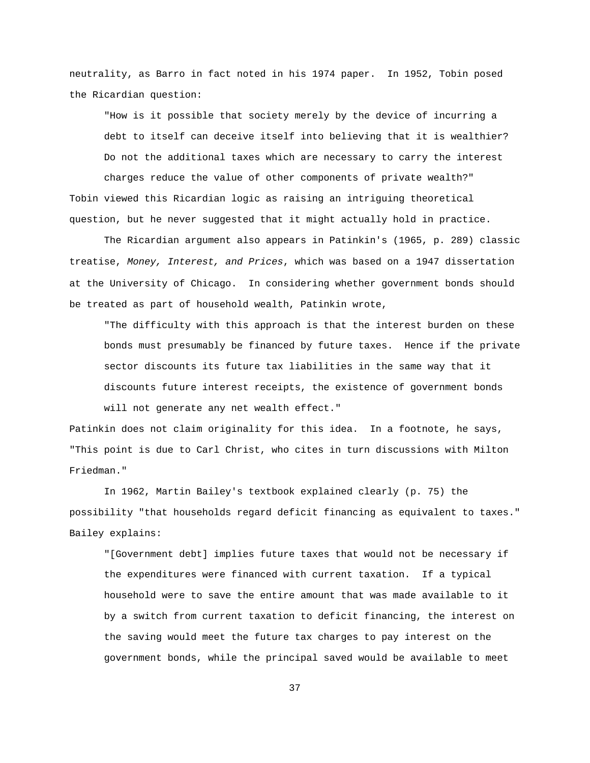neutrality, as Barro in fact noted in his 1974 paper. In 1952, Tobin posed the Ricardian question:

"How is it possible that society merely by the device of incurring a debt to itself can deceive itself into believing that it is wealthier? Do not the additional taxes which are necessary to carry the interest charges reduce the value of other components of private wealth?" Tobin viewed this Ricardian logic as raising an intriguing theoretical question, but he never suggested that it might actually hold in practice.

The Ricardian argument also appears in Patinkin's (1965, p. 289) classic treatise, *Money, Interest, and Prices*, which was based on a 1947 dissertation at the University of Chicago. In considering whether government bonds should be treated as part of household wealth, Patinkin wrote,

"The difficulty with this approach is that the interest burden on these bonds must presumably be financed by future taxes. Hence if the private sector discounts its future tax liabilities in the same way that it discounts future interest receipts, the existence of government bonds will not generate any net wealth effect."

Patinkin does not claim originality for this idea. In a footnote, he says, "This point is due to Carl Christ, who cites in turn discussions with Milton Friedman."

In 1962, Martin Bailey's textbook explained clearly (p. 75) the possibility "that households regard deficit financing as equivalent to taxes." Bailey explains:

"[Government debt] implies future taxes that would not be necessary if the expenditures were financed with current taxation. If a typical household were to save the entire amount that was made available to it by a switch from current taxation to deficit financing, the interest on the saving would meet the future tax charges to pay interest on the government bonds, while the principal saved would be available to meet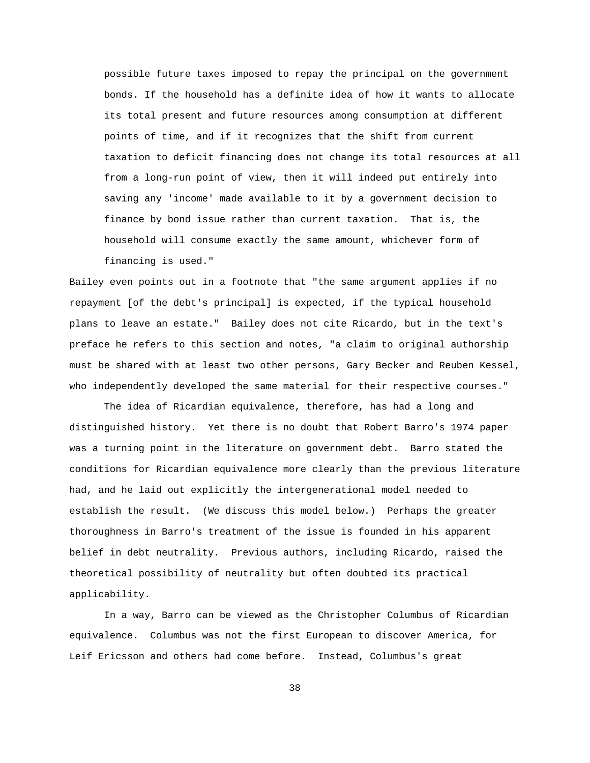possible future taxes imposed to repay the principal on the government bonds. If the household has a definite idea of how it wants to allocate its total present and future resources among consumption at different points of time, and if it recognizes that the shift from current taxation to deficit financing does not change its total resources at all from a long-run point of view, then it will indeed put entirely into saving any 'income' made available to it by a government decision to finance by bond issue rather than current taxation. That is, the household will consume exactly the same amount, whichever form of financing is used."

Bailey even points out in a footnote that "the same argument applies if no repayment [of the debt's principal] is expected, if the typical household plans to leave an estate." Bailey does not cite Ricardo, but in the text's preface he refers to this section and notes, "a claim to original authorship must be shared with at least two other persons, Gary Becker and Reuben Kessel, who independently developed the same material for their respective courses."

The idea of Ricardian equivalence, therefore, has had a long and distinguished history. Yet there is no doubt that Robert Barro's 1974 paper was a turning point in the literature on government debt. Barro stated the conditions for Ricardian equivalence more clearly than the previous literature had, and he laid out explicitly the intergenerational model needed to establish the result. (We discuss this model below.) Perhaps the greater thoroughness in Barro's treatment of the issue is founded in his apparent belief in debt neutrality. Previous authors, including Ricardo, raised the theoretical possibility of neutrality but often doubted its practical applicability.

In a way, Barro can be viewed as the Christopher Columbus of Ricardian equivalence. Columbus was not the first European to discover America, for Leif Ericsson and others had come before. Instead, Columbus's great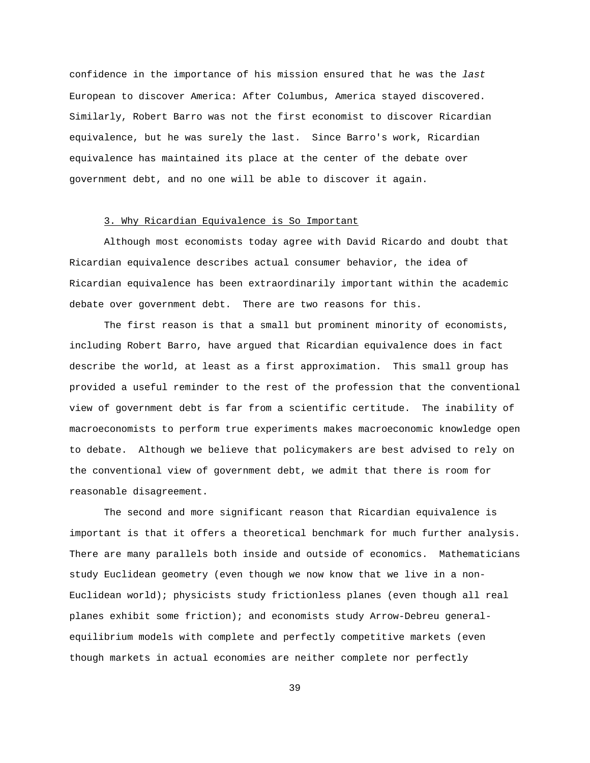confidence in the importance of his mission ensured that he was the *last* European to discover America: After Columbus, America stayed discovered. Similarly, Robert Barro was not the first economist to discover Ricardian equivalence, but he was surely the last. Since Barro's work, Ricardian equivalence has maintained its place at the center of the debate over government debt, and no one will be able to discover it again.

## 3. Why Ricardian Equivalence is So Important

Although most economists today agree with David Ricardo and doubt that Ricardian equivalence describes actual consumer behavior, the idea of Ricardian equivalence has been extraordinarily important within the academic debate over government debt. There are two reasons for this.

The first reason is that a small but prominent minority of economists, including Robert Barro, have argued that Ricardian equivalence does in fact describe the world, at least as a first approximation. This small group has provided a useful reminder to the rest of the profession that the conventional view of government debt is far from a scientific certitude. The inability of macroeconomists to perform true experiments makes macroeconomic knowledge open to debate. Although we believe that policymakers are best advised to rely on the conventional view of government debt, we admit that there is room for reasonable disagreement.

The second and more significant reason that Ricardian equivalence is important is that it offers a theoretical benchmark for much further analysis. There are many parallels both inside and outside of economics. Mathematicians study Euclidean geometry (even though we now know that we live in a non-Euclidean world); physicists study frictionless planes (even though all real planes exhibit some friction); and economists study Arrow-Debreu generalequilibrium models with complete and perfectly competitive markets (even though markets in actual economies are neither complete nor perfectly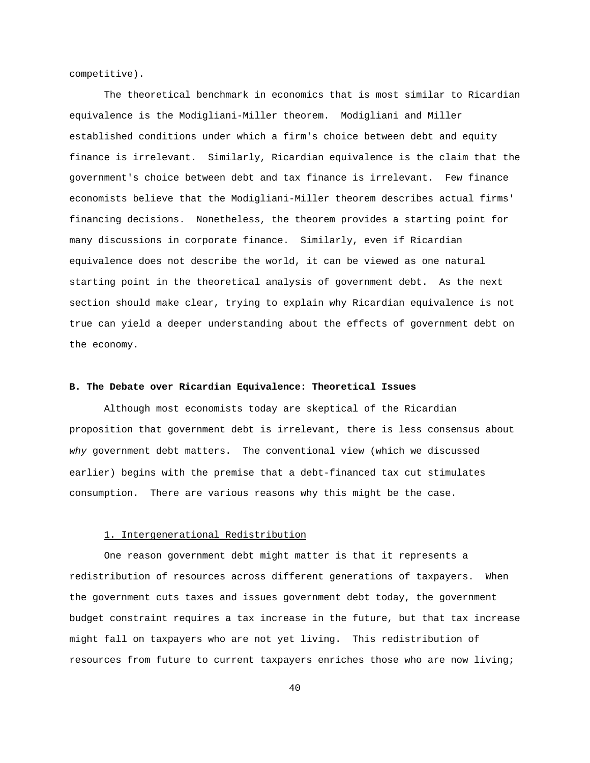competitive).

The theoretical benchmark in economics that is most similar to Ricardian equivalence is the Modigliani-Miller theorem. Modigliani and Miller established conditions under which a firm's choice between debt and equity finance is irrelevant. Similarly, Ricardian equivalence is the claim that the government's choice between debt and tax finance is irrelevant. Few finance economists believe that the Modigliani-Miller theorem describes actual firms' financing decisions. Nonetheless, the theorem provides a starting point for many discussions in corporate finance. Similarly, even if Ricardian equivalence does not describe the world, it can be viewed as one natural starting point in the theoretical analysis of government debt. As the next section should make clear, trying to explain why Ricardian equivalence is not true can yield a deeper understanding about the effects of government debt on the economy.

### **B. The Debate over Ricardian Equivalence: Theoretical Issues**

Although most economists today are skeptical of the Ricardian proposition that government debt is irrelevant, there is less consensus about *why* government debt matters. The conventional view (which we discussed earlier) begins with the premise that a debt-financed tax cut stimulates consumption. There are various reasons why this might be the case.

# 1. Intergenerational Redistribution

One reason government debt might matter is that it represents a redistribution of resources across different generations of taxpayers. When the government cuts taxes and issues government debt today, the government budget constraint requires a tax increase in the future, but that tax increase might fall on taxpayers who are not yet living. This redistribution of resources from future to current taxpayers enriches those who are now living;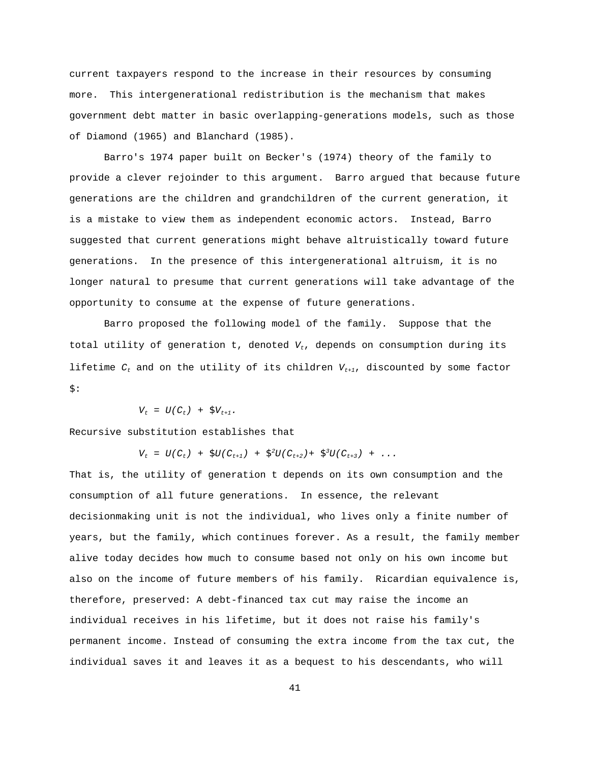current taxpayers respond to the increase in their resources by consuming more. This intergenerational redistribution is the mechanism that makes government debt matter in basic overlapping-generations models, such as those of Diamond (1965) and Blanchard (1985).

Barro's 1974 paper built on Becker's (1974) theory of the family to provide a clever rejoinder to this argument. Barro argued that because future generations are the children and grandchildren of the current generation, it is a mistake to view them as independent economic actors. Instead, Barro suggested that current generations might behave altruistically toward future generations. In the presence of this intergenerational altruism, it is no longer natural to presume that current generations will take advantage of the opportunity to consume at the expense of future generations.

Barro proposed the following model of the family. Suppose that the total utility of generation t, denoted *Vt*, depends on consumption during its lifetime  $C_t$  and on the utility of its children  $V_{t+1}$ , discounted by some factor  $S:$ 

$$
V_t = U(C_t) + SV_{t+1}.
$$

Recursive substitution establishes that

 $V_t = U(C_t) + \mathbf{S}U(C_{t+1}) + \mathbf{S}^2U(C_{t+2}) + \mathbf{S}^3U(C_{t+3}) + \dots$ 

That is, the utility of generation t depends on its own consumption and the consumption of all future generations. In essence, the relevant decisionmaking unit is not the individual, who lives only a finite number of years, but the family, which continues forever. As a result, the family member alive today decides how much to consume based not only on his own income but also on the income of future members of his family. Ricardian equivalence is, therefore, preserved: A debt-financed tax cut may raise the income an individual receives in his lifetime, but it does not raise his family's permanent income. Instead of consuming the extra income from the tax cut, the individual saves it and leaves it as a bequest to his descendants, who will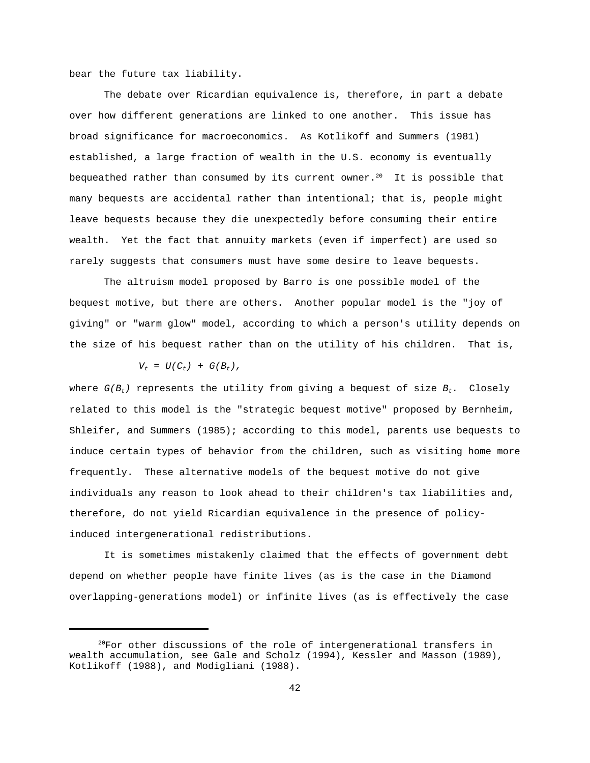bear the future tax liability.

The debate over Ricardian equivalence is, therefore, in part a debate over how different generations are linked to one another. This issue has broad significance for macroeconomics. As Kotlikoff and Summers (1981) established, a large fraction of wealth in the U.S. economy is eventually bequeathed rather than consumed by its current owner.<sup>20</sup> It is possible that many bequests are accidental rather than intentional; that is, people might leave bequests because they die unexpectedly before consuming their entire wealth. Yet the fact that annuity markets (even if imperfect) are used so rarely suggests that consumers must have some desire to leave bequests.

The altruism model proposed by Barro is one possible model of the bequest motive, but there are others. Another popular model is the "joy of giving" or "warm glow" model, according to which a person's utility depends on the size of his bequest rather than on the utility of his children. That is,

 $V_t = U(C_t) + G(B_t)$ ,

where  $G(B_t)$  represents the utility from giving a bequest of size  $B_t$ . Closely related to this model is the "strategic bequest motive" proposed by Bernheim, Shleifer, and Summers (1985); according to this model, parents use bequests to induce certain types of behavior from the children, such as visiting home more frequently. These alternative models of the bequest motive do not give individuals any reason to look ahead to their children's tax liabilities and, therefore, do not yield Ricardian equivalence in the presence of policyinduced intergenerational redistributions.

It is sometimes mistakenly claimed that the effects of government debt depend on whether people have finite lives (as is the case in the Diamond overlapping-generations model) or infinite lives (as is effectively the case

 $^{20}$ For other discussions of the role of intergenerational transfers in wealth accumulation, see Gale and Scholz (1994), Kessler and Masson (1989), Kotlikoff (1988), and Modigliani (1988).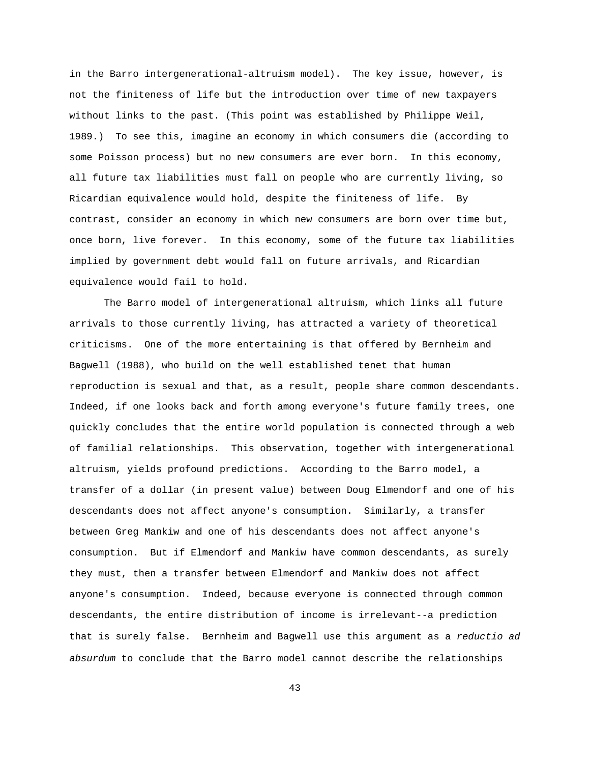in the Barro intergenerational-altruism model). The key issue, however, is not the finiteness of life but the introduction over time of new taxpayers without links to the past. (This point was established by Philippe Weil, 1989.) To see this, imagine an economy in which consumers die (according to some Poisson process) but no new consumers are ever born. In this economy, all future tax liabilities must fall on people who are currently living, so Ricardian equivalence would hold, despite the finiteness of life. By contrast, consider an economy in which new consumers are born over time but, once born, live forever. In this economy, some of the future tax liabilities implied by government debt would fall on future arrivals, and Ricardian equivalence would fail to hold.

The Barro model of intergenerational altruism, which links all future arrivals to those currently living, has attracted a variety of theoretical criticisms. One of the more entertaining is that offered by Bernheim and Bagwell (1988), who build on the well established tenet that human reproduction is sexual and that, as a result, people share common descendants. Indeed, if one looks back and forth among everyone's future family trees, one quickly concludes that the entire world population is connected through a web of familial relationships. This observation, together with intergenerational altruism, yields profound predictions. According to the Barro model, a transfer of a dollar (in present value) between Doug Elmendorf and one of his descendants does not affect anyone's consumption. Similarly, a transfer between Greg Mankiw and one of his descendants does not affect anyone's consumption. But if Elmendorf and Mankiw have common descendants, as surely they must, then a transfer between Elmendorf and Mankiw does not affect anyone's consumption. Indeed, because everyone is connected through common descendants, the entire distribution of income is irrelevant--a prediction that is surely false. Bernheim and Bagwell use this argument as a *reductio ad absurdum* to conclude that the Barro model cannot describe the relationships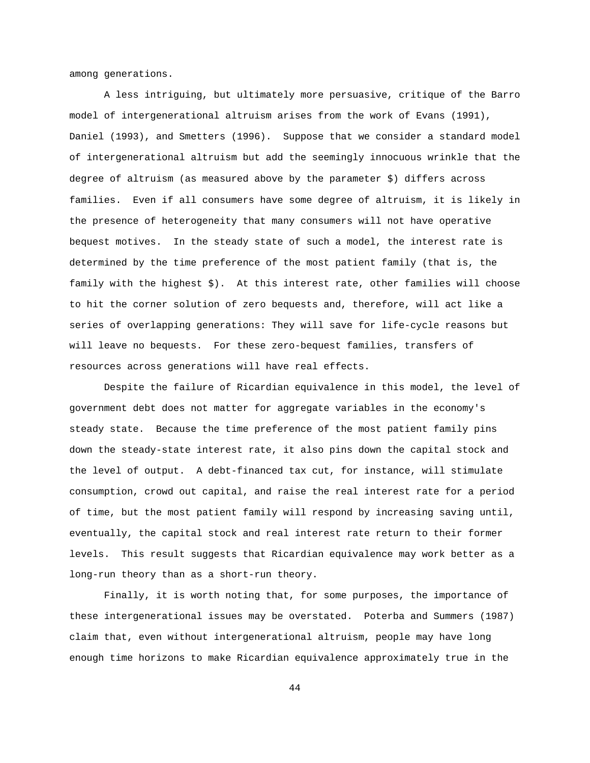among generations.

A less intriguing, but ultimately more persuasive, critique of the Barro model of intergenerational altruism arises from the work of Evans (1991), Daniel (1993), and Smetters (1996). Suppose that we consider a standard model of intergenerational altruism but add the seemingly innocuous wrinkle that the degree of altruism (as measured above by the parameter *\$*) differs across families. Even if all consumers have some degree of altruism, it is likely in the presence of heterogeneity that many consumers will not have operative bequest motives. In the steady state of such a model, the interest rate is determined by the time preference of the most patient family (that is, the family with the highest \$). At this interest rate, other families will choose to hit the corner solution of zero bequests and, therefore, will act like a series of overlapping generations: They will save for life-cycle reasons but will leave no bequests. For these zero-bequest families, transfers of resources across generations will have real effects.

Despite the failure of Ricardian equivalence in this model, the level of government debt does not matter for aggregate variables in the economy's steady state. Because the time preference of the most patient family pins down the steady-state interest rate, it also pins down the capital stock and the level of output. A debt-financed tax cut, for instance, will stimulate consumption, crowd out capital, and raise the real interest rate for a period of time, but the most patient family will respond by increasing saving until, eventually, the capital stock and real interest rate return to their former levels. This result suggests that Ricardian equivalence may work better as a long-run theory than as a short-run theory.

Finally, it is worth noting that, for some purposes, the importance of these intergenerational issues may be overstated. Poterba and Summers (1987) claim that, even without intergenerational altruism, people may have long enough time horizons to make Ricardian equivalence approximately true in the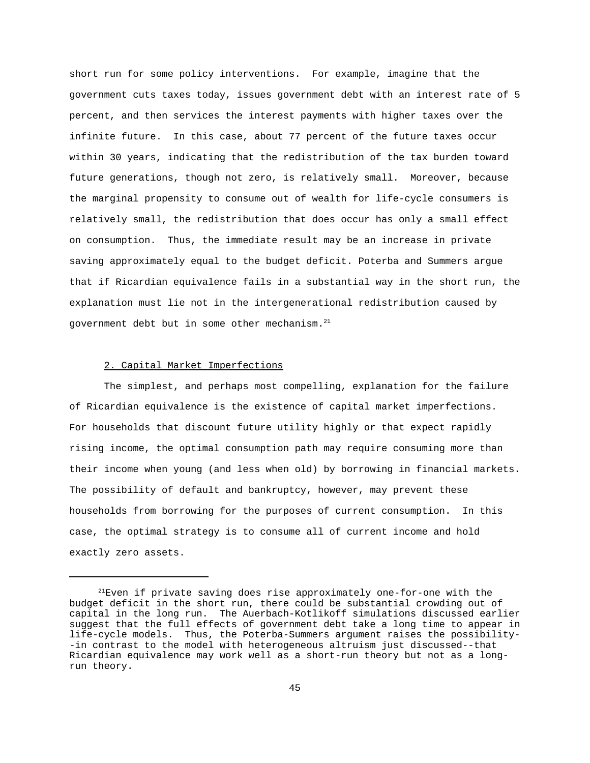short run for some policy interventions. For example, imagine that the government cuts taxes today, issues government debt with an interest rate of 5 percent, and then services the interest payments with higher taxes over the infinite future. In this case, about 77 percent of the future taxes occur within 30 years, indicating that the redistribution of the tax burden toward future generations, though not zero, is relatively small. Moreover, because the marginal propensity to consume out of wealth for life-cycle consumers is relatively small, the redistribution that does occur has only a small effect on consumption. Thus, the immediate result may be an increase in private saving approximately equal to the budget deficit. Poterba and Summers argue that if Ricardian equivalence fails in a substantial way in the short run, the explanation must lie not in the intergenerational redistribution caused by government debt but in some other mechanism.<sup>21</sup>

## 2. Capital Market Imperfections

The simplest, and perhaps most compelling, explanation for the failure of Ricardian equivalence is the existence of capital market imperfections. For households that discount future utility highly or that expect rapidly rising income, the optimal consumption path may require consuming more than their income when young (and less when old) by borrowing in financial markets. The possibility of default and bankruptcy, however, may prevent these households from borrowing for the purposes of current consumption. In this case, the optimal strategy is to consume all of current income and hold exactly zero assets.

 $21$ Even if private saving does rise approximately one-for-one with the budget deficit in the short run, there could be substantial crowding out of capital in the long run. The Auerbach-Kotlikoff simulations discussed earlier suggest that the full effects of government debt take a long time to appear in life-cycle models. Thus, the Poterba-Summers argument raises the possibility- -in contrast to the model with heterogeneous altruism just discussed--that Ricardian equivalence may work well as a short-run theory but not as a longrun theory.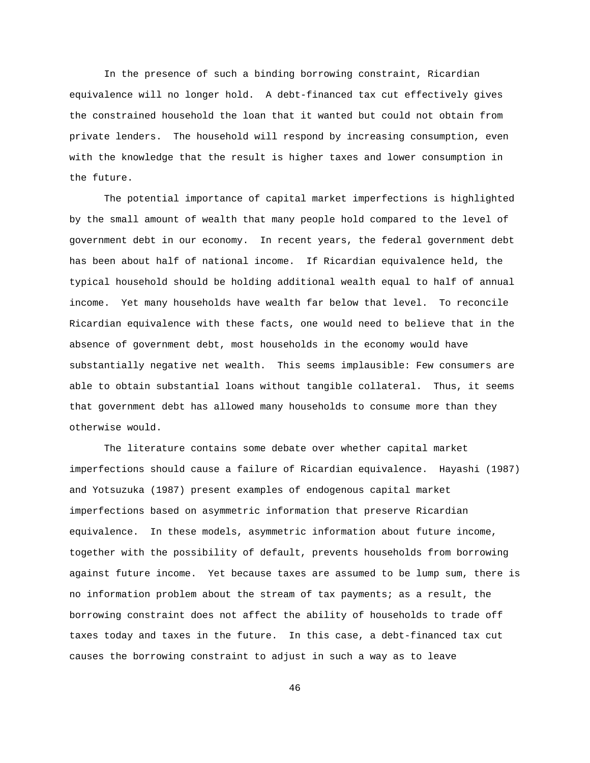In the presence of such a binding borrowing constraint, Ricardian equivalence will no longer hold. A debt-financed tax cut effectively gives the constrained household the loan that it wanted but could not obtain from private lenders. The household will respond by increasing consumption, even with the knowledge that the result is higher taxes and lower consumption in the future.

The potential importance of capital market imperfections is highlighted by the small amount of wealth that many people hold compared to the level of government debt in our economy. In recent years, the federal government debt has been about half of national income. If Ricardian equivalence held, the typical household should be holding additional wealth equal to half of annual income. Yet many households have wealth far below that level. To reconcile Ricardian equivalence with these facts, one would need to believe that in the absence of government debt, most households in the economy would have substantially negative net wealth. This seems implausible: Few consumers are able to obtain substantial loans without tangible collateral. Thus, it seems that government debt has allowed many households to consume more than they otherwise would.

The literature contains some debate over whether capital market imperfections should cause a failure of Ricardian equivalence. Hayashi (1987) and Yotsuzuka (1987) present examples of endogenous capital market imperfections based on asymmetric information that preserve Ricardian equivalence. In these models, asymmetric information about future income, together with the possibility of default, prevents households from borrowing against future income. Yet because taxes are assumed to be lump sum, there is no information problem about the stream of tax payments; as a result, the borrowing constraint does not affect the ability of households to trade off taxes today and taxes in the future. In this case, a debt-financed tax cut causes the borrowing constraint to adjust in such a way as to leave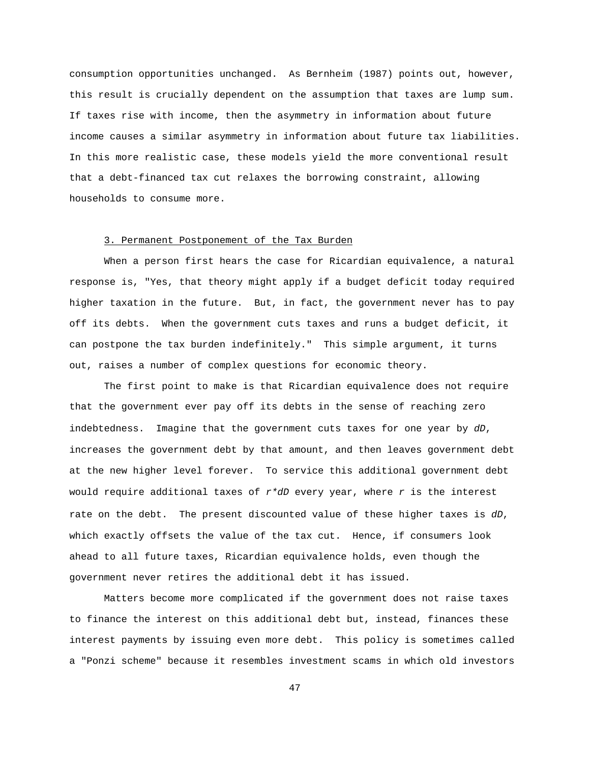consumption opportunities unchanged. As Bernheim (1987) points out, however, this result is crucially dependent on the assumption that taxes are lump sum. If taxes rise with income, then the asymmetry in information about future income causes a similar asymmetry in information about future tax liabilities. In this more realistic case, these models yield the more conventional result that a debt-financed tax cut relaxes the borrowing constraint, allowing households to consume more.

### 3. Permanent Postponement of the Tax Burden

When a person first hears the case for Ricardian equivalence, a natural response is, "Yes, that theory might apply if a budget deficit today required higher taxation in the future. But, in fact, the government never has to pay off its debts. When the government cuts taxes and runs a budget deficit, it can postpone the tax burden indefinitely." This simple argument, it turns out, raises a number of complex questions for economic theory.

The first point to make is that Ricardian equivalence does not require that the government ever pay off its debts in the sense of reaching zero indebtedness. Imagine that the government cuts taxes for one year by *dD*, increases the government debt by that amount, and then leaves government debt at the new higher level forever. To service this additional government debt would require additional taxes of *r\*dD* every year, where *r* is the interest rate on the debt. The present discounted value of these higher taxes is *dD*, which exactly offsets the value of the tax cut. Hence, if consumers look ahead to all future taxes, Ricardian equivalence holds, even though the government never retires the additional debt it has issued.

Matters become more complicated if the government does not raise taxes to finance the interest on this additional debt but, instead, finances these interest payments by issuing even more debt. This policy is sometimes called a "Ponzi scheme" because it resembles investment scams in which old investors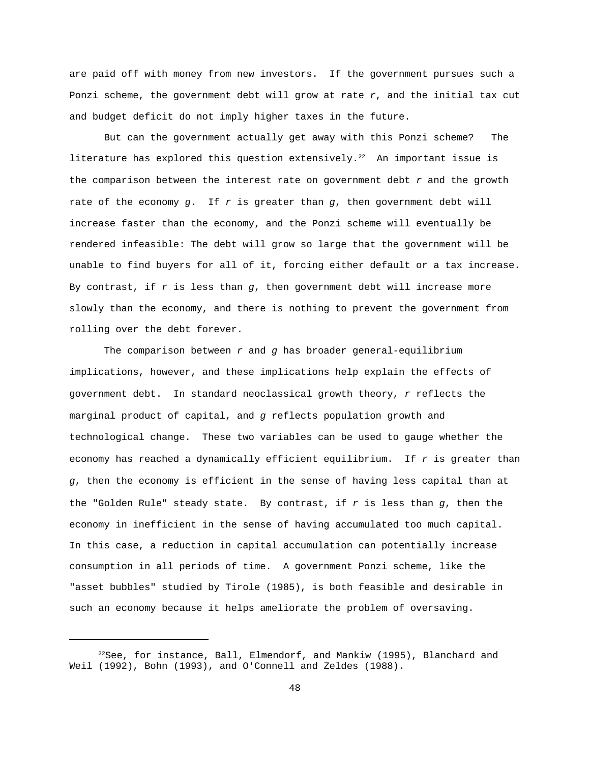are paid off with money from new investors. If the government pursues such a Ponzi scheme, the government debt will grow at rate *r*, and the initial tax cut and budget deficit do not imply higher taxes in the future.

But can the government actually get away with this Ponzi scheme? The literature has explored this question extensively.<sup>22</sup> An important issue is the comparison between the interest rate on government debt *r* and the growth rate of the economy *g*. If *r* is greater than *g*, then government debt will increase faster than the economy, and the Ponzi scheme will eventually be rendered infeasible: The debt will grow so large that the government will be unable to find buyers for all of it, forcing either default or a tax increase. By contrast, if *r* is less than *g*, then government debt will increase more slowly than the economy, and there is nothing to prevent the government from rolling over the debt forever.

The comparison between *r* and *g* has broader general-equilibrium implications, however, and these implications help explain the effects of government debt. In standard neoclassical growth theory, *r* reflects the marginal product of capital, and *g* reflects population growth and technological change. These two variables can be used to gauge whether the economy has reached a dynamically efficient equilibrium. If *r* is greater than *g*, then the economy is efficient in the sense of having less capital than at the "Golden Rule" steady state. By contrast, if *r* is less than *g*, then the economy in inefficient in the sense of having accumulated too much capital. In this case, a reduction in capital accumulation can potentially increase consumption in all periods of time. A government Ponzi scheme, like the "asset bubbles" studied by Tirole (1985), is both feasible and desirable in such an economy because it helps ameliorate the problem of oversaving.

 $22$ See, for instance, Ball, Elmendorf, and Mankiw (1995), Blanchard and Weil (1992), Bohn (1993), and O'Connell and Zeldes (1988).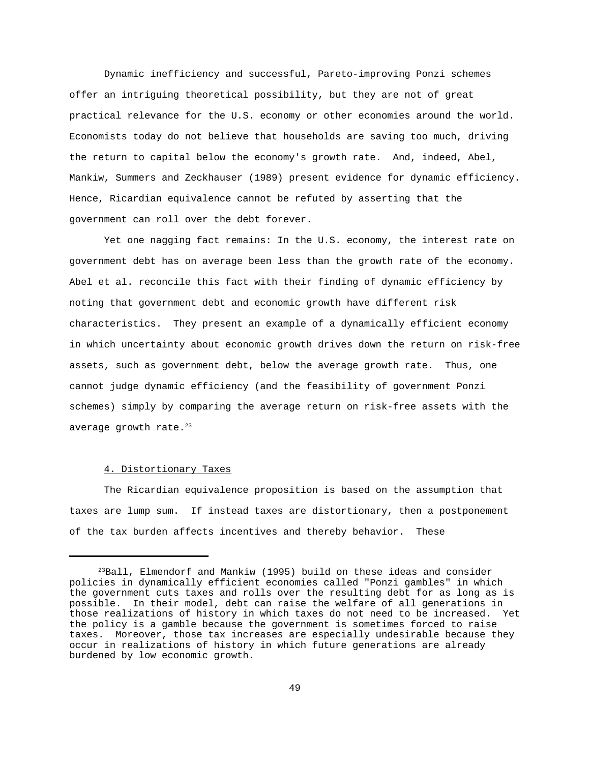Dynamic inefficiency and successful, Pareto-improving Ponzi schemes offer an intriguing theoretical possibility, but they are not of great practical relevance for the U.S. economy or other economies around the world. Economists today do not believe that households are saving too much, driving the return to capital below the economy's growth rate. And, indeed, Abel, Mankiw, Summers and Zeckhauser (1989) present evidence for dynamic efficiency. Hence, Ricardian equivalence cannot be refuted by asserting that the government can roll over the debt forever.

Yet one nagging fact remains: In the U.S. economy, the interest rate on government debt has on average been less than the growth rate of the economy. Abel et al. reconcile this fact with their finding of dynamic efficiency by noting that government debt and economic growth have different risk characteristics. They present an example of a dynamically efficient economy in which uncertainty about economic growth drives down the return on risk-free assets, such as government debt, below the average growth rate. Thus, one cannot judge dynamic efficiency (and the feasibility of government Ponzi schemes) simply by comparing the average return on risk-free assets with the average growth rate. $23$ 

## 4. Distortionary Taxes

The Ricardian equivalence proposition is based on the assumption that taxes are lump sum. If instead taxes are distortionary, then a postponement of the tax burden affects incentives and thereby behavior. These

 $^{23}$ Ball, Elmendorf and Mankiw (1995) build on these ideas and consider policies in dynamically efficient economies called "Ponzi gambles" in which the government cuts taxes and rolls over the resulting debt for as long as is possible. In their model, debt can raise the welfare of all generations in those realizations of history in which taxes do not need to be increased. Yet the policy is a gamble because the government is sometimes forced to raise taxes. Moreover, those tax increases are especially undesirable because they occur in realizations of history in which future generations are already burdened by low economic growth.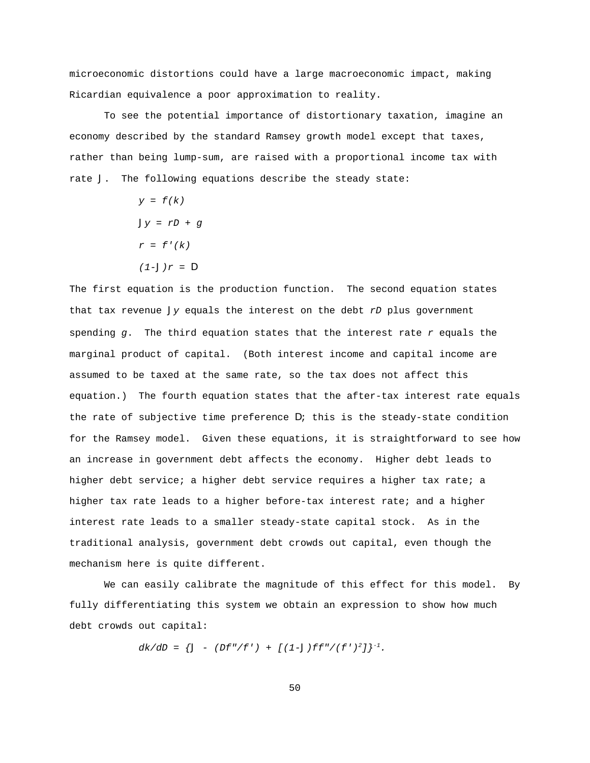microeconomic distortions could have a large macroeconomic impact, making Ricardian equivalence a poor approximation to reality.

To see the potential importance of distortionary taxation, imagine an economy described by the standard Ramsey growth model except that taxes, rather than being lump-sum, are raised with a proportional income tax with rate *J*. The following equations describe the steady state:

$$
y = f(k)
$$
  

$$
Jy = rD + g
$$
  

$$
r = f'(k)
$$
  

$$
(1-J)r = D
$$

The first equation is the production function. The second equation states that tax revenue *Jy* equals the interest on the debt *rD* plus government spending *g*. The third equation states that the interest rate *r* equals the marginal product of capital. (Both interest income and capital income are assumed to be taxed at the same rate, so the tax does not affect this equation.) The fourth equation states that the after-tax interest rate equals the rate of subjective time preference  $\bm{D}$ ; this is the steady-state condition for the Ramsey model. Given these equations, it is straightforward to see how an increase in government debt affects the economy. Higher debt leads to higher debt service; a higher debt service requires a higher tax rate; a higher tax rate leads to a higher before-tax interest rate; and a higher interest rate leads to a smaller steady-state capital stock. As in the traditional analysis, government debt crowds out capital, even though the mechanism here is quite different.

We can easily calibrate the magnitude of this effect for this model. By fully differentiating this system we obtain an expression to show how much debt crowds out capital:

*dk/dD = {J - (Df"/f') + [(1-J)ff"/(f')<sup>2</sup>]} -1.*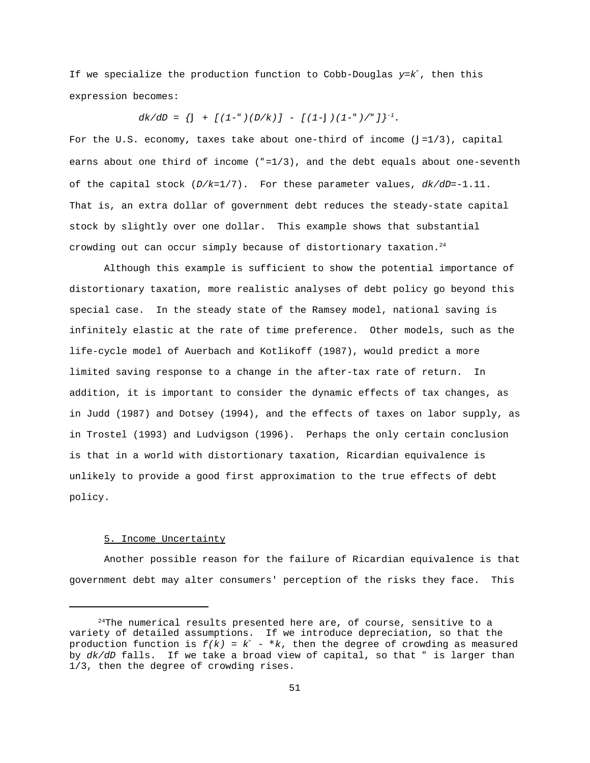If we specialize the production function to Cobb-Douglas *y=k"*, then this expression becomes:

$$
dk/dD = \{J + [ (1-") (D/k) ] - [ (1-J) (1-") / " ] \}^{-1}.
$$

For the U.S. economy, taxes take about one-third of income (*J*=1/3), capital earns about one third of income (*"*=1/3), and the debt equals about one-seventh of the capital stock (*D/k*=1/7). For these parameter values, *dk/dD*=-1.11. That is, an extra dollar of government debt reduces the steady-state capital stock by slightly over one dollar. This example shows that substantial crowding out can occur simply because of distortionary taxation.<sup>24</sup>

Although this example is sufficient to show the potential importance of distortionary taxation, more realistic analyses of debt policy go beyond this special case. In the steady state of the Ramsey model, national saving is infinitely elastic at the rate of time preference. Other models, such as the life-cycle model of Auerbach and Kotlikoff (1987), would predict a more limited saving response to a change in the after-tax rate of return. In addition, it is important to consider the dynamic effects of tax changes, as in Judd (1987) and Dotsey (1994), and the effects of taxes on labor supply, as in Trostel (1993) and Ludvigson (1996). Perhaps the only certain conclusion is that in a world with distortionary taxation, Ricardian equivalence is unlikely to provide a good first approximation to the true effects of debt policy.

### 5. Income Uncertainty

Another possible reason for the failure of Ricardian equivalence is that government debt may alter consumers' perception of the risks they face. This

 $24$ The numerical results presented here are, of course, sensitive to a variety of detailed assumptions. If we introduce depreciation, so that the production function is  $f(k) = k^{\prime} - k^{\prime}$ , then the degree of crowding as measured by *dk/dD* falls. If we take a broad view of capital, so that *"* is larger than 1/3, then the degree of crowding rises.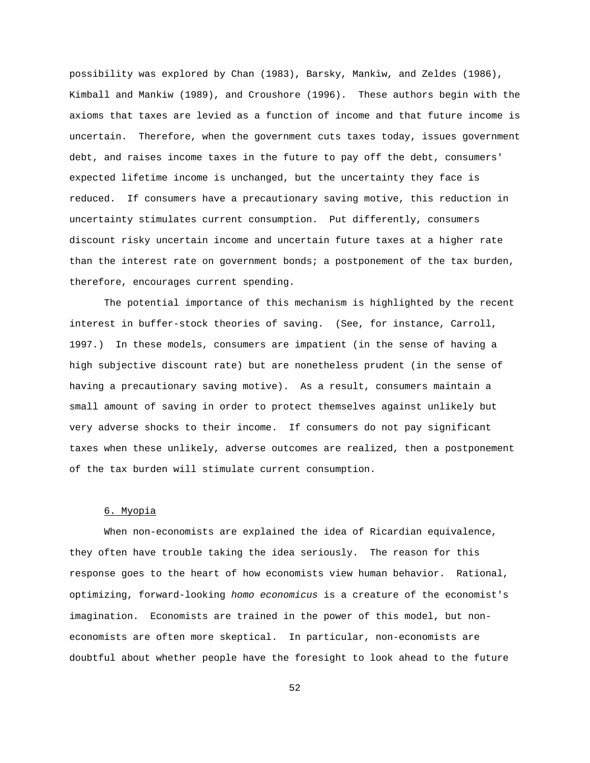possibility was explored by Chan (1983), Barsky, Mankiw, and Zeldes (1986), Kimball and Mankiw (1989), and Croushore (1996). These authors begin with the axioms that taxes are levied as a function of income and that future income is uncertain. Therefore, when the government cuts taxes today, issues government debt, and raises income taxes in the future to pay off the debt, consumers' expected lifetime income is unchanged, but the uncertainty they face is reduced. If consumers have a precautionary saving motive, this reduction in uncertainty stimulates current consumption. Put differently, consumers discount risky uncertain income and uncertain future taxes at a higher rate than the interest rate on government bonds; a postponement of the tax burden, therefore, encourages current spending.

The potential importance of this mechanism is highlighted by the recent interest in buffer-stock theories of saving. (See, for instance, Carroll, 1997.) In these models, consumers are impatient (in the sense of having a high subjective discount rate) but are nonetheless prudent (in the sense of having a precautionary saving motive). As a result, consumers maintain a small amount of saving in order to protect themselves against unlikely but very adverse shocks to their income. If consumers do not pay significant taxes when these unlikely, adverse outcomes are realized, then a postponement of the tax burden will stimulate current consumption.

#### 6. Myopia

When non-economists are explained the idea of Ricardian equivalence, they often have trouble taking the idea seriously. The reason for this response goes to the heart of how economists view human behavior. Rational, optimizing, forward-looking *homo economicus* is a creature of the economist's imagination. Economists are trained in the power of this model, but noneconomists are often more skeptical. In particular, non-economists are doubtful about whether people have the foresight to look ahead to the future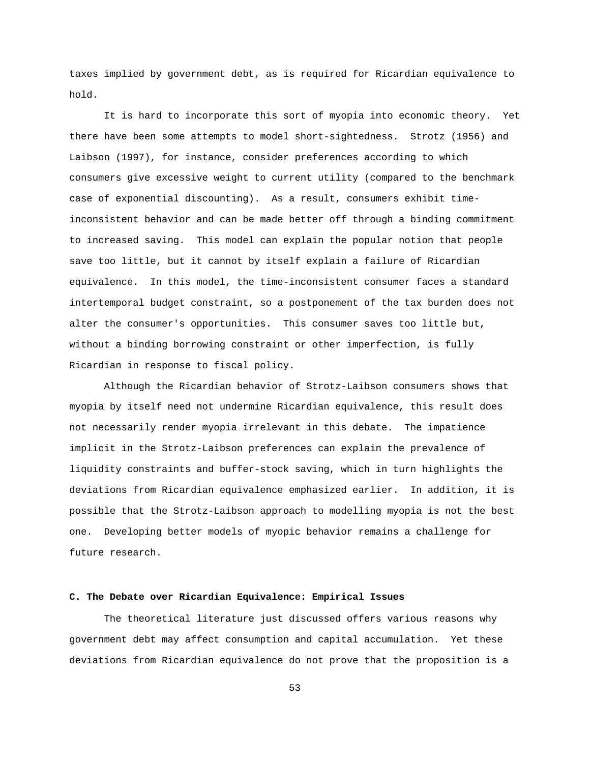taxes implied by government debt, as is required for Ricardian equivalence to hold.

It is hard to incorporate this sort of myopia into economic theory. Yet there have been some attempts to model short-sightedness. Strotz (1956) and Laibson (1997), for instance, consider preferences according to which consumers give excessive weight to current utility (compared to the benchmark case of exponential discounting). As a result, consumers exhibit timeinconsistent behavior and can be made better off through a binding commitment to increased saving. This model can explain the popular notion that people save too little, but it cannot by itself explain a failure of Ricardian equivalence. In this model, the time-inconsistent consumer faces a standard intertemporal budget constraint, so a postponement of the tax burden does not alter the consumer's opportunities. This consumer saves too little but, without a binding borrowing constraint or other imperfection, is fully Ricardian in response to fiscal policy.

Although the Ricardian behavior of Strotz-Laibson consumers shows that myopia by itself need not undermine Ricardian equivalence, this result does not necessarily render myopia irrelevant in this debate. The impatience implicit in the Strotz-Laibson preferences can explain the prevalence of liquidity constraints and buffer-stock saving, which in turn highlights the deviations from Ricardian equivalence emphasized earlier. In addition, it is possible that the Strotz-Laibson approach to modelling myopia is not the best one. Developing better models of myopic behavior remains a challenge for future research.

#### **C. The Debate over Ricardian Equivalence: Empirical Issues**

The theoretical literature just discussed offers various reasons why government debt may affect consumption and capital accumulation. Yet these deviations from Ricardian equivalence do not prove that the proposition is a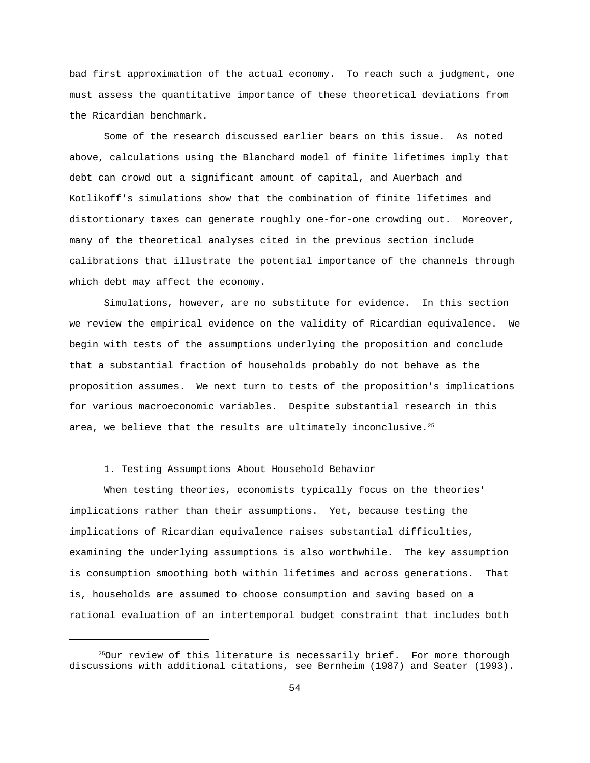bad first approximation of the actual economy. To reach such a judgment, one must assess the quantitative importance of these theoretical deviations from the Ricardian benchmark.

Some of the research discussed earlier bears on this issue. As noted above, calculations using the Blanchard model of finite lifetimes imply that debt can crowd out a significant amount of capital, and Auerbach and Kotlikoff's simulations show that the combination of finite lifetimes and distortionary taxes can generate roughly one-for-one crowding out. Moreover, many of the theoretical analyses cited in the previous section include calibrations that illustrate the potential importance of the channels through which debt may affect the economy.

Simulations, however, are no substitute for evidence. In this section we review the empirical evidence on the validity of Ricardian equivalence. We begin with tests of the assumptions underlying the proposition and conclude that a substantial fraction of households probably do not behave as the proposition assumes. We next turn to tests of the proposition's implications for various macroeconomic variables. Despite substantial research in this area, we believe that the results are ultimately inconclusive. $2^5$ 

#### 1. Testing Assumptions About Household Behavior

When testing theories, economists typically focus on the theories' implications rather than their assumptions. Yet, because testing the implications of Ricardian equivalence raises substantial difficulties, examining the underlying assumptions is also worthwhile. The key assumption is consumption smoothing both within lifetimes and across generations. That is, households are assumed to choose consumption and saving based on a rational evaluation of an intertemporal budget constraint that includes both

 $250$ ur review of this literature is necessarily brief. For more thorough discussions with additional citations, see Bernheim (1987) and Seater (1993).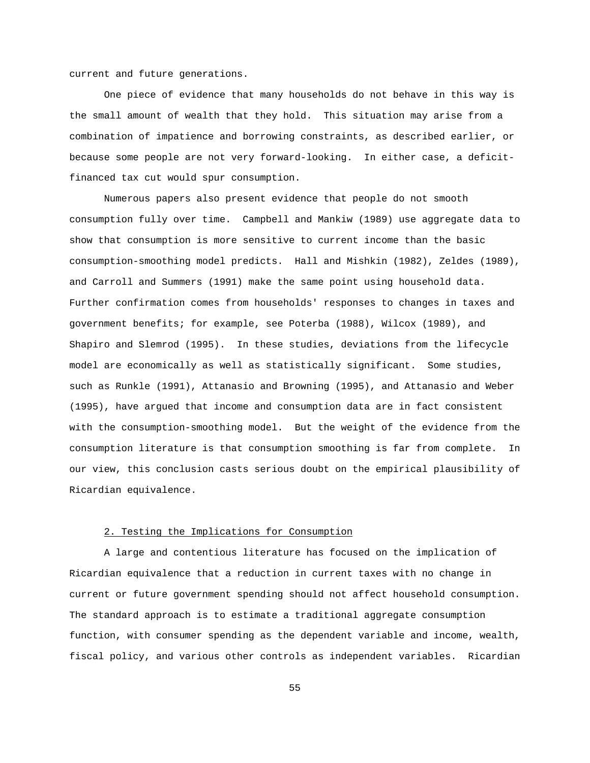current and future generations.

One piece of evidence that many households do not behave in this way is the small amount of wealth that they hold. This situation may arise from a combination of impatience and borrowing constraints, as described earlier, or because some people are not very forward-looking. In either case, a deficitfinanced tax cut would spur consumption.

Numerous papers also present evidence that people do not smooth consumption fully over time. Campbell and Mankiw (1989) use aggregate data to show that consumption is more sensitive to current income than the basic consumption-smoothing model predicts. Hall and Mishkin (1982), Zeldes (1989), and Carroll and Summers (1991) make the same point using household data. Further confirmation comes from households' responses to changes in taxes and government benefits; for example, see Poterba (1988), Wilcox (1989), and Shapiro and Slemrod (1995). In these studies, deviations from the lifecycle model are economically as well as statistically significant. Some studies, such as Runkle (1991), Attanasio and Browning (1995), and Attanasio and Weber (1995), have argued that income and consumption data are in fact consistent with the consumption-smoothing model. But the weight of the evidence from the consumption literature is that consumption smoothing is far from complete. In our view, this conclusion casts serious doubt on the empirical plausibility of Ricardian equivalence.

## 2. Testing the Implications for Consumption

A large and contentious literature has focused on the implication of Ricardian equivalence that a reduction in current taxes with no change in current or future government spending should not affect household consumption. The standard approach is to estimate a traditional aggregate consumption function, with consumer spending as the dependent variable and income, wealth, fiscal policy, and various other controls as independent variables. Ricardian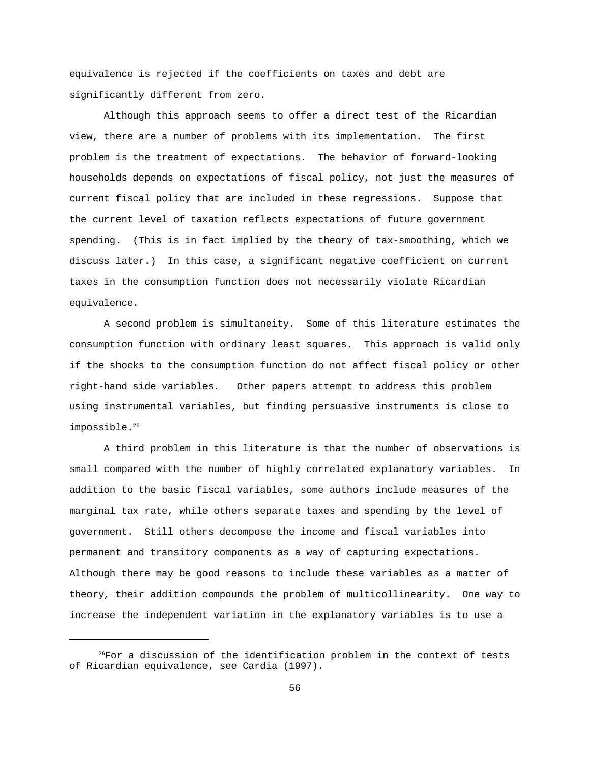equivalence is rejected if the coefficients on taxes and debt are significantly different from zero.

Although this approach seems to offer a direct test of the Ricardian view, there are a number of problems with its implementation. The first problem is the treatment of expectations. The behavior of forward-looking households depends on expectations of fiscal policy, not just the measures of current fiscal policy that are included in these regressions. Suppose that the current level of taxation reflects expectations of future government spending. (This is in fact implied by the theory of tax-smoothing, which we discuss later.) In this case, a significant negative coefficient on current taxes in the consumption function does not necessarily violate Ricardian equivalence.

A second problem is simultaneity. Some of this literature estimates the consumption function with ordinary least squares. This approach is valid only if the shocks to the consumption function do not affect fiscal policy or other right-hand side variables. Other papers attempt to address this problem using instrumental variables, but finding persuasive instruments is close to impossible.<sup>26</sup>

A third problem in this literature is that the number of observations is small compared with the number of highly correlated explanatory variables. In addition to the basic fiscal variables, some authors include measures of the marginal tax rate, while others separate taxes and spending by the level of government. Still others decompose the income and fiscal variables into permanent and transitory components as a way of capturing expectations. Although there may be good reasons to include these variables as a matter of theory, their addition compounds the problem of multicollinearity. One way to increase the independent variation in the explanatory variables is to use a

<sup>&</sup>lt;sup>26</sup>For a discussion of the identification problem in the context of tests of Ricardian equivalence, see Cardia (1997).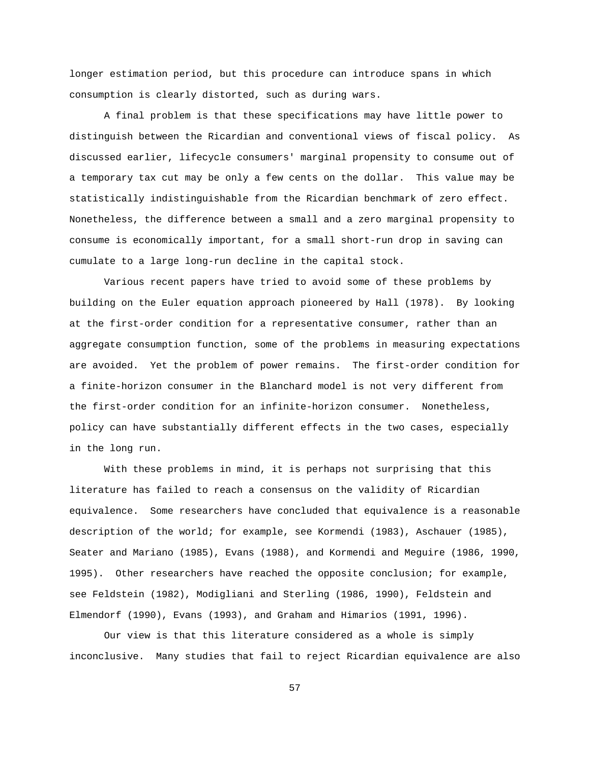longer estimation period, but this procedure can introduce spans in which consumption is clearly distorted, such as during wars.

A final problem is that these specifications may have little power to distinguish between the Ricardian and conventional views of fiscal policy. As discussed earlier, lifecycle consumers' marginal propensity to consume out of a temporary tax cut may be only a few cents on the dollar. This value may be statistically indistinguishable from the Ricardian benchmark of zero effect. Nonetheless, the difference between a small and a zero marginal propensity to consume is economically important, for a small short-run drop in saving can cumulate to a large long-run decline in the capital stock.

Various recent papers have tried to avoid some of these problems by building on the Euler equation approach pioneered by Hall (1978). By looking at the first-order condition for a representative consumer, rather than an aggregate consumption function, some of the problems in measuring expectations are avoided. Yet the problem of power remains. The first-order condition for a finite-horizon consumer in the Blanchard model is not very different from the first-order condition for an infinite-horizon consumer. Nonetheless, policy can have substantially different effects in the two cases, especially in the long run.

With these problems in mind, it is perhaps not surprising that this literature has failed to reach a consensus on the validity of Ricardian equivalence. Some researchers have concluded that equivalence is a reasonable description of the world; for example, see Kormendi (1983), Aschauer (1985), Seater and Mariano (1985), Evans (1988), and Kormendi and Meguire (1986, 1990, 1995). Other researchers have reached the opposite conclusion; for example, see Feldstein (1982), Modigliani and Sterling (1986, 1990), Feldstein and Elmendorf (1990), Evans (1993), and Graham and Himarios (1991, 1996).

Our view is that this literature considered as a whole is simply inconclusive. Many studies that fail to reject Ricardian equivalence are also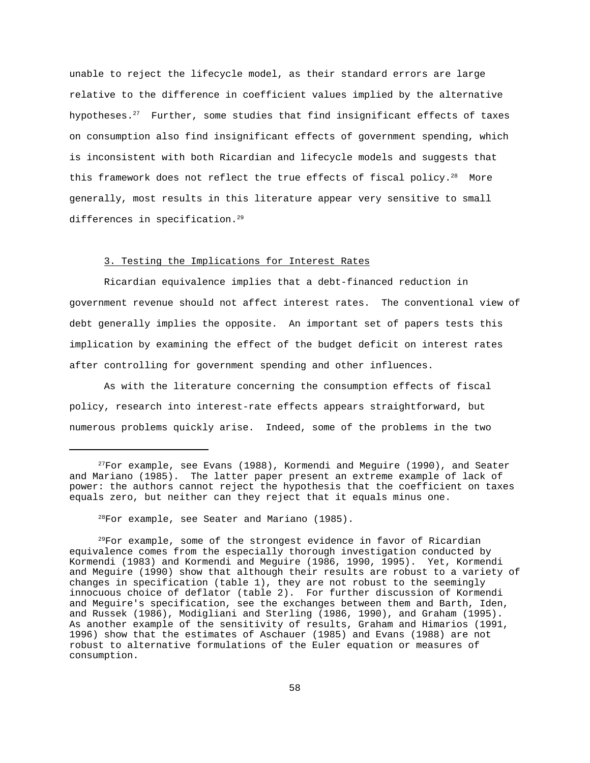unable to reject the lifecycle model, as their standard errors are large relative to the difference in coefficient values implied by the alternative hypotheses. $27$  Further, some studies that find insignificant effects of taxes on consumption also find insignificant effects of government spending, which is inconsistent with both Ricardian and lifecycle models and suggests that this framework does not reflect the true effects of fiscal policy. $^{28}$  More generally, most results in this literature appear very sensitive to small differences in specification.<sup>29</sup>

## 3. Testing the Implications for Interest Rates

Ricardian equivalence implies that a debt-financed reduction in government revenue should not affect interest rates. The conventional view of debt generally implies the opposite. An important set of papers tests this implication by examining the effect of the budget deficit on interest rates after controlling for government spending and other influences.

As with the literature concerning the consumption effects of fiscal policy, research into interest-rate effects appears straightforward, but numerous problems quickly arise. Indeed, some of the problems in the two

<sup>28</sup>For example, see Seater and Mariano (1985).

 $27$ For example, see Evans (1988), Kormendi and Meguire (1990), and Seater and Mariano (1985). The latter paper present an extreme example of lack of power: the authors cannot reject the hypothesis that the coefficient on taxes equals zero, but neither can they reject that it equals minus one.

 $29F$ or example, some of the strongest evidence in favor of Ricardian equivalence comes from the especially thorough investigation conducted by Kormendi (1983) and Kormendi and Meguire (1986, 1990, 1995). Yet, Kormendi and Meguire (1990) show that although their results are robust to a variety of changes in specification (table 1), they are not robust to the seemingly innocuous choice of deflator (table 2). For further discussion of Kormendi and Meguire's specification, see the exchanges between them and Barth, Iden, and Russek (1986), Modigliani and Sterling (1986, 1990), and Graham (1995). As another example of the sensitivity of results, Graham and Himarios (1991, 1996) show that the estimates of Aschauer (1985) and Evans (1988) are not robust to alternative formulations of the Euler equation or measures of consumption.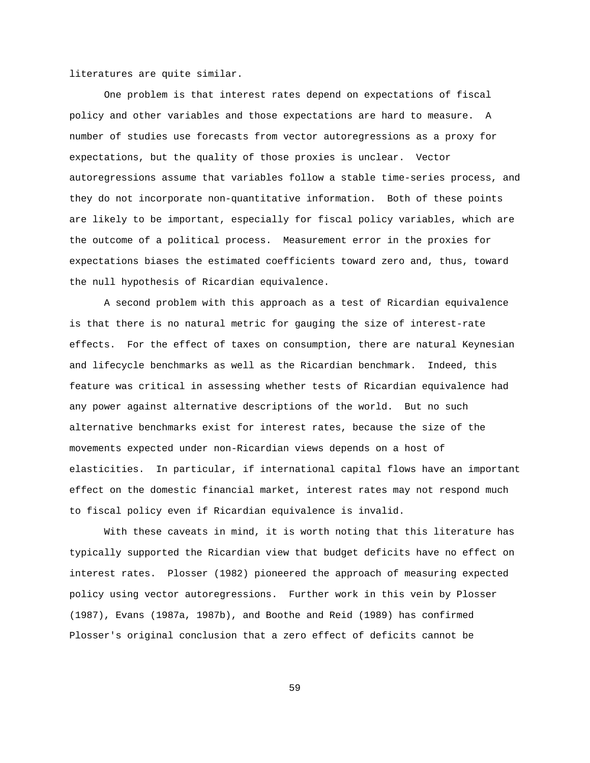literatures are quite similar.

One problem is that interest rates depend on expectations of fiscal policy and other variables and those expectations are hard to measure. A number of studies use forecasts from vector autoregressions as a proxy for expectations, but the quality of those proxies is unclear. Vector autoregressions assume that variables follow a stable time-series process, and they do not incorporate non-quantitative information. Both of these points are likely to be important, especially for fiscal policy variables, which are the outcome of a political process. Measurement error in the proxies for expectations biases the estimated coefficients toward zero and, thus, toward the null hypothesis of Ricardian equivalence.

A second problem with this approach as a test of Ricardian equivalence is that there is no natural metric for gauging the size of interest-rate effects. For the effect of taxes on consumption, there are natural Keynesian and lifecycle benchmarks as well as the Ricardian benchmark. Indeed, this feature was critical in assessing whether tests of Ricardian equivalence had any power against alternative descriptions of the world. But no such alternative benchmarks exist for interest rates, because the size of the movements expected under non-Ricardian views depends on a host of elasticities. In particular, if international capital flows have an important effect on the domestic financial market, interest rates may not respond much to fiscal policy even if Ricardian equivalence is invalid.

With these caveats in mind, it is worth noting that this literature has typically supported the Ricardian view that budget deficits have no effect on interest rates. Plosser (1982) pioneered the approach of measuring expected policy using vector autoregressions. Further work in this vein by Plosser (1987), Evans (1987a, 1987b), and Boothe and Reid (1989) has confirmed Plosser's original conclusion that a zero effect of deficits cannot be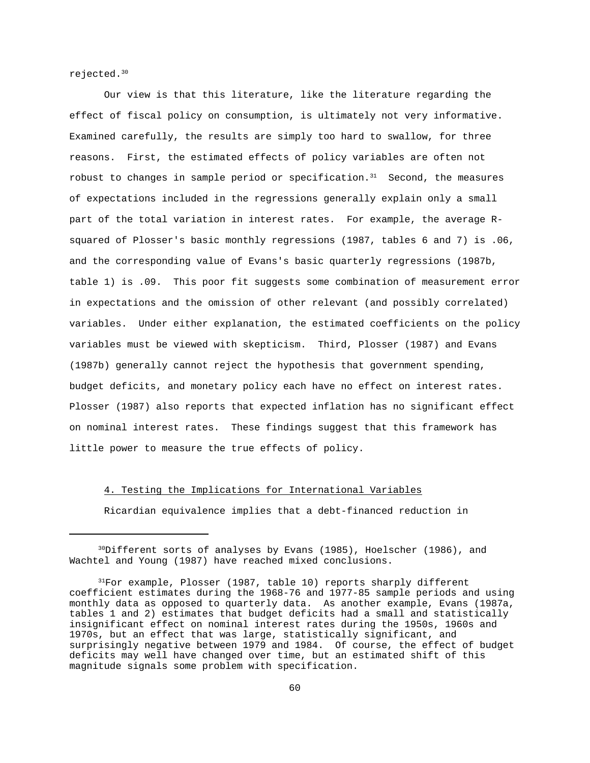rejected.<sup>30</sup>

Our view is that this literature, like the literature regarding the effect of fiscal policy on consumption, is ultimately not very informative. Examined carefully, the results are simply too hard to swallow, for three reasons. First, the estimated effects of policy variables are often not robust to changes in sample period or specification. $31$  Second, the measures of expectations included in the regressions generally explain only a small part of the total variation in interest rates. For example, the average Rsquared of Plosser's basic monthly regressions (1987, tables 6 and 7) is .06, and the corresponding value of Evans's basic quarterly regressions (1987b, table 1) is .09. This poor fit suggests some combination of measurement error in expectations and the omission of other relevant (and possibly correlated) variables. Under either explanation, the estimated coefficients on the policy variables must be viewed with skepticism. Third, Plosser (1987) and Evans (1987b) generally cannot reject the hypothesis that government spending, budget deficits, and monetary policy each have no effect on interest rates. Plosser (1987) also reports that expected inflation has no significant effect on nominal interest rates. These findings suggest that this framework has little power to measure the true effects of policy.

#### 4. Testing the Implications for International Variables

Ricardian equivalence implies that a debt-financed reduction in

 $30$ Different sorts of analyses by Evans (1985), Hoelscher (1986), and Wachtel and Young (1987) have reached mixed conclusions.

 $31$ For example, Plosser (1987, table 10) reports sharply different coefficient estimates during the 1968-76 and 1977-85 sample periods and using monthly data as opposed to quarterly data. As another example, Evans (1987a, tables 1 and 2) estimates that budget deficits had a small and statistically insignificant effect on nominal interest rates during the 1950s, 1960s and 1970s, but an effect that was large, statistically significant, and surprisingly negative between 1979 and 1984. Of course, the effect of budget deficits may well have changed over time, but an estimated shift of this magnitude signals some problem with specification.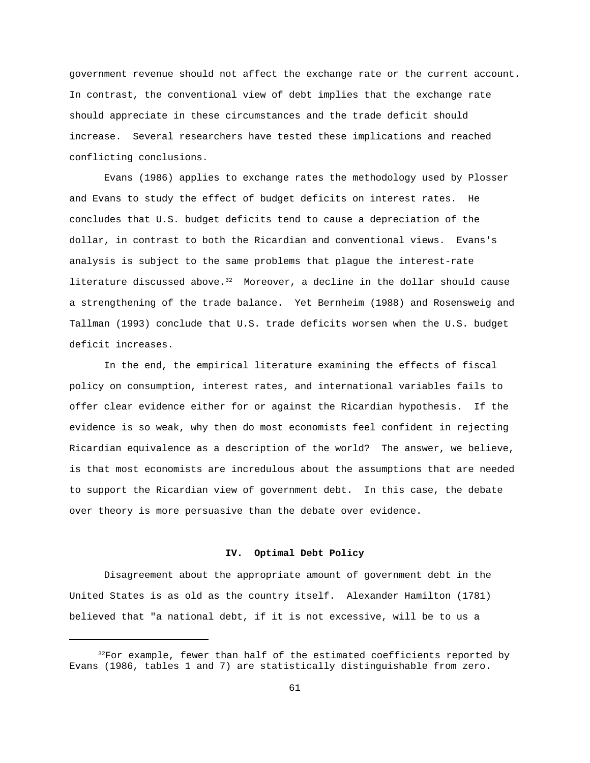government revenue should not affect the exchange rate or the current account. In contrast, the conventional view of debt implies that the exchange rate should appreciate in these circumstances and the trade deficit should increase. Several researchers have tested these implications and reached conflicting conclusions.

Evans (1986) applies to exchange rates the methodology used by Plosser and Evans to study the effect of budget deficits on interest rates. He concludes that U.S. budget deficits tend to cause a depreciation of the dollar, in contrast to both the Ricardian and conventional views. Evans's analysis is subject to the same problems that plague the interest-rate literature discussed above.<sup>32</sup> Moreover, a decline in the dollar should cause a strengthening of the trade balance. Yet Bernheim (1988) and Rosensweig and Tallman (1993) conclude that U.S. trade deficits worsen when the U.S. budget deficit increases.

In the end, the empirical literature examining the effects of fiscal policy on consumption, interest rates, and international variables fails to offer clear evidence either for or against the Ricardian hypothesis. If the evidence is so weak, why then do most economists feel confident in rejecting Ricardian equivalence as a description of the world? The answer, we believe, is that most economists are incredulous about the assumptions that are needed to support the Ricardian view of government debt. In this case, the debate over theory is more persuasive than the debate over evidence.

#### **IV. Optimal Debt Policy**

Disagreement about the appropriate amount of government debt in the United States is as old as the country itself. Alexander Hamilton (1781) believed that "a national debt, if it is not excessive, will be to us a

 $32F$ or example, fewer than half of the estimated coefficients reported by Evans (1986, tables 1 and 7) are statistically distinguishable from zero.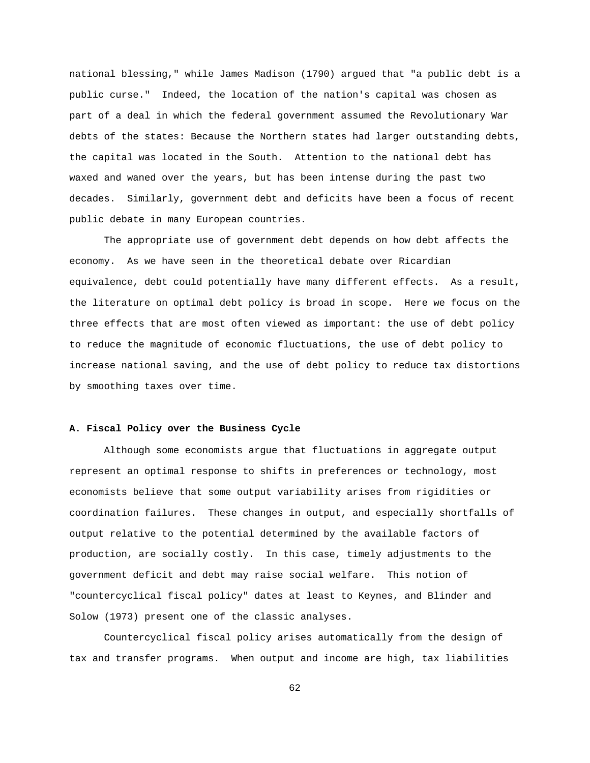national blessing," while James Madison (1790) argued that "a public debt is a public curse." Indeed, the location of the nation's capital was chosen as part of a deal in which the federal government assumed the Revolutionary War debts of the states: Because the Northern states had larger outstanding debts, the capital was located in the South. Attention to the national debt has waxed and waned over the years, but has been intense during the past two decades. Similarly, government debt and deficits have been a focus of recent public debate in many European countries.

The appropriate use of government debt depends on how debt affects the economy. As we have seen in the theoretical debate over Ricardian equivalence, debt could potentially have many different effects. As a result, the literature on optimal debt policy is broad in scope. Here we focus on the three effects that are most often viewed as important: the use of debt policy to reduce the magnitude of economic fluctuations, the use of debt policy to increase national saving, and the use of debt policy to reduce tax distortions by smoothing taxes over time.

### **A. Fiscal Policy over the Business Cycle**

Although some economists argue that fluctuations in aggregate output represent an optimal response to shifts in preferences or technology, most economists believe that some output variability arises from rigidities or coordination failures. These changes in output, and especially shortfalls of output relative to the potential determined by the available factors of production, are socially costly. In this case, timely adjustments to the government deficit and debt may raise social welfare. This notion of "countercyclical fiscal policy" dates at least to Keynes, and Blinder and Solow (1973) present one of the classic analyses.

Countercyclical fiscal policy arises automatically from the design of tax and transfer programs. When output and income are high, tax liabilities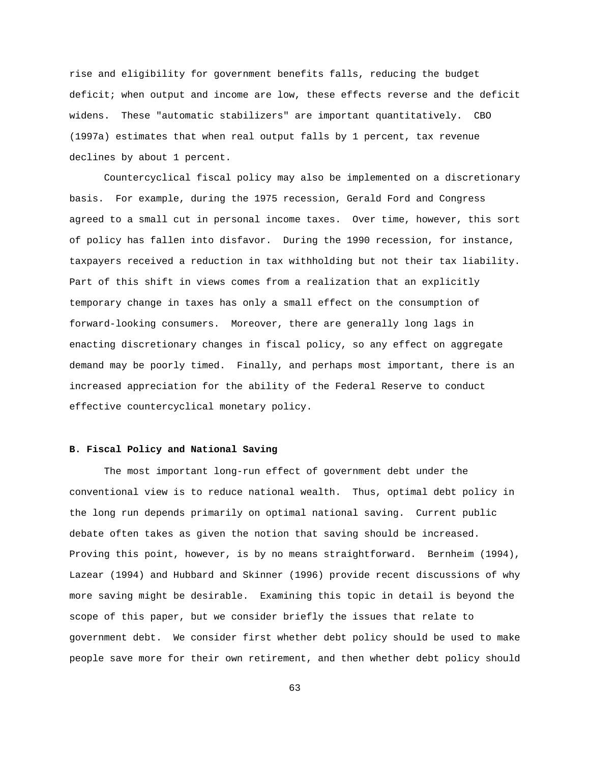rise and eligibility for government benefits falls, reducing the budget deficit; when output and income are low, these effects reverse and the deficit widens. These "automatic stabilizers" are important quantitatively. CBO (1997a) estimates that when real output falls by 1 percent, tax revenue declines by about 1 percent.

Countercyclical fiscal policy may also be implemented on a discretionary basis. For example, during the 1975 recession, Gerald Ford and Congress agreed to a small cut in personal income taxes. Over time, however, this sort of policy has fallen into disfavor. During the 1990 recession, for instance, taxpayers received a reduction in tax withholding but not their tax liability. Part of this shift in views comes from a realization that an explicitly temporary change in taxes has only a small effect on the consumption of forward-looking consumers. Moreover, there are generally long lags in enacting discretionary changes in fiscal policy, so any effect on aggregate demand may be poorly timed. Finally, and perhaps most important, there is an increased appreciation for the ability of the Federal Reserve to conduct effective countercyclical monetary policy.

### **B. Fiscal Policy and National Saving**

The most important long-run effect of government debt under the conventional view is to reduce national wealth. Thus, optimal debt policy in the long run depends primarily on optimal national saving. Current public debate often takes as given the notion that saving should be increased. Proving this point, however, is by no means straightforward. Bernheim (1994), Lazear (1994) and Hubbard and Skinner (1996) provide recent discussions of why more saving might be desirable. Examining this topic in detail is beyond the scope of this paper, but we consider briefly the issues that relate to government debt. We consider first whether debt policy should be used to make people save more for their own retirement, and then whether debt policy should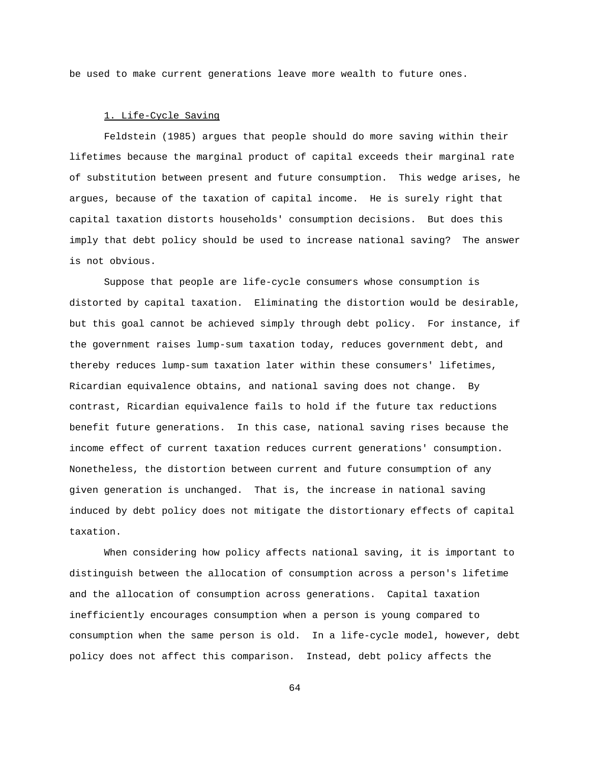be used to make current generations leave more wealth to future ones.

## 1. Life-Cycle Saving

Feldstein (1985) argues that people should do more saving within their lifetimes because the marginal product of capital exceeds their marginal rate of substitution between present and future consumption. This wedge arises, he argues, because of the taxation of capital income. He is surely right that capital taxation distorts households' consumption decisions. But does this imply that debt policy should be used to increase national saving? The answer is not obvious.

Suppose that people are life-cycle consumers whose consumption is distorted by capital taxation. Eliminating the distortion would be desirable, but this goal cannot be achieved simply through debt policy. For instance, if the government raises lump-sum taxation today, reduces government debt, and thereby reduces lump-sum taxation later within these consumers' lifetimes, Ricardian equivalence obtains, and national saving does not change. By contrast, Ricardian equivalence fails to hold if the future tax reductions benefit future generations. In this case, national saving rises because the income effect of current taxation reduces current generations' consumption. Nonetheless, the distortion between current and future consumption of any given generation is unchanged. That is, the increase in national saving induced by debt policy does not mitigate the distortionary effects of capital taxation.

When considering how policy affects national saving, it is important to distinguish between the allocation of consumption across a person's lifetime and the allocation of consumption across generations. Capital taxation inefficiently encourages consumption when a person is young compared to consumption when the same person is old. In a life-cycle model, however, debt policy does not affect this comparison. Instead, debt policy affects the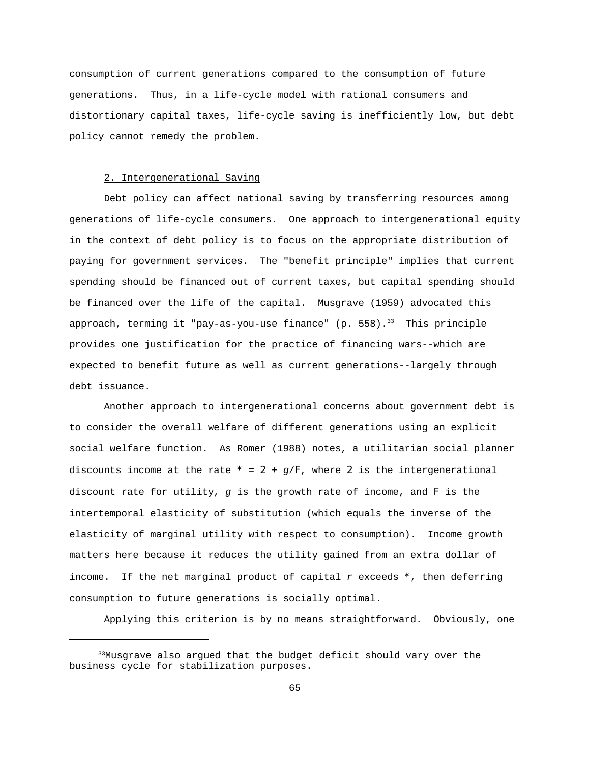consumption of current generations compared to the consumption of future generations. Thus, in a life-cycle model with rational consumers and distortionary capital taxes, life-cycle saving is inefficiently low, but debt policy cannot remedy the problem.

#### 2. Intergenerational Saving

Debt policy can affect national saving by transferring resources among generations of life-cycle consumers. One approach to intergenerational equity in the context of debt policy is to focus on the appropriate distribution of paying for government services. The "benefit principle" implies that current spending should be financed out of current taxes, but capital spending should be financed over the life of the capital. Musgrave (1959) advocated this approach, terming it "pay-as-you-use finance"  $(p. 558).$ <sup>33</sup> This principle provides one justification for the practice of financing wars--which are expected to benefit future as well as current generations--largely through debt issuance.

Another approach to intergenerational concerns about government debt is to consider the overall welfare of different generations using an explicit social welfare function. As Romer (1988) notes, a utilitarian social planner discounts income at the rate  $* = 2 + g/F$ , where 2 is the intergenerational discount rate for utility, *g* is the growth rate of income, and F is the intertemporal elasticity of substitution (which equals the inverse of the elasticity of marginal utility with respect to consumption). Income growth matters here because it reduces the utility gained from an extra dollar of income. If the net marginal product of capital *r* exceeds \*, then deferring consumption to future generations is socially optimal.

Applying this criterion is by no means straightforward. Obviously, one

 $33$ Musgrave also argued that the budget deficit should vary over the business cycle for stabilization purposes.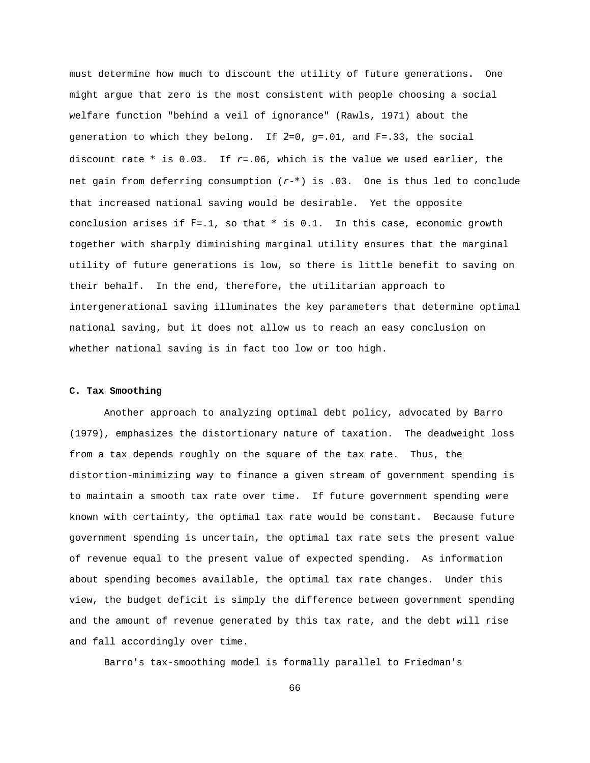must determine how much to discount the utility of future generations. One might argue that zero is the most consistent with people choosing a social welfare function "behind a veil of ignorance" (Rawls, 1971) about the generation to which they belong. If 2=0, *g*=.01, and F=.33, the social discount rate \* is 0.03. If *r*=.06, which is the value we used earlier, the net gain from deferring consumption (*r*-\*) is .03. One is thus led to conclude that increased national saving would be desirable. Yet the opposite conclusion arises if  $F=.1$ , so that  $*$  is 0.1. In this case, economic growth together with sharply diminishing marginal utility ensures that the marginal utility of future generations is low, so there is little benefit to saving on their behalf. In the end, therefore, the utilitarian approach to intergenerational saving illuminates the key parameters that determine optimal national saving, but it does not allow us to reach an easy conclusion on whether national saving is in fact too low or too high.

### **C. Tax Smoothing**

Another approach to analyzing optimal debt policy, advocated by Barro (1979), emphasizes the distortionary nature of taxation. The deadweight loss from a tax depends roughly on the square of the tax rate. Thus, the distortion-minimizing way to finance a given stream of government spending is to maintain a smooth tax rate over time. If future government spending were known with certainty, the optimal tax rate would be constant. Because future government spending is uncertain, the optimal tax rate sets the present value of revenue equal to the present value of expected spending. As information about spending becomes available, the optimal tax rate changes. Under this view, the budget deficit is simply the difference between government spending and the amount of revenue generated by this tax rate, and the debt will rise and fall accordingly over time.

Barro's tax-smoothing model is formally parallel to Friedman's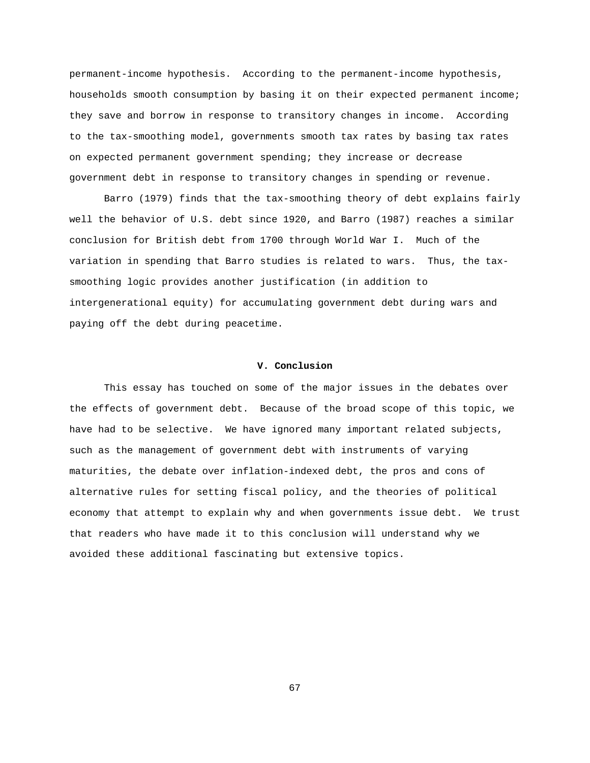permanent-income hypothesis. According to the permanent-income hypothesis, households smooth consumption by basing it on their expected permanent income; they save and borrow in response to transitory changes in income. According to the tax-smoothing model, governments smooth tax rates by basing tax rates on expected permanent government spending; they increase or decrease government debt in response to transitory changes in spending or revenue.

Barro (1979) finds that the tax-smoothing theory of debt explains fairly well the behavior of U.S. debt since 1920, and Barro (1987) reaches a similar conclusion for British debt from 1700 through World War I. Much of the variation in spending that Barro studies is related to wars. Thus, the taxsmoothing logic provides another justification (in addition to intergenerational equity) for accumulating government debt during wars and paying off the debt during peacetime.

#### **V. Conclusion**

This essay has touched on some of the major issues in the debates over the effects of government debt. Because of the broad scope of this topic, we have had to be selective. We have ignored many important related subjects, such as the management of government debt with instruments of varying maturities, the debate over inflation-indexed debt, the pros and cons of alternative rules for setting fiscal policy, and the theories of political economy that attempt to explain why and when governments issue debt. We trust that readers who have made it to this conclusion will understand why we avoided these additional fascinating but extensive topics.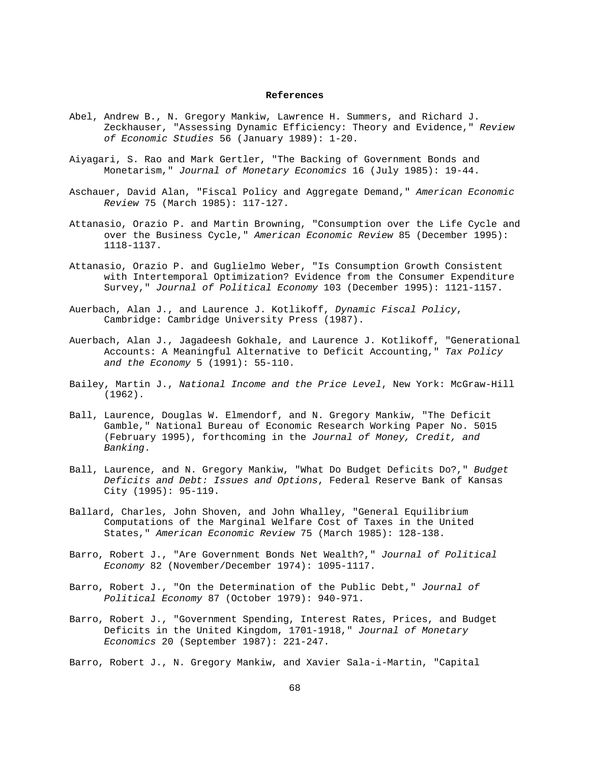#### **References**

- Abel, Andrew B., N. Gregory Mankiw, Lawrence H. Summers, and Richard J. Zeckhauser, "Assessing Dynamic Efficiency: Theory and Evidence," *Review of Economic Studies* 56 (January 1989): 1-20.
- Aiyagari, S. Rao and Mark Gertler, "The Backing of Government Bonds and Monetarism," *Journal of Monetary Economics* 16 (July 1985): 19-44.
- Aschauer, David Alan, "Fiscal Policy and Aggregate Demand," *American Economic Review* 75 (March 1985): 117-127.
- Attanasio, Orazio P. and Martin Browning, "Consumption over the Life Cycle and over the Business Cycle," *American Economic Review* 85 (December 1995): 1118-1137.
- Attanasio, Orazio P. and Guglielmo Weber, "Is Consumption Growth Consistent with Intertemporal Optimization? Evidence from the Consumer Expenditure Survey," *Journal of Political Economy* 103 (December 1995): 1121-1157.
- Auerbach, Alan J., and Laurence J. Kotlikoff, *Dynamic Fiscal Policy*, Cambridge: Cambridge University Press (1987).
- Auerbach, Alan J., Jagadeesh Gokhale, and Laurence J. Kotlikoff, "Generational Accounts: A Meaningful Alternative to Deficit Accounting," *Tax Policy and the Economy* 5 (1991): 55-110.
- Bailey, Martin J., *National Income and the Price Level*, New York: McGraw-Hill (1962).
- Ball, Laurence, Douglas W. Elmendorf, and N. Gregory Mankiw, "The Deficit Gamble," National Bureau of Economic Research Working Paper No. 5015 (February 1995), forthcoming in the *Journal of Money, Credit, and Banking*.
- Ball, Laurence, and N. Gregory Mankiw, "What Do Budget Deficits Do?," *Budget Deficits and Debt: Issues and Options*, Federal Reserve Bank of Kansas City (1995): 95-119.
- Ballard, Charles, John Shoven, and John Whalley, "General Equilibrium Computations of the Marginal Welfare Cost of Taxes in the United States," *American Economic Review* 75 (March 1985): 128-138.
- Barro, Robert J., "Are Government Bonds Net Wealth?," *Journal of Political Economy* 82 (November/December 1974): 1095-1117.
- Barro, Robert J., "On the Determination of the Public Debt," *Journal of Political Economy* 87 (October 1979): 940-971.
- Barro, Robert J., "Government Spending, Interest Rates, Prices, and Budget Deficits in the United Kingdom, 1701-1918," *Journal of Monetary Economics* 20 (September 1987): 221-247.

Barro, Robert J., N. Gregory Mankiw, and Xavier Sala-i-Martin, "Capital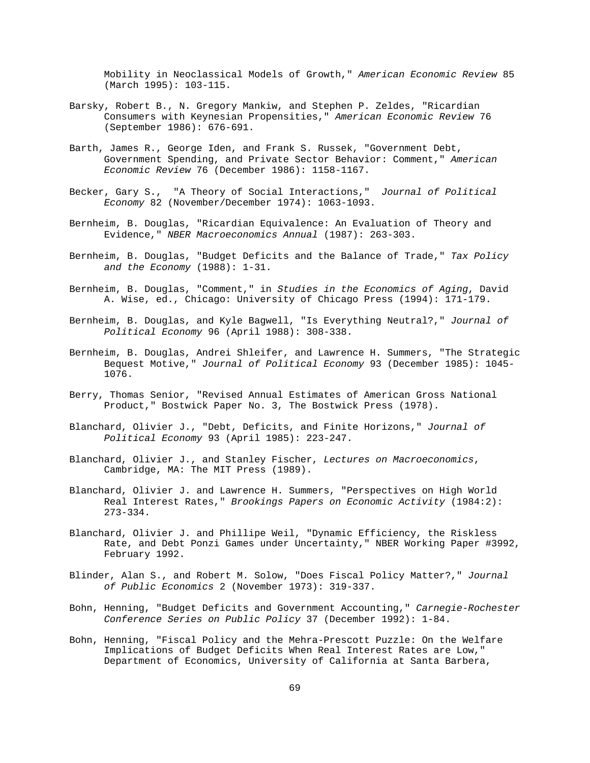Mobility in Neoclassical Models of Growth," *American Economic Review* 85 (March 1995): 103-115.

- Barsky, Robert B., N. Gregory Mankiw, and Stephen P. Zeldes, "Ricardian Consumers with Keynesian Propensities," *American Economic Review* 76 (September 1986): 676-691.
- Barth, James R., George Iden, and Frank S. Russek, "Government Debt, Government Spending, and Private Sector Behavior: Comment," *American Economic Review* 76 (December 1986): 1158-1167.
- Becker, Gary S., "A Theory of Social Interactions," *Journal of Political Economy* 82 (November/December 1974): 1063-1093.
- Bernheim, B. Douglas, "Ricardian Equivalence: An Evaluation of Theory and Evidence," *NBER Macroeconomics Annual* (1987): 263-303.
- Bernheim, B. Douglas, "Budget Deficits and the Balance of Trade," *Tax Policy and the Economy* (1988): 1-31.
- Bernheim, B. Douglas, "Comment," in *Studies in the Economics of Aging*, David A. Wise, ed., Chicago: University of Chicago Press (1994): 171-179.
- Bernheim, B. Douglas, and Kyle Bagwell, "Is Everything Neutral?," *Journal of Political Economy* 96 (April 1988): 308-338.
- Bernheim, B. Douglas, Andrei Shleifer, and Lawrence H. Summers, "The Strategic Bequest Motive," *Journal of Political Economy* 93 (December 1985): 1045- 1076.
- Berry, Thomas Senior, "Revised Annual Estimates of American Gross National Product," Bostwick Paper No. 3, The Bostwick Press (1978).
- Blanchard, Olivier J., "Debt, Deficits, and Finite Horizons," *Journal of Political Economy* 93 (April 1985): 223-247.
- Blanchard, Olivier J., and Stanley Fischer, *Lectures on Macroeconomics*, Cambridge, MA: The MIT Press (1989).
- Blanchard, Olivier J. and Lawrence H. Summers, "Perspectives on High World Real Interest Rates," *Brookings Papers on Economic Activity* (1984:2): 273-334.
- Blanchard, Olivier J. and Phillipe Weil, "Dynamic Efficiency, the Riskless Rate, and Debt Ponzi Games under Uncertainty," NBER Working Paper #3992, February 1992.
- Blinder, Alan S., and Robert M. Solow, "Does Fiscal Policy Matter?," *Journal of Public Economics* 2 (November 1973): 319-337.
- Bohn, Henning, "Budget Deficits and Government Accounting," *Carnegie-Rochester Conference Series on Public Policy* 37 (December 1992): 1-84.
- Bohn, Henning, "Fiscal Policy and the Mehra-Prescott Puzzle: On the Welfare Implications of Budget Deficits When Real Interest Rates are Low," Department of Economics, University of California at Santa Barbera,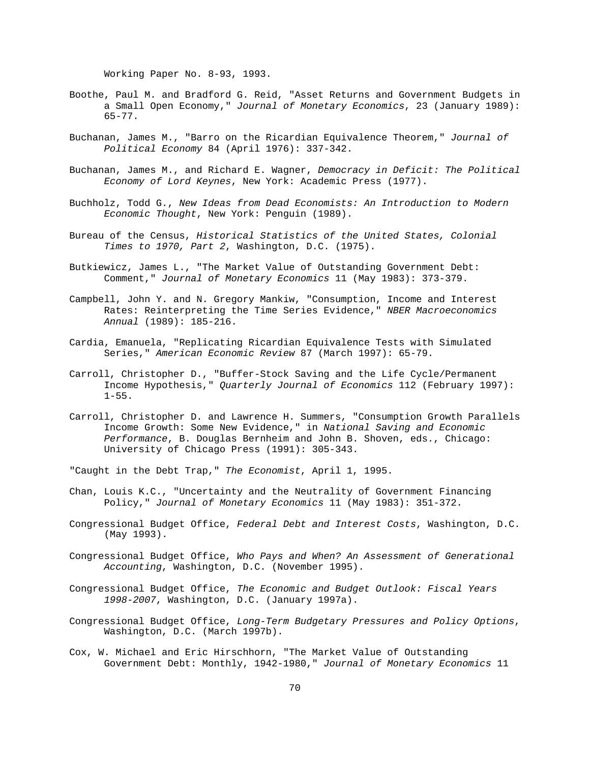Working Paper No. 8-93, 1993.

- Boothe, Paul M. and Bradford G. Reid, "Asset Returns and Government Budgets in a Small Open Economy," *Journal of Monetary Economics*, 23 (January 1989): 65-77.
- Buchanan, James M., "Barro on the Ricardian Equivalence Theorem," *Journal of Political Economy* 84 (April 1976): 337-342.
- Buchanan, James M., and Richard E. Wagner, *Democracy in Deficit: The Political Economy of Lord Keynes*, New York: Academic Press (1977).
- Buchholz, Todd G., *New Ideas from Dead Economists: An Introduction to Modern Economic Thought*, New York: Penguin (1989).
- Bureau of the Census, *Historical Statistics of the United States, Colonial Times to 1970, Part 2*, Washington, D.C. (1975).
- Butkiewicz, James L., "The Market Value of Outstanding Government Debt: Comment," *Journal of Monetary Economics* 11 (May 1983): 373-379.
- Campbell, John Y. and N. Gregory Mankiw, "Consumption, Income and Interest Rates: Reinterpreting the Time Series Evidence," *NBER Macroeconomics Annual* (1989): 185-216.
- Cardia, Emanuela, "Replicating Ricardian Equivalence Tests with Simulated Series," *American Economic Review* 87 (March 1997): 65-79.
- Carroll, Christopher D., "Buffer-Stock Saving and the Life Cycle/Permanent Income Hypothesis," *Quarterly Journal of Economics* 112 (February 1997):  $1 - 55$ .
- Carroll, Christopher D. and Lawrence H. Summers, "Consumption Growth Parallels Income Growth: Some New Evidence," in *National Saving and Economic Performance*, B. Douglas Bernheim and John B. Shoven, eds., Chicago: University of Chicago Press (1991): 305-343.

"Caught in the Debt Trap," *The Economist*, April 1, 1995.

- Chan, Louis K.C., "Uncertainty and the Neutrality of Government Financing Policy," *Journal of Monetary Economics* 11 (May 1983): 351-372.
- Congressional Budget Office, *Federal Debt and Interest Costs*, Washington, D.C. (May 1993).
- Congressional Budget Office, *Who Pays and When? An Assessment of Generational Accounting*, Washington, D.C. (November 1995).
- Congressional Budget Office, *The Economic and Budget Outlook: Fiscal Years 1998-2007*, Washington, D.C. (January 1997a).
- Congressional Budget Office, *Long-Term Budgetary Pressures and Policy Options*, Washington, D.C. (March 1997b).
- Cox, W. Michael and Eric Hirschhorn, "The Market Value of Outstanding Government Debt: Monthly, 1942-1980," *Journal of Monetary Economics* 11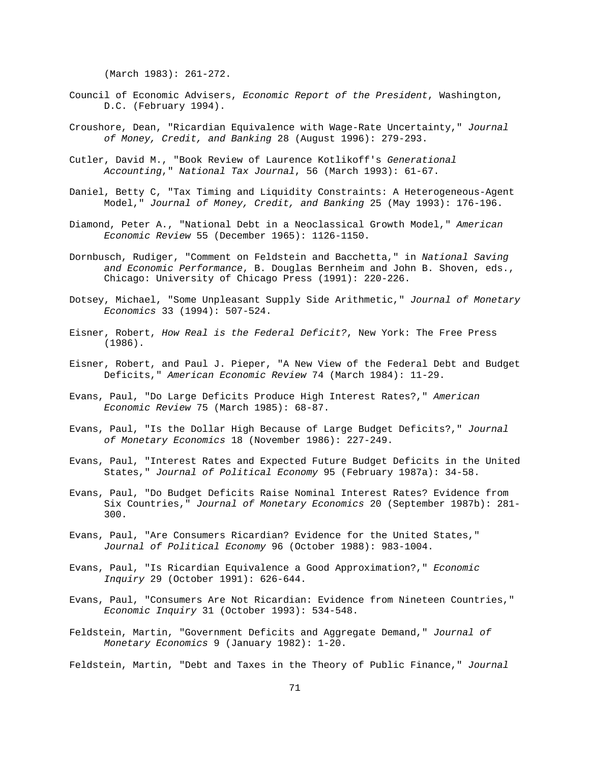(March 1983): 261-272.

- Council of Economic Advisers, *Economic Report of the President*, Washington, D.C. (February 1994).
- Croushore, Dean, "Ricardian Equivalence with Wage-Rate Uncertainty," *Journal of Money, Credit, and Banking* 28 (August 1996): 279-293.
- Cutler, David M., "Book Review of Laurence Kotlikoff's *Generational Accounting*," *National Tax Journal*, 56 (March 1993): 61-67.
- Daniel, Betty C, "Tax Timing and Liquidity Constraints: A Heterogeneous-Agent Model," *Journal of Money, Credit, and Banking* 25 (May 1993): 176-196.
- Diamond, Peter A., "National Debt in a Neoclassical Growth Model," *American Economic Review* 55 (December 1965): 1126-1150.
- Dornbusch, Rudiger, "Comment on Feldstein and Bacchetta," in *National Saving and Economic Performance*, B. Douglas Bernheim and John B. Shoven, eds., Chicago: University of Chicago Press (1991): 220-226.
- Dotsey, Michael, "Some Unpleasant Supply Side Arithmetic," *Journal of Monetary Economics* 33 (1994): 507-524.
- Eisner, Robert, *How Real is the Federal Deficit?*, New York: The Free Press (1986).
- Eisner, Robert, and Paul J. Pieper, "A New View of the Federal Debt and Budget Deficits," *American Economic Review* 74 (March 1984): 11-29.
- Evans, Paul, "Do Large Deficits Produce High Interest Rates?," *American Economic Review* 75 (March 1985): 68-87.
- Evans, Paul, "Is the Dollar High Because of Large Budget Deficits?," *Journal of Monetary Economics* 18 (November 1986): 227-249.
- Evans, Paul, "Interest Rates and Expected Future Budget Deficits in the United States," *Journal of Political Economy* 95 (February 1987a): 34-58.
- Evans, Paul, "Do Budget Deficits Raise Nominal Interest Rates? Evidence from Six Countries," *Journal of Monetary Economics* 20 (September 1987b): 281- 300.
- Evans, Paul, "Are Consumers Ricardian? Evidence for the United States," *Journal of Political Economy* 96 (October 1988): 983-1004.
- Evans, Paul, "Is Ricardian Equivalence a Good Approximation?," *Economic Inquiry* 29 (October 1991): 626-644.
- Evans, Paul, "Consumers Are Not Ricardian: Evidence from Nineteen Countries," *Economic Inquiry* 31 (October 1993): 534-548.
- Feldstein, Martin, "Government Deficits and Aggregate Demand," *Journal of Monetary Economics* 9 (January 1982): 1-20.

Feldstein, Martin, "Debt and Taxes in the Theory of Public Finance," *Journal*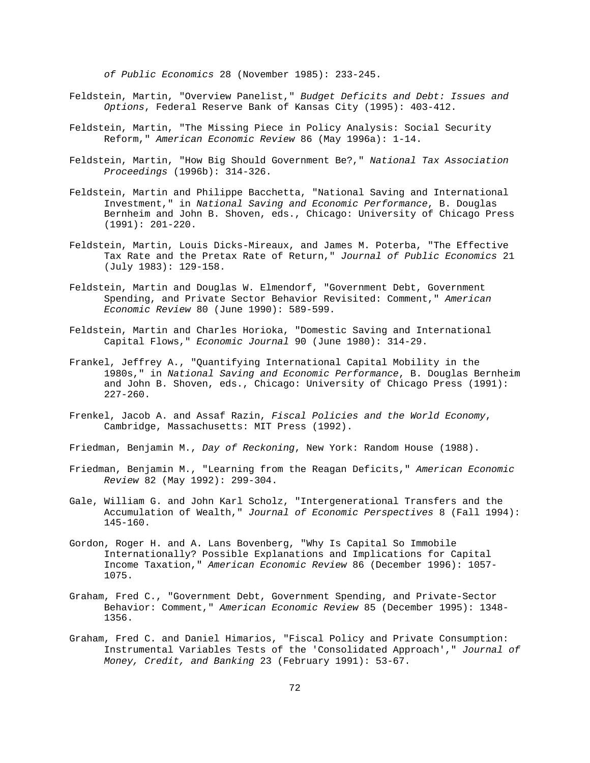*of Public Economics* 28 (November 1985): 233-245.

- Feldstein, Martin, "Overview Panelist," *Budget Deficits and Debt: Issues and Options*, Federal Reserve Bank of Kansas City (1995): 403-412.
- Feldstein, Martin, "The Missing Piece in Policy Analysis: Social Security Reform," *American Economic Review* 86 (May 1996a): 1-14.
- Feldstein, Martin, "How Big Should Government Be?," *National Tax Association Proceedings* (1996b): 314-326.
- Feldstein, Martin and Philippe Bacchetta, "National Saving and International Investment," in *National Saving and Economic Performance*, B. Douglas Bernheim and John B. Shoven, eds., Chicago: University of Chicago Press (1991): 201-220.
- Feldstein, Martin, Louis Dicks-Mireaux, and James M. Poterba, "The Effective Tax Rate and the Pretax Rate of Return," *Journal of Public Economics* 21 (July 1983): 129-158.
- Feldstein, Martin and Douglas W. Elmendorf, "Government Debt, Government Spending, and Private Sector Behavior Revisited: Comment," *American Economic Review* 80 (June 1990): 589-599.
- Feldstein, Martin and Charles Horioka, "Domestic Saving and International Capital Flows," *Economic Journal* 90 (June 1980): 314-29.
- Frankel, Jeffrey A., "Quantifying International Capital Mobility in the 1980s," in *National Saving and Economic Performance*, B. Douglas Bernheim and John B. Shoven, eds., Chicago: University of Chicago Press (1991): 227-260.
- Frenkel, Jacob A. and Assaf Razin, *Fiscal Policies and the World Economy*, Cambridge, Massachusetts: MIT Press (1992).
- Friedman, Benjamin M., *Day of Reckoning*, New York: Random House (1988).
- Friedman, Benjamin M., "Learning from the Reagan Deficits," *American Economic Review* 82 (May 1992): 299-304.
- Gale, William G. and John Karl Scholz, "Intergenerational Transfers and the Accumulation of Wealth," *Journal of Economic Perspectives* 8 (Fall 1994): 145-160.
- Gordon, Roger H. and A. Lans Bovenberg, "Why Is Capital So Immobile Internationally? Possible Explanations and Implications for Capital Income Taxation," *American Economic Review* 86 (December 1996): 1057- 1075.
- Graham, Fred C., "Government Debt, Government Spending, and Private-Sector Behavior: Comment," *American Economic Review* 85 (December 1995): 1348- 1356.
- Graham, Fred C. and Daniel Himarios, "Fiscal Policy and Private Consumption: Instrumental Variables Tests of the 'Consolidated Approach'," *Journal of Money, Credit, and Banking* 23 (February 1991): 53-67.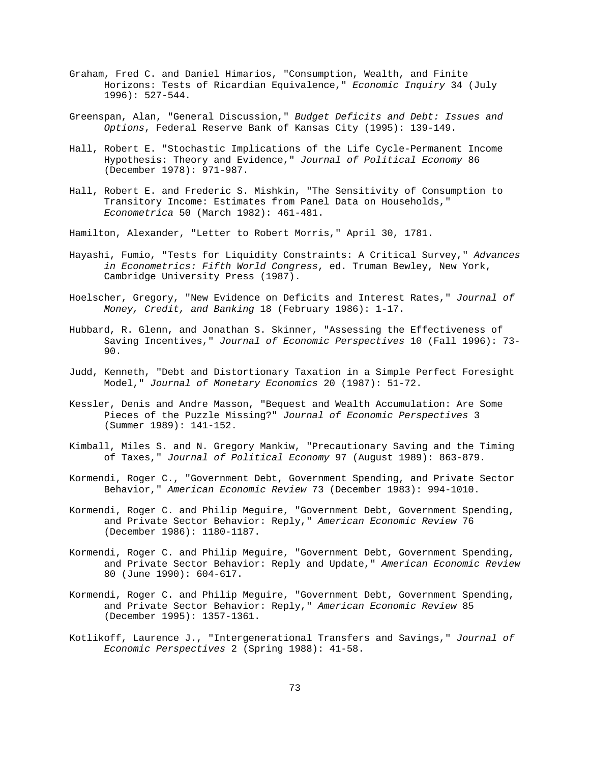- Graham, Fred C. and Daniel Himarios, "Consumption, Wealth, and Finite Horizons: Tests of Ricardian Equivalence," *Economic Inquiry* 34 (July 1996): 527-544.
- Greenspan, Alan, "General Discussion," *Budget Deficits and Debt: Issues and Options*, Federal Reserve Bank of Kansas City (1995): 139-149.
- Hall, Robert E. "Stochastic Implications of the Life Cycle-Permanent Income Hypothesis: Theory and Evidence," *Journal of Political Economy* 86 (December 1978): 971-987.
- Hall, Robert E. and Frederic S. Mishkin, "The Sensitivity of Consumption to Transitory Income: Estimates from Panel Data on Households," *Econometrica* 50 (March 1982): 461-481.
- Hamilton, Alexander, "Letter to Robert Morris," April 30, 1781.
- Hayashi, Fumio, "Tests for Liquidity Constraints: A Critical Survey," *Advances in Econometrics: Fifth World Congress*, ed. Truman Bewley, New York, Cambridge University Press (1987).
- Hoelscher, Gregory, "New Evidence on Deficits and Interest Rates," *Journal of Money, Credit, and Banking* 18 (February 1986): 1-17.
- Hubbard, R. Glenn, and Jonathan S. Skinner, "Assessing the Effectiveness of Saving Incentives," *Journal of Economic Perspectives* 10 (Fall 1996): 73- 90.
- Judd, Kenneth, "Debt and Distortionary Taxation in a Simple Perfect Foresight Model," *Journal of Monetary Economics* 20 (1987): 51-72.
- Kessler, Denis and Andre Masson, "Bequest and Wealth Accumulation: Are Some Pieces of the Puzzle Missing?" *Journal of Economic Perspectives* 3 (Summer 1989): 141-152.
- Kimball, Miles S. and N. Gregory Mankiw, "Precautionary Saving and the Timing of Taxes," *Journal of Political Economy* 97 (August 1989): 863-879.
- Kormendi, Roger C., "Government Debt, Government Spending, and Private Sector Behavior," *American Economic Review* 73 (December 1983): 994-1010.
- Kormendi, Roger C. and Philip Meguire, "Government Debt, Government Spending, and Private Sector Behavior: Reply," *American Economic Review* 76 (December 1986): 1180-1187.
- Kormendi, Roger C. and Philip Meguire, "Government Debt, Government Spending, and Private Sector Behavior: Reply and Update," *American Economic Review* 80 (June 1990): 604-617.
- Kormendi, Roger C. and Philip Meguire, "Government Debt, Government Spending, and Private Sector Behavior: Reply," *American Economic Review* 85 (December 1995): 1357-1361.
- Kotlikoff, Laurence J., "Intergenerational Transfers and Savings," *Journal of Economic Perspectives* 2 (Spring 1988): 41-58.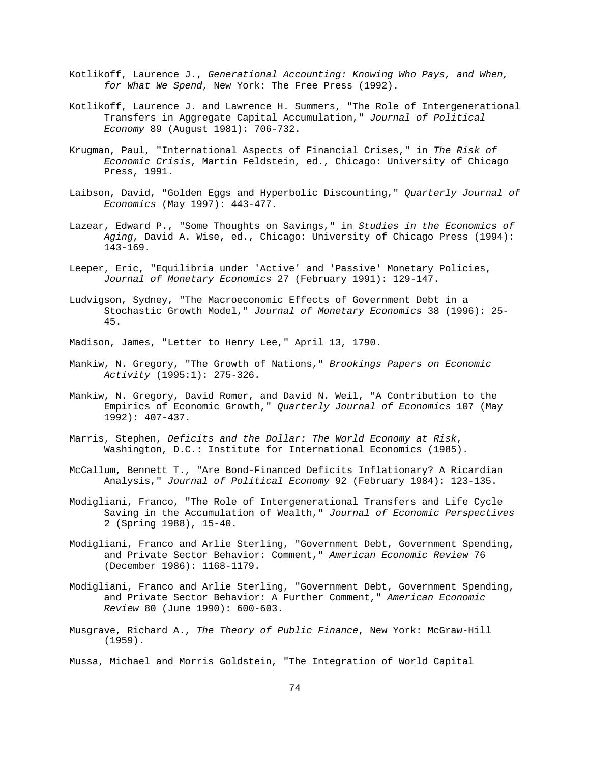- Kotlikoff, Laurence J., *Generational Accounting: Knowing Who Pays, and When, for What We Spend*, New York: The Free Press (1992).
- Kotlikoff, Laurence J. and Lawrence H. Summers, "The Role of Intergenerational Transfers in Aggregate Capital Accumulation," *Journal of Political Economy* 89 (August 1981): 706-732.
- Krugman, Paul, "International Aspects of Financial Crises," in *The Risk of Economic Crisis*, Martin Feldstein, ed., Chicago: University of Chicago Press, 1991.
- Laibson, David, "Golden Eggs and Hyperbolic Discounting," *Quarterly Journal of Economics* (May 1997): 443-477.
- Lazear, Edward P., "Some Thoughts on Savings," in *Studies in the Economics of Aging*, David A. Wise, ed., Chicago: University of Chicago Press (1994): 143-169.
- Leeper, Eric, "Equilibria under 'Active' and 'Passive' Monetary Policies, *Journal of Monetary Economics* 27 (February 1991): 129-147.
- Ludvigson, Sydney, "The Macroeconomic Effects of Government Debt in a Stochastic Growth Model," *Journal of Monetary Economics* 38 (1996): 25- 45.

Madison, James, "Letter to Henry Lee," April 13, 1790.

- Mankiw, N. Gregory, "The Growth of Nations," *Brookings Papers on Economic Activity* (1995:1): 275-326.
- Mankiw, N. Gregory, David Romer, and David N. Weil, "A Contribution to the Empirics of Economic Growth," *Quarterly Journal of Economics* 107 (May 1992): 407-437.
- Marris, Stephen, *Deficits and the Dollar: The World Economy at Risk*, Washington, D.C.: Institute for International Economics (1985).
- McCallum, Bennett T., "Are Bond-Financed Deficits Inflationary? A Ricardian Analysis," *Journal of Political Economy* 92 (February 1984): 123-135.
- Modigliani, Franco, "The Role of Intergenerational Transfers and Life Cycle Saving in the Accumulation of Wealth," *Journal of Economic Perspectives* 2 (Spring 1988), 15-40.
- Modigliani, Franco and Arlie Sterling, "Government Debt, Government Spending, and Private Sector Behavior: Comment," *American Economic Review* 76 (December 1986): 1168-1179.
- Modigliani, Franco and Arlie Sterling, "Government Debt, Government Spending, and Private Sector Behavior: A Further Comment," *American Economic Review* 80 (June 1990): 600-603.
- Musgrave, Richard A., *The Theory of Public Finance*, New York: McGraw-Hill (1959).

Mussa, Michael and Morris Goldstein, "The Integration of World Capital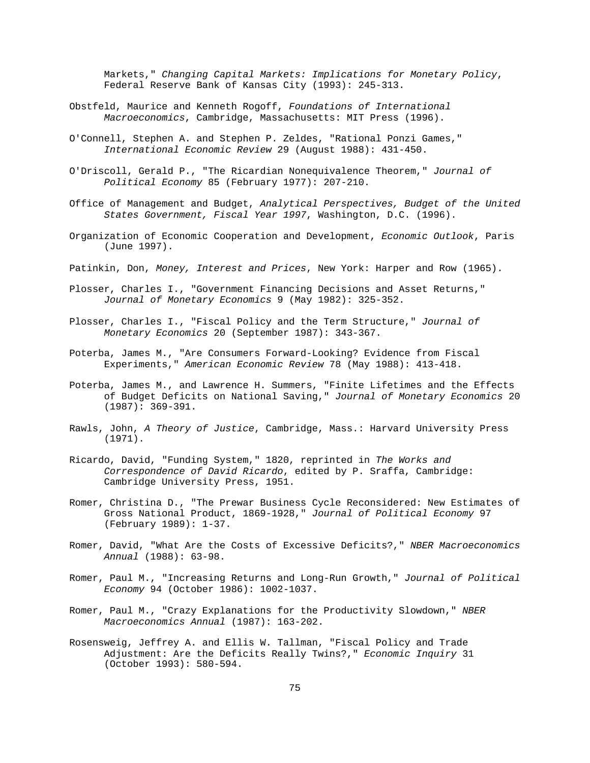Markets," *Changing Capital Markets: Implications for Monetary Policy*, Federal Reserve Bank of Kansas City (1993): 245-313.

- Obstfeld, Maurice and Kenneth Rogoff, *Foundations of International Macroeconomics*, Cambridge, Massachusetts: MIT Press (1996).
- O'Connell, Stephen A. and Stephen P. Zeldes, "Rational Ponzi Games," *International Economic Review* 29 (August 1988): 431-450.
- O'Driscoll, Gerald P., "The Ricardian Nonequivalence Theorem," *Journal of Political Economy* 85 (February 1977): 207-210.
- Office of Management and Budget, *Analytical Perspectives, Budget of the United States Government, Fiscal Year 1997*, Washington, D.C. (1996).
- Organization of Economic Cooperation and Development, *Economic Outlook*, Paris (June 1997).
- Patinkin, Don, *Money, Interest and Prices*, New York: Harper and Row (1965).
- Plosser, Charles I., "Government Financing Decisions and Asset Returns," *Journal of Monetary Economics* 9 (May 1982): 325-352.
- Plosser, Charles I., "Fiscal Policy and the Term Structure," *Journal of Monetary Economics* 20 (September 1987): 343-367.
- Poterba, James M., "Are Consumers Forward-Looking? Evidence from Fiscal Experiments," *American Economic Review* 78 (May 1988): 413-418.
- Poterba, James M., and Lawrence H. Summers, "Finite Lifetimes and the Effects of Budget Deficits on National Saving," *Journal of Monetary Economics* 20 (1987): 369-391.
- Rawls, John, *A Theory of Justice*, Cambridge, Mass.: Harvard University Press (1971).
- Ricardo, David, "Funding System," 1820, reprinted in *The Works and Correspondence of David Ricardo*, edited by P. Sraffa, Cambridge: Cambridge University Press, 1951.
- Romer, Christina D., "The Prewar Business Cycle Reconsidered: New Estimates of Gross National Product, 1869-1928," *Journal of Political Economy* 97 (February 1989): 1-37.
- Romer, David, "What Are the Costs of Excessive Deficits?," *NBER Macroeconomics Annual* (1988): 63-98.
- Romer, Paul M., "Increasing Returns and Long-Run Growth," *Journal of Political Economy* 94 (October 1986): 1002-1037.
- Romer, Paul M., "Crazy Explanations for the Productivity Slowdown," *NBER Macroeconomics Annual* (1987): 163-202.
- Rosensweig, Jeffrey A. and Ellis W. Tallman, "Fiscal Policy and Trade Adjustment: Are the Deficits Really Twins?," *Economic Inquiry* 31 (October 1993): 580-594.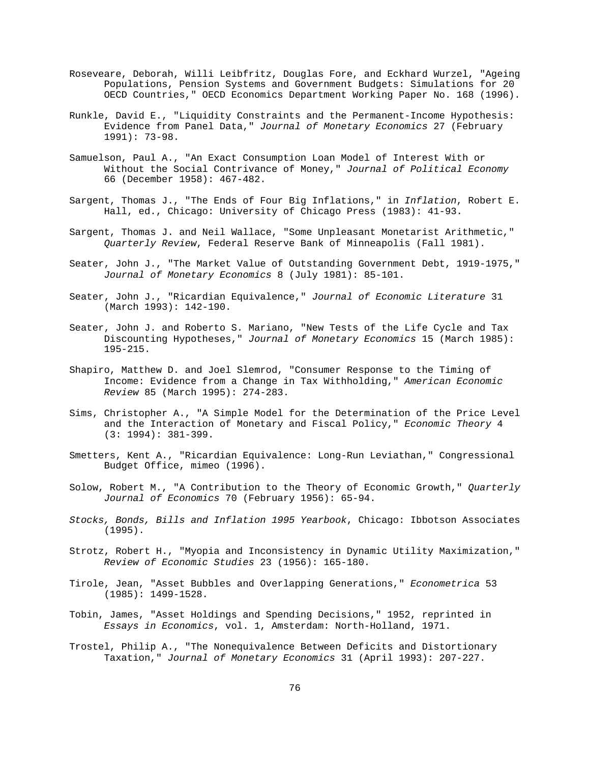- Roseveare, Deborah, Willi Leibfritz, Douglas Fore, and Eckhard Wurzel, "Ageing Populations, Pension Systems and Government Budgets: Simulations for 20 OECD Countries," OECD Economics Department Working Paper No. 168 (1996).
- Runkle, David E., "Liquidity Constraints and the Permanent-Income Hypothesis: Evidence from Panel Data," *Journal of Monetary Economics* 27 (February 1991): 73-98.
- Samuelson, Paul A., "An Exact Consumption Loan Model of Interest With or Without the Social Contrivance of Money," *Journal of Political Economy* 66 (December 1958): 467-482.
- Sargent, Thomas J., "The Ends of Four Big Inflations," in *Inflation*, Robert E. Hall, ed., Chicago: University of Chicago Press (1983): 41-93.
- Sargent, Thomas J. and Neil Wallace, "Some Unpleasant Monetarist Arithmetic," *Quarterly Review*, Federal Reserve Bank of Minneapolis (Fall 1981).
- Seater, John J., "The Market Value of Outstanding Government Debt, 1919-1975," *Journal of Monetary Economics* 8 (July 1981): 85-101.
- Seater, John J., "Ricardian Equivalence," *Journal of Economic Literature* 31 (March 1993): 142-190.
- Seater, John J. and Roberto S. Mariano, "New Tests of the Life Cycle and Tax Discounting Hypotheses," *Journal of Monetary Economics* 15 (March 1985): 195-215.
- Shapiro, Matthew D. and Joel Slemrod, "Consumer Response to the Timing of Income: Evidence from a Change in Tax Withholding," *American Economic Review* 85 (March 1995): 274-283.
- Sims, Christopher A., "A Simple Model for the Determination of the Price Level and the Interaction of Monetary and Fiscal Policy," *Economic Theory* 4 (3: 1994): 381-399.
- Smetters, Kent A., "Ricardian Equivalence: Long-Run Leviathan," Congressional Budget Office, mimeo (1996).
- Solow, Robert M., "A Contribution to the Theory of Economic Growth," *Quarterly Journal of Economics* 70 (February 1956): 65-94.
- *Stocks, Bonds, Bills and Inflation 1995 Yearbook*, Chicago: Ibbotson Associates (1995).
- Strotz, Robert H., "Myopia and Inconsistency in Dynamic Utility Maximization," *Review of Economic Studies* 23 (1956): 165-180.
- Tirole, Jean, "Asset Bubbles and Overlapping Generations," *Econometrica* 53 (1985): 1499-1528.
- Tobin, James, "Asset Holdings and Spending Decisions," 1952, reprinted in *Essays in Economics*, vol. 1, Amsterdam: North-Holland, 1971.
- Trostel, Philip A., "The Nonequivalence Between Deficits and Distortionary Taxation," *Journal of Monetary Economics* 31 (April 1993): 207-227.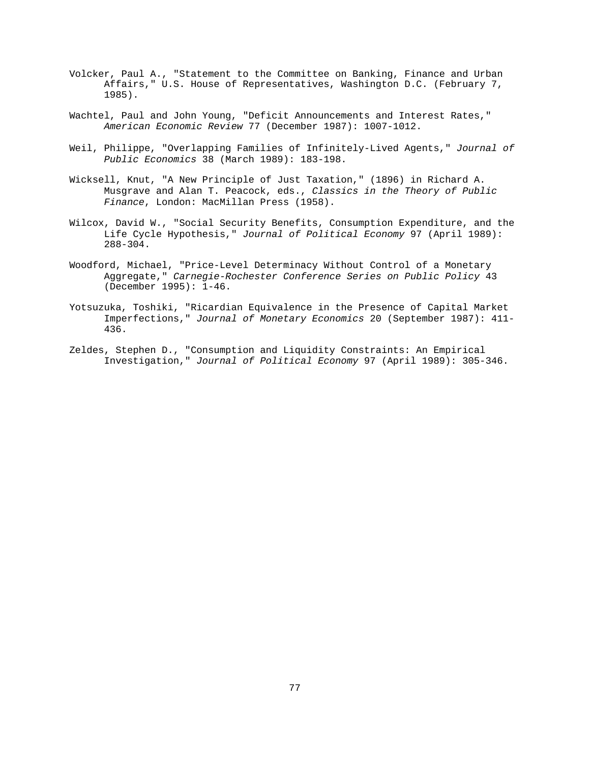- Volcker, Paul A., "Statement to the Committee on Banking, Finance and Urban Affairs," U.S. House of Representatives, Washington D.C. (February 7, 1985).
- Wachtel, Paul and John Young, "Deficit Announcements and Interest Rates," *American Economic Review* 77 (December 1987): 1007-1012.
- Weil, Philippe, "Overlapping Families of Infinitely-Lived Agents," *Journal of Public Economics* 38 (March 1989): 183-198.
- Wicksell, Knut, "A New Principle of Just Taxation," (1896) in Richard A. Musgrave and Alan T. Peacock, eds., *Classics in the Theory of Public Finance*, London: MacMillan Press (1958).
- Wilcox, David W., "Social Security Benefits, Consumption Expenditure, and the Life Cycle Hypothesis," *Journal of Political Economy* 97 (April 1989): 288-304.
- Woodford, Michael, "Price-Level Determinacy Without Control of a Monetary Aggregate," *Carnegie-Rochester Conference Series on Public Policy* 43 (December 1995): 1-46.
- Yotsuzuka, Toshiki, "Ricardian Equivalence in the Presence of Capital Market Imperfections," *Journal of Monetary Economics* 20 (September 1987): 411- 436.
- Zeldes, Stephen D., "Consumption and Liquidity Constraints: An Empirical Investigation," *Journal of Political Economy* 97 (April 1989): 305-346.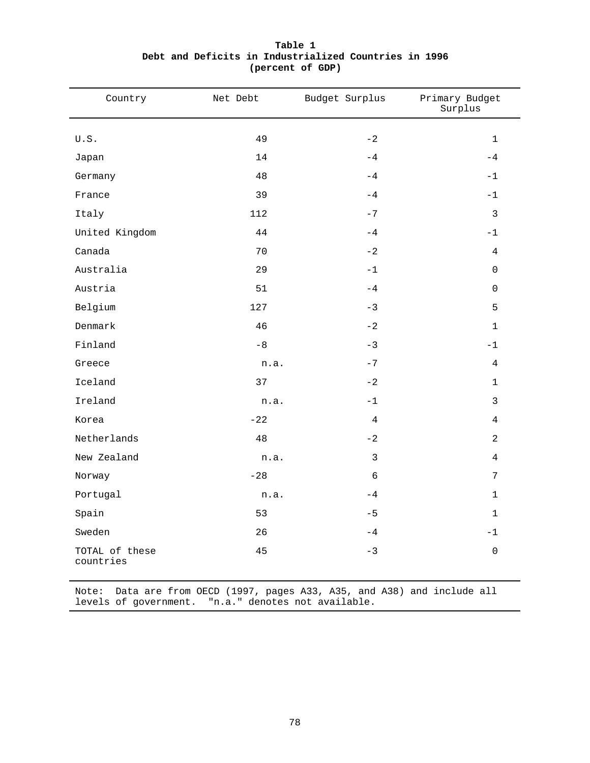| Country                     | Net Debt | Budget Surplus | Primary Budget<br>Surplus |
|-----------------------------|----------|----------------|---------------------------|
| U.S.                        | 49       | $-2$           | $\mathbf 1$               |
| Japan                       | 14       | $-4$           | $-4$                      |
| Germany                     | 48       | $-4$           | $-1$                      |
| France                      | 39       | $-4$           | $-1$                      |
| Italy                       | 112      | $-7$           | $\mathbf{3}$              |
| United Kingdom              | $4\,4$   | $-4$           | $-1$                      |
| Canada                      | 70       | $-2$           | $\overline{4}$            |
| Australia                   | 29       | $-1$           | $\mathsf{O}\xspace$       |
| Austria                     | 51       | $-4$           |                           |
|                             |          |                | 0                         |
| Belgium                     | 127      | $-3$           | 5                         |
| Denmark                     | 46       | $-2$           | $1\,$                     |
| Finland                     | $-8$     | $-3$           | $-1$                      |
| Greece                      | n.a.     | $-7$           | $\overline{4}$            |
| Iceland                     | 37       | $-2$           | $\mathbf 1$               |
| Ireland                     | n.a.     | $-1$           | $\mathbf{3}$              |
| Korea                       | $-22$    | 4              | $\overline{4}$            |
| Netherlands                 | 48       | $-2$           | $\overline{a}$            |
| New Zealand                 | n.a.     | $\mathbf{3}$   | $\overline{4}$            |
| Norway                      | $-28$    | $\epsilon$     | $\overline{7}$            |
| Portugal                    | n.a.     | $-4$           | $\mathbf 1$               |
| Spain                       | 53       | $-5$           | $1\,$                     |
| Sweden                      | 26       | $-4$           | $-1$                      |
| TOTAL of these<br>countries | 45       | $-3$           | $\mathsf{O}\xspace$       |

## **Table 1 Debt and Deficits in Industrialized Countries in 1996 (percent of GDP)**

Note: Data are from OECD (1997, pages A33, A35, and A38) and include all levels of government. "n.a." denotes not available.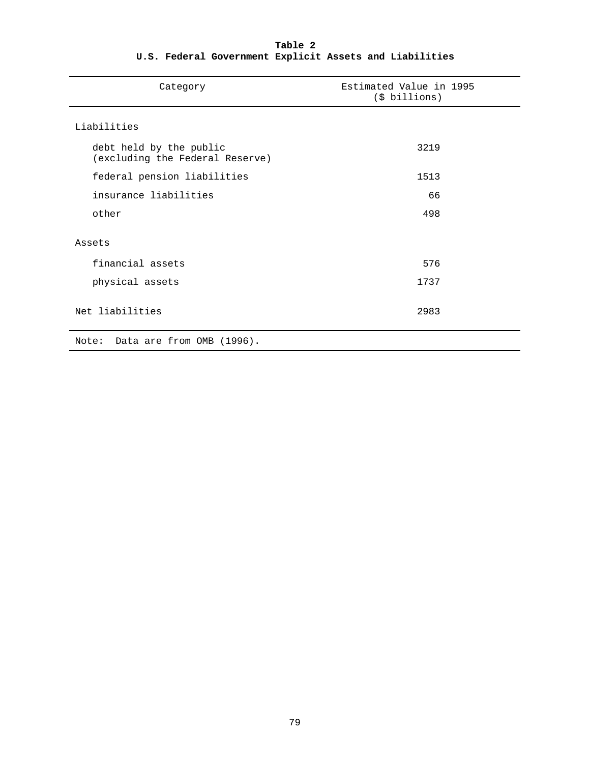| Category                                                   | Estimated Value in 1995<br>(\$ billions) |  |
|------------------------------------------------------------|------------------------------------------|--|
| Liabilities                                                |                                          |  |
| debt held by the public<br>(excluding the Federal Reserve) | 3219                                     |  |
| federal pension liabilities                                | 1513                                     |  |
| insurance liabilities                                      | 66                                       |  |
| other                                                      | 498                                      |  |
| Assets                                                     |                                          |  |
| financial assets                                           | 576                                      |  |
| physical assets                                            | 1737                                     |  |
| Net liabilities                                            | 2983                                     |  |
| Data are from OMB (1996).<br>Note:                         |                                          |  |

## **Table 2 U.S. Federal Government Explicit Assets and Liabilities**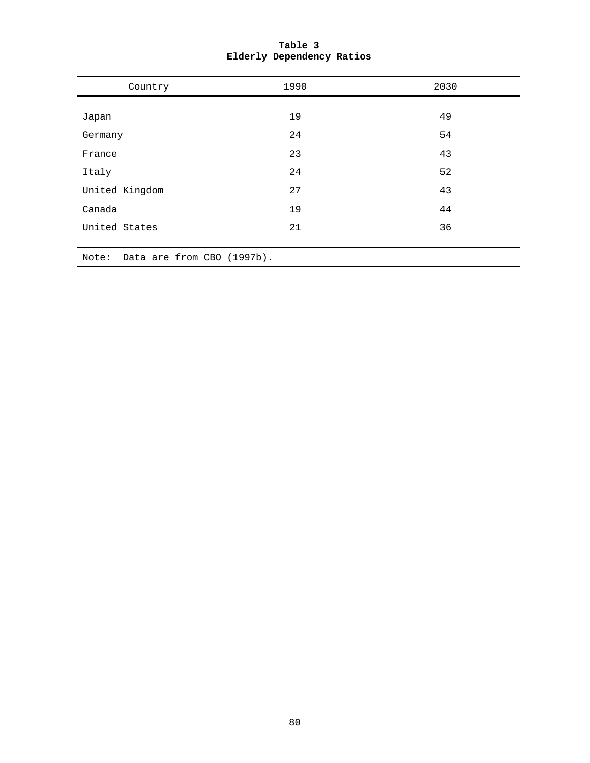| Country                             | 1990 | 2030 |
|-------------------------------------|------|------|
|                                     |      |      |
| Japan                               | 19   | 49   |
| Germany                             | 24   | 54   |
| France                              | 23   | 43   |
| Italy                               | 24   | 52   |
| United Kingdom                      | 27   | 43   |
| Canada                              | 19   | 44   |
| United States                       | 21   | 36   |
|                                     |      |      |
| Data are from CBO (1997b).<br>Note: |      |      |

**Table 3 Elderly Dependency Ratios**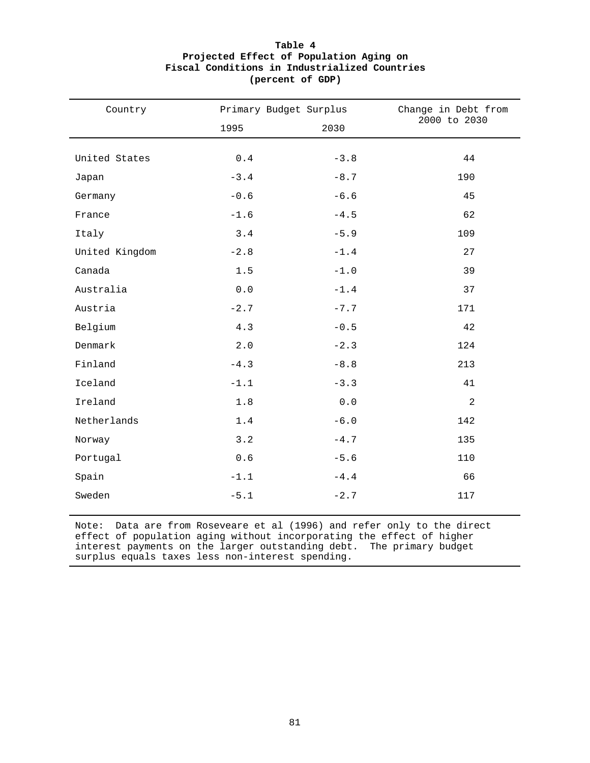| Country        | Primary Budget Surplus |                       | Change in Debt from |  |
|----------------|------------------------|-----------------------|---------------------|--|
|                | 1995                   | 2030                  | 2000 to 2030        |  |
|                |                        |                       |                     |  |
| United States  | 0.4                    | $-3.8$                | 44                  |  |
| Japan          | $-3.4$                 | $-8.7$                | 190                 |  |
| Germany        | $-0.6$                 | $-6.6$                | 45                  |  |
| France         | $-1.6$                 | $-4.5$                | 62                  |  |
| Italy          | 3.4                    | $-5.9$                | 109                 |  |
| United Kingdom | $-2.8$                 | $-1.4$                | 27                  |  |
| Canada         | $1.5$                  | $-1.0$                | 39                  |  |
| Australia      | ${\bf 0}$ . ${\bf 0}$  | $-1.4$                | 37                  |  |
| Austria        | $-2.7$                 | $-7.7$                | 171                 |  |
| Belgium        | 4.3                    | $-0.5$                | 42                  |  |
| Denmark        | $2.0$                  | $-2.3$                | 124                 |  |
| Finland        | $-4.3$                 | $-8.8$                | 213                 |  |
| Iceland        | $-1.1$                 | $-3.3$                | 41                  |  |
| Ireland        | 1.8                    | ${\bf 0}$ . ${\bf 0}$ | $\overline{a}$      |  |
| Netherlands    | 1.4                    | $-6.0$                | 142                 |  |
| Norway         | 3.2                    | $-4.7$                | 135                 |  |
| Portugal       | 0.6                    | $-5.6$                | 110                 |  |
| Spain          | $-1.1$                 | $-4.4$                | 66                  |  |
| Sweden         | $-5.1$                 | $-2.7$                | 117                 |  |

## **Table 4 Projected Effect of Population Aging on Fiscal Conditions in Industrialized Countries (percent of GDP)**

Note: Data are from Roseveare et al (1996) and refer only to the direct effect of population aging without incorporating the effect of higher interest payments on the larger outstanding debt. The primary budget surplus equals taxes less non-interest spending.